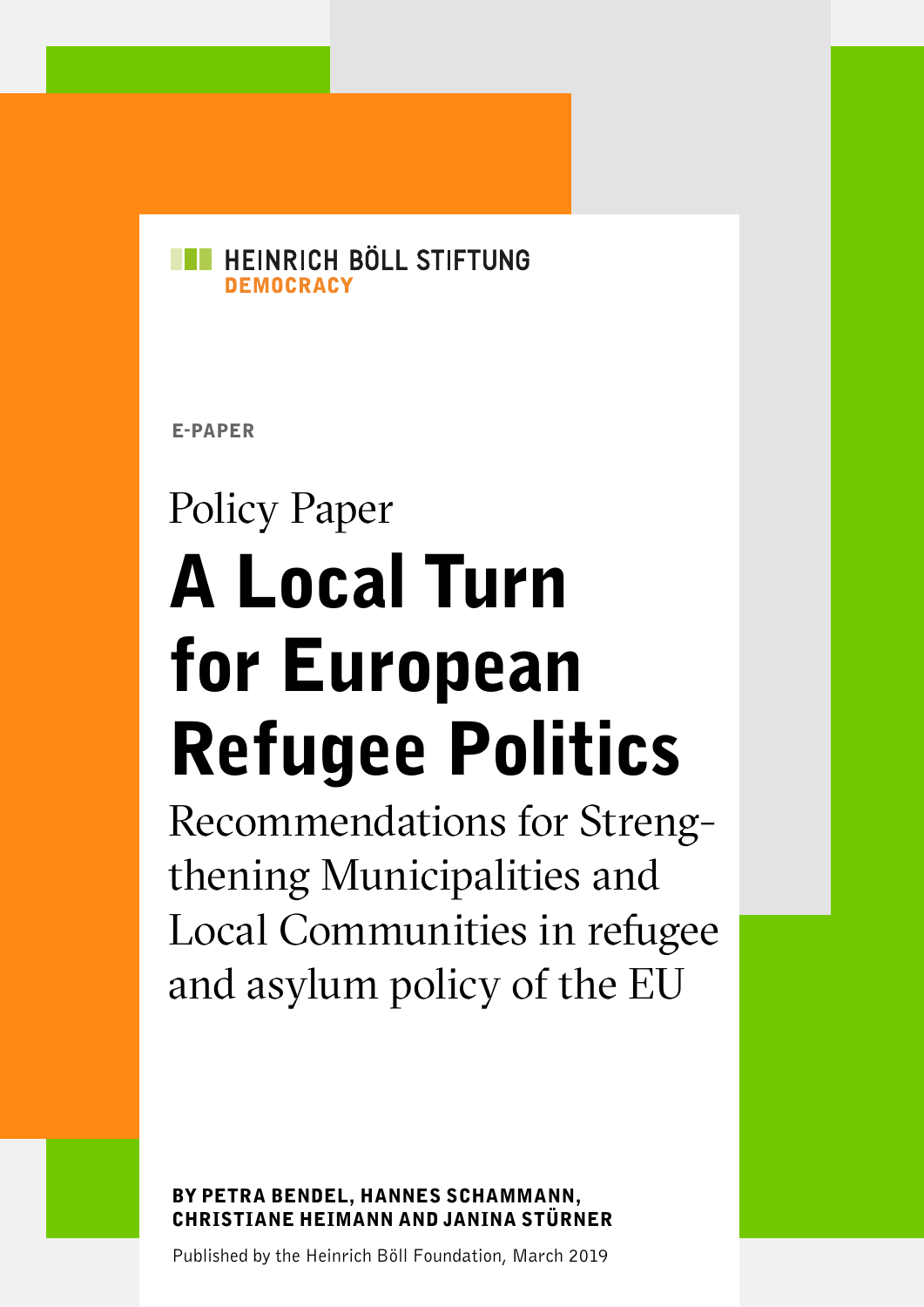

E-PAPER

# Policy Paper A Local Turn for European Refugee Politics

Recommendations for Strengthening Municipalities and Local Communities in refugee and asylum policy of the EU

BY PETRA BENDEL, HANNES SCHAMMANN, CHRISTIANE HEIMANN AND JANINA STÜRNER

Published by the Heinrich Böll Foundation, March 2019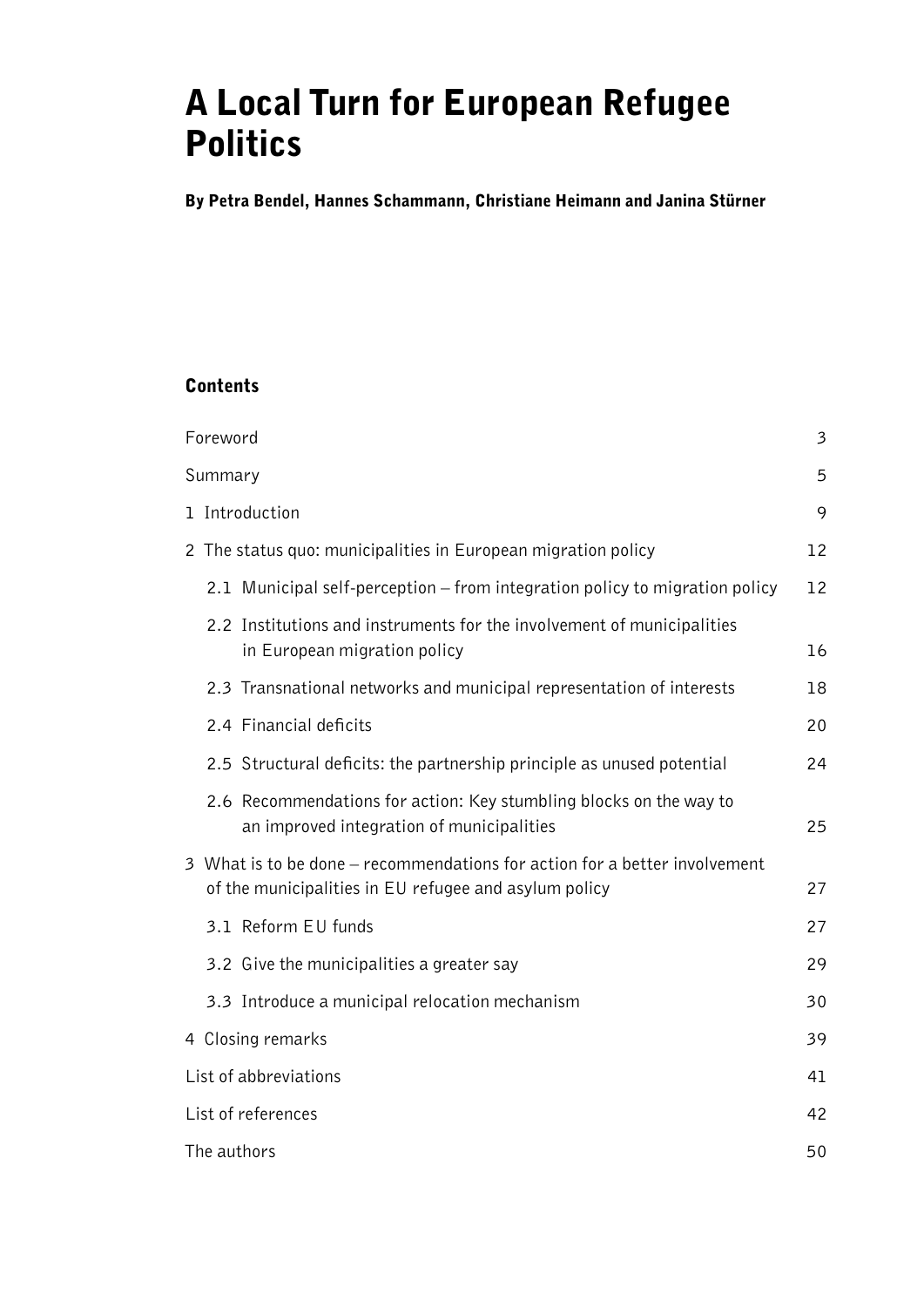# A Local Turn for European Refugee **Politics**

By Petra Bendel, Hannes Schammann, Christiane Heimann and Janina Stürner

### **Contents**

| Foreword                                                                                                                            | $\mathfrak{Z}$ |  |  |  |  |  |  |
|-------------------------------------------------------------------------------------------------------------------------------------|----------------|--|--|--|--|--|--|
| Summary                                                                                                                             | 5              |  |  |  |  |  |  |
| 1 Introduction                                                                                                                      |                |  |  |  |  |  |  |
| 2 The status quo: municipalities in European migration policy                                                                       |                |  |  |  |  |  |  |
| 2.1 Municipal self-perception – from integration policy to migration policy                                                         | 12             |  |  |  |  |  |  |
| 2.2 Institutions and instruments for the involvement of municipalities<br>in European migration policy                              | 16             |  |  |  |  |  |  |
| 2.3 Transnational networks and municipal representation of interests                                                                | 18             |  |  |  |  |  |  |
| 2.4 Financial deficits                                                                                                              | 20             |  |  |  |  |  |  |
| 2.5 Structural deficits: the partnership principle as unused potential                                                              | 24             |  |  |  |  |  |  |
| 2.6 Recommendations for action: Key stumbling blocks on the way to<br>an improved integration of municipalities                     | 25             |  |  |  |  |  |  |
| 3 What is to be done – recommendations for action for a better involvement<br>of the municipalities in EU refugee and asylum policy | 27             |  |  |  |  |  |  |
| 3.1 Reform EU funds                                                                                                                 | 27             |  |  |  |  |  |  |
| 3.2 Give the municipalities a greater say                                                                                           | 29             |  |  |  |  |  |  |
| 3.3 Introduce a municipal relocation mechanism                                                                                      | 30             |  |  |  |  |  |  |
| 4 Closing remarks                                                                                                                   | 39             |  |  |  |  |  |  |
| List of abbreviations                                                                                                               | 41             |  |  |  |  |  |  |
| List of references                                                                                                                  | 42             |  |  |  |  |  |  |
| The authors                                                                                                                         | 50             |  |  |  |  |  |  |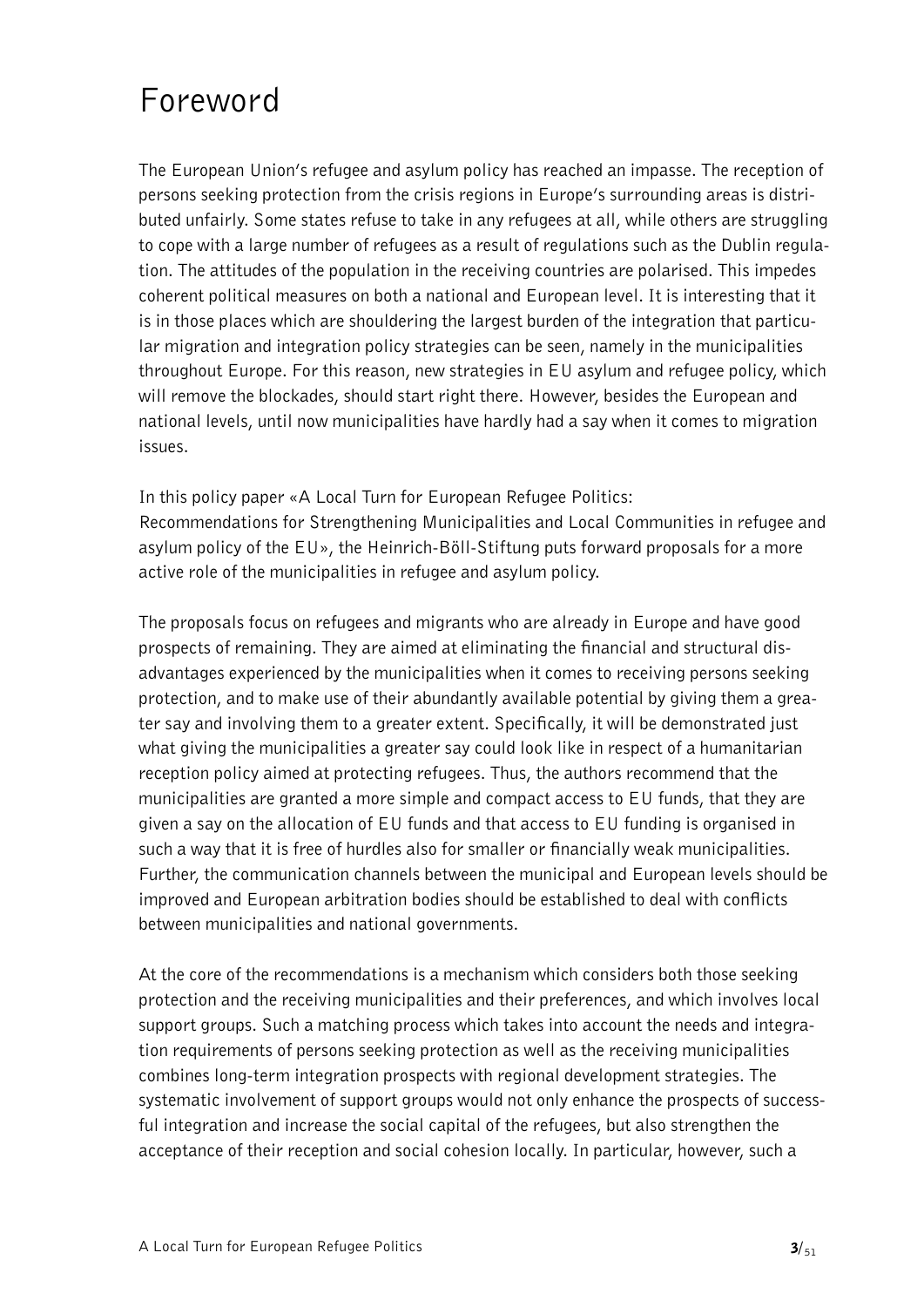# <span id="page-2-0"></span>Foreword

The European Union's refugee and asylum policy has reached an impasse. The reception of persons seeking protection from the crisis regions in Europe's surrounding areas is distributed unfairly. Some states refuse to take in any refugees at all, while others are struggling to cope with a large number of refugees as a result of regulations such as the Dublin regulation. The attitudes of the population in the receiving countries are polarised. This impedes coherent political measures on both a national and European level. It is interesting that it is in those places which are shouldering the largest burden of the integration that particular migration and integration policy strategies can be seen, namely in the municipalities throughout Europe. For this reason, new strategies in EU asylum and refugee policy, which will remove the blockades, should start right there. However, besides the European and national levels, until now municipalities have hardly had a say when it comes to migration issues.

In this policy paper «A Local Turn for European Refugee Politics: Recommendations for Strengthening Municipalities and Local Communities in refugee and asylum policy of the EU», the Heinrich-Böll-Stiftung puts forward proposals for a more active role of the municipalities in refugee and asylum policy.

The proposals focus on refugees and migrants who are already in Europe and have good prospects of remaining. They are aimed at eliminating the financial and structural disadvantages experienced by the municipalities when it comes to receiving persons seeking protection, and to make use of their abundantly available potential by giving them a greater say and involving them to a greater extent. Specifically, it will be demonstrated just what giving the municipalities a greater say could look like in respect of a humanitarian reception policy aimed at protecting refugees. Thus, the authors recommend that the municipalities are granted a more simple and compact access to EU funds, that they are given a say on the allocation of EU funds and that access to EU funding is organised in such a way that it is free of hurdles also for smaller or financially weak municipalities. Further, the communication channels between the municipal and European levels should be improved and European arbitration bodies should be established to deal with conflicts between municipalities and national governments.

At the core of the recommendations is a mechanism which considers both those seeking protection and the receiving municipalities and their preferences, and which involves local support groups. Such a matching process which takes into account the needs and integration requirements of persons seeking protection as well as the receiving municipalities combines long-term integration prospects with regional development strategies. The systematic involvement of support groups would not only enhance the prospects of successful integration and increase the social capital of the refugees, but also strengthen the acceptance of their reception and social cohesion locally. In particular, however, such a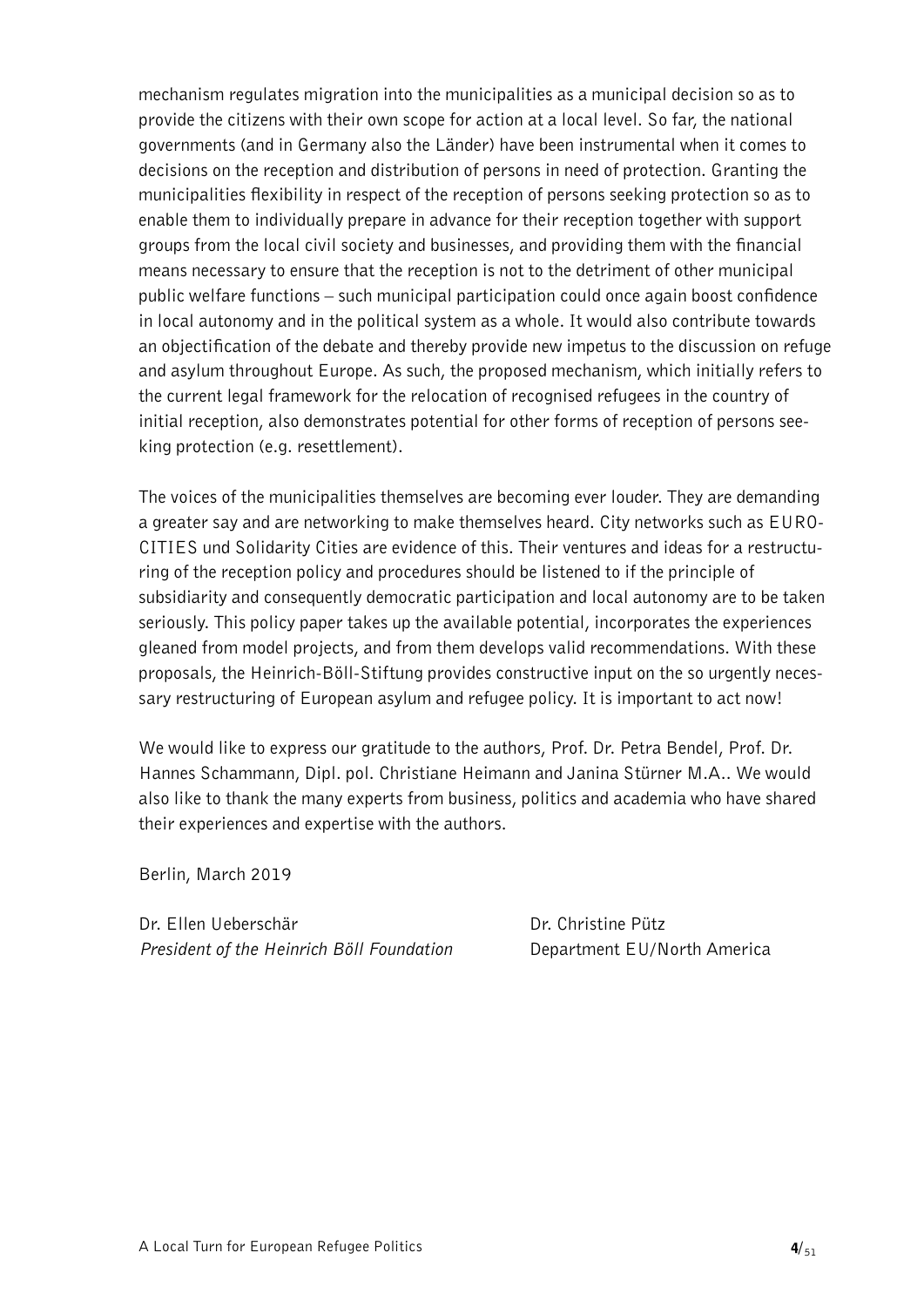mechanism regulates migration into the municipalities as a municipal decision so as to provide the citizens with their own scope for action at a local level. So far, the national governments (and in Germany also the Länder) have been instrumental when it comes to decisions on the reception and distribution of persons in need of protection. Granting the municipalities flexibility in respect of the reception of persons seeking protection so as to enable them to individually prepare in advance for their reception together with support groups from the local civil society and businesses, and providing them with the financial means necessary to ensure that the reception is not to the detriment of other municipal public welfare functions – such municipal participation could once again boost confidence in local autonomy and in the political system as a whole. It would also contribute towards an objectification of the debate and thereby provide new impetus to the discussion on refuge and asylum throughout Europe. As such, the proposed mechanism, which initially refers to the current legal framework for the relocation of recognised refugees in the country of initial reception, also demonstrates potential for other forms of reception of persons seeking protection (e.g. resettlement).

The voices of the municipalities themselves are becoming ever louder. They are demanding a greater say and are networking to make themselves heard. City networks such as EURO-CITIES und Solidarity Cities are evidence of this. Their ventures and ideas for a restructuring of the reception policy and procedures should be listened to if the principle of subsidiarity and consequently democratic participation and local autonomy are to be taken seriously. This policy paper takes up the available potential, incorporates the experiences gleaned from model projects, and from them develops valid recommendations. With these proposals, the Heinrich-Böll-Stiftung provides constructive input on the so urgently necessary restructuring of European asylum and refugee policy. It is important to act now!

We would like to express our gratitude to the authors, Prof. Dr. Petra Bendel, Prof. Dr. Hannes Schammann, Dipl. pol. Christiane Heimann and Janina Stürner M.A.. We would also like to thank the many experts from business, politics and academia who have shared their experiences and expertise with the authors.

Berlin, March 2019

Dr. Ellen Ueberschär Dr. Christine Pütz *President of the Heinrich Böll Foundation* **Department EU/North America**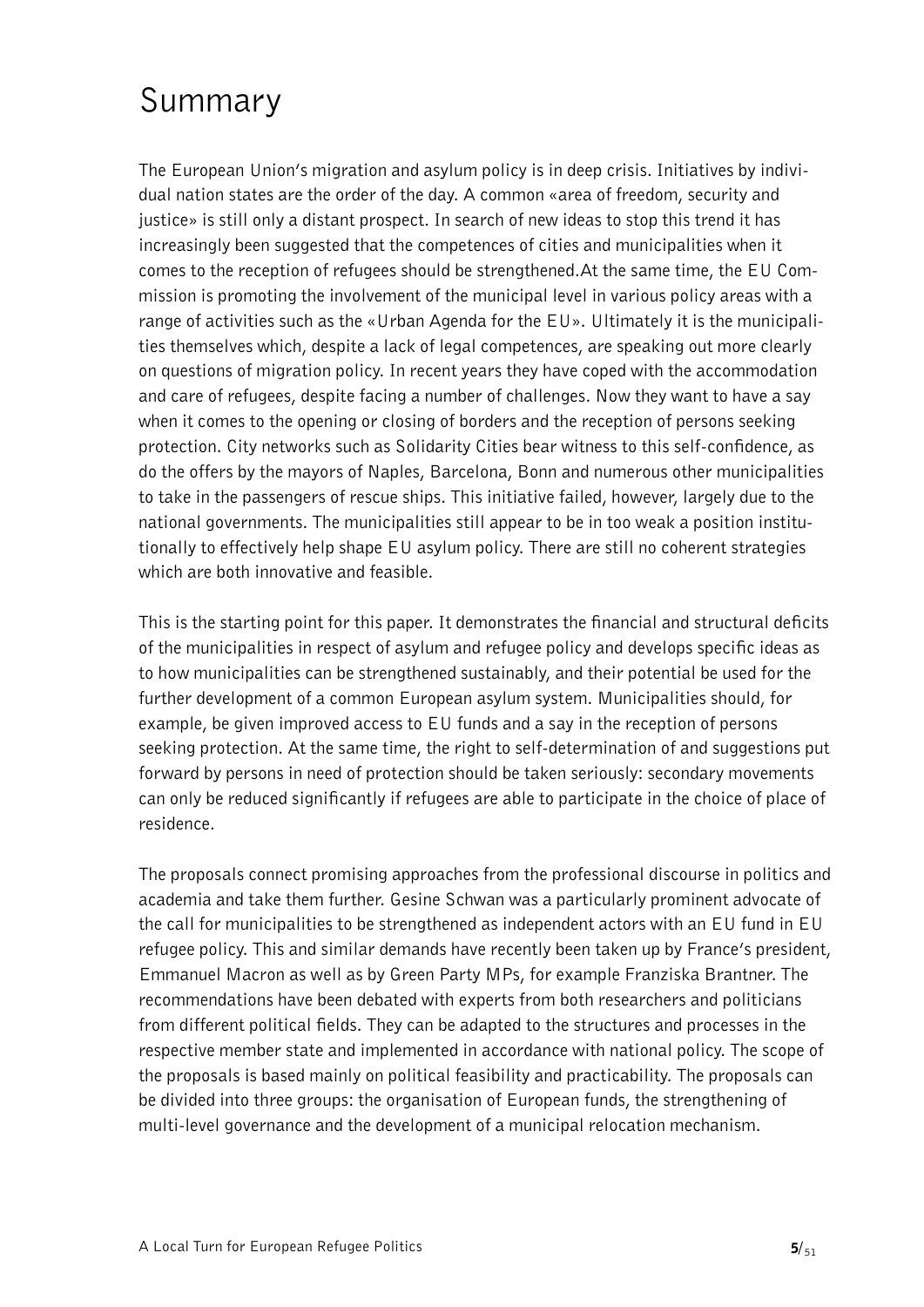## <span id="page-4-0"></span>Summary

The European Union's migration and asylum policy is in deep crisis. Initiatives by individual nation states are the order of the day. A common «area of freedom, security and justice» is still only a distant prospect. In search of new ideas to stop this trend it has increasingly been suggested that the competences of cities and municipalities when it comes to the reception of refugees should be strengthened.At the same time, the EU Commission is promoting the involvement of the municipal level in various policy areas with a range of activities such as the «Urban Agenda for the EU». Ultimately it is the municipalities themselves which, despite a lack of legal competences, are speaking out more clearly on questions of migration policy. In recent years they have coped with the accommodation and care of refugees, despite facing a number of challenges. Now they want to have a say when it comes to the opening or closing of borders and the reception of persons seeking protection. City networks such as Solidarity Cities bear witness to this self-confidence, as do the offers by the mayors of Naples, Barcelona, Bonn and numerous other municipalities to take in the passengers of rescue ships. This initiative failed, however, largely due to the national governments. The municipalities still appear to be in too weak a position institutionally to effectively help shape EU asylum policy. There are still no coherent strategies which are both innovative and feasible.

This is the starting point for this paper. It demonstrates the financial and structural deficits of the municipalities in respect of asylum and refugee policy and develops specific ideas as to how municipalities can be strengthened sustainably, and their potential be used for the further development of a common European asylum system. Municipalities should, for example, be given improved access to EU funds and a say in the reception of persons seeking protection. At the same time, the right to self-determination of and suggestions put forward by persons in need of protection should be taken seriously: secondary movements can only be reduced significantly if refugees are able to participate in the choice of place of residence.

The proposals connect promising approaches from the professional discourse in politics and academia and take them further. Gesine Schwan was a particularly prominent advocate of the call for municipalities to be strengthened as independent actors with an EU fund in EU refugee policy. This and similar demands have recently been taken up by France's president, Emmanuel Macron as well as by Green Party MPs, for example Franziska Brantner. The recommendations have been debated with experts from both researchers and politicians from different political fields. They can be adapted to the structures and processes in the respective member state and implemented in accordance with national policy. The scope of the proposals is based mainly on political feasibility and practicability. The proposals can be divided into three groups: the organisation of European funds, the strengthening of multi-level governance and the development of a municipal relocation mechanism.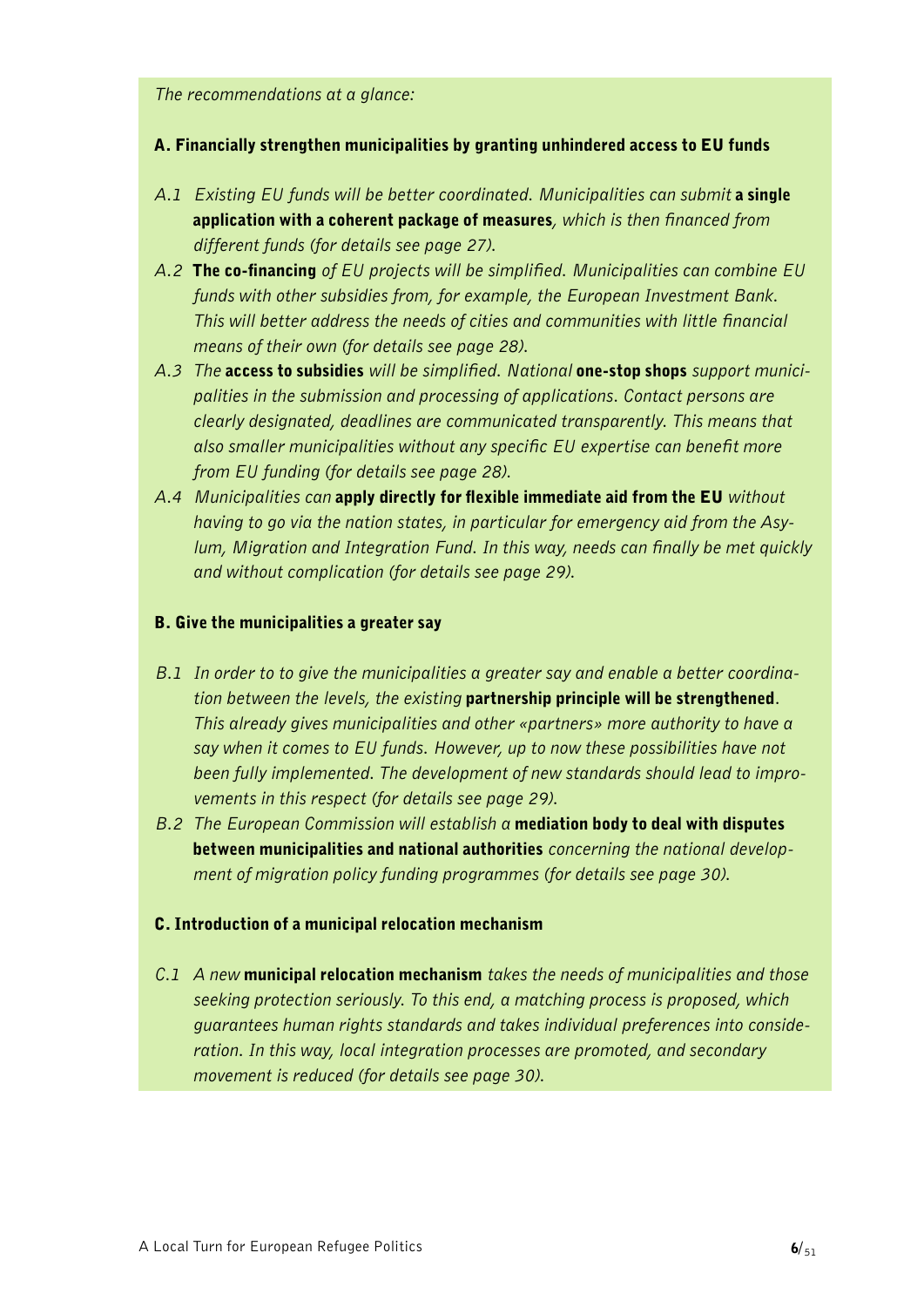*The recommendations at a glance:* 

#### A. Financially strengthen municipalities by granting unhindered access to EU funds

- A.1 *Existing EU funds will be better coordinated. Municipalities can submit* a single application with a coherent package of measures*, which is then financed from different funds (for details see page 27).*
- *A.2* The co-financing *of EU projects will be simplified. Municipalities can combine EU funds with other subsidies from, for example, the European Investment Bank. This will better address the needs of cities and communities with little financial means of their own (for details see page 28).*
- *A.3 The* access to subsidies *will be simplified. National* one-stop shops *support municipalities in the submission and processing of applications. Contact persons are clearly designated, deadlines are communicated transparently. This means that also smaller municipalities without any specific EU expertise can benefit more from EU funding (for details see page 28).*
- *A.4 Municipalities can* apply directly for flexible immediate aid from the EU *without having to go via the nation states, in particular for emergency aid from the Asylum, Migration and Integration Fund. In this way, needs can finally be met quickly and without complication (for details see page 29).*

#### B. Give the municipalities a greater say

- *B.1 In order to to give the municipalities a greater say and enable a better coordination between the levels, the existing* partnership principle will be strengthened*. This already gives municipalities and other «partners» more authority to have a say when it comes to EU funds. However, up to now these possibilities have not been fully implemented. The development of new standards should lead to improvements in this respect (for details see page 29).*
- *B.2 The European Commission will establish a* mediation body to deal with disputes between municipalities and national authorities *concerning the national development of migration policy funding programmes (for details see page 30).*

#### C. Introduction of a municipal relocation mechanism

*C.1 A new* municipal relocation mechanism *takes the needs of municipalities and those seeking protection seriously. To this end, a matching process is proposed, which guarantees human rights standards and takes individual preferences into consideration. In this way, local integration processes are promoted, and secondary movement is reduced (for details see page 30).*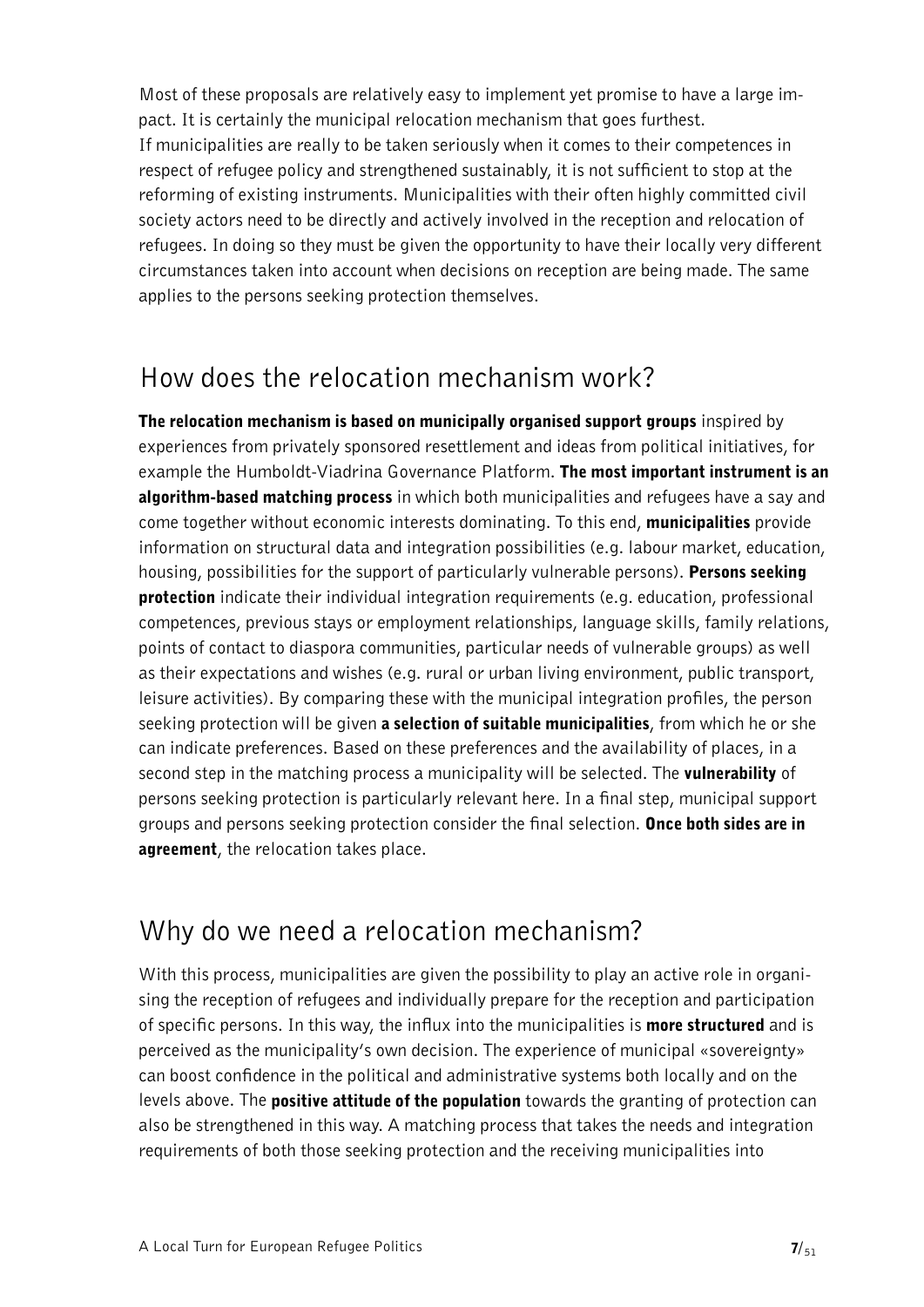Most of these proposals are relatively easy to implement yet promise to have a large impact. It is certainly the municipal relocation mechanism that goes furthest. If municipalities are really to be taken seriously when it comes to their competences in respect of refugee policy and strengthened sustainably, it is not sufficient to stop at the reforming of existing instruments. Municipalities with their often highly committed civil society actors need to be directly and actively involved in the reception and relocation of refugees. In doing so they must be given the opportunity to have their locally very different circumstances taken into account when decisions on reception are being made. The same applies to the persons seeking protection themselves.

### How does the relocation mechanism work?

The relocation mechanism is based on municipally organised support groups inspired by experiences from privately sponsored resettlement and ideas from political initiatives, for example the Humboldt-Viadrina Governance Platform. The most important instrument is an **algorithm-based matching process** in which both municipalities and refugees have a say and come together without economic interests dominating. To this end, municipalities provide information on structural data and integration possibilities (e.g. labour market, education, housing, possibilities for the support of particularly vulnerable persons). Persons seeking protection indicate their individual integration requirements (e.g. education, professional competences, previous stays or employment relationships, language skills, family relations, points of contact to diaspora communities, particular needs of vulnerable groups) as well as their expectations and wishes (e.g. rural or urban living environment, public transport, leisure activities). By comparing these with the municipal integration profiles, the person seeking protection will be given a selection of suitable municipalities, from which he or she can indicate preferences. Based on these preferences and the availability of places, in a second step in the matching process a municipality will be selected. The **vulnerability** of persons seeking protection is particularly relevant here. In a final step, municipal support groups and persons seeking protection consider the final selection. Once both sides are in agreement, the relocation takes place.

### Why do we need a relocation mechanism?

With this process, municipalities are given the possibility to play an active role in organising the reception of refugees and individually prepare for the reception and participation of specific persons. In this way, the influx into the municipalities is **more structured** and is perceived as the municipality's own decision. The experience of municipal «sovereignty» can boost confidence in the political and administrative systems both locally and on the levels above. The **positive attitude of the population** towards the granting of protection can also be strengthened in this way. A matching process that takes the needs and integration requirements of both those seeking protection and the receiving municipalities into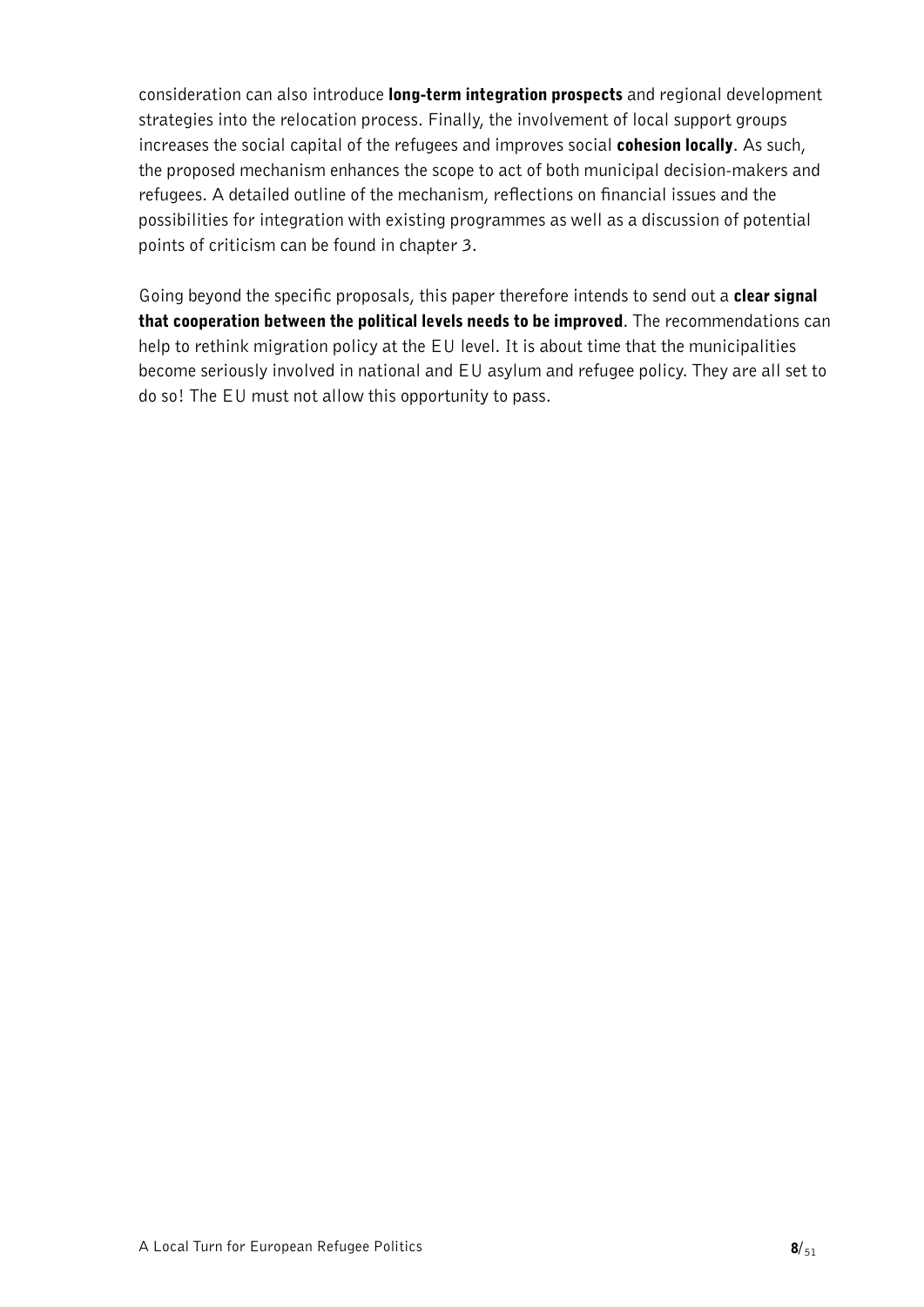consideration can also introduce long-term integration prospects and regional development strategies into the relocation process. Finally, the involvement of local support groups increases the social capital of the refugees and improves social **cohesion locally**. As such, the proposed mechanism enhances the scope to act of both municipal decision-makers and refugees. A detailed outline of the mechanism, reflections on financial issues and the possibilities for integration with existing programmes as well as a discussion of potential points of criticism can be found in chapter 3.

Going beyond the specific proposals, this paper therefore intends to send out a **clear signal** that cooperation between the political levels needs to be improved. The recommendations can help to rethink migration policy at the EU level. It is about time that the municipalities become seriously involved in national and EU asylum and refugee policy. They are all set to do so! The EU must not allow this opportunity to pass.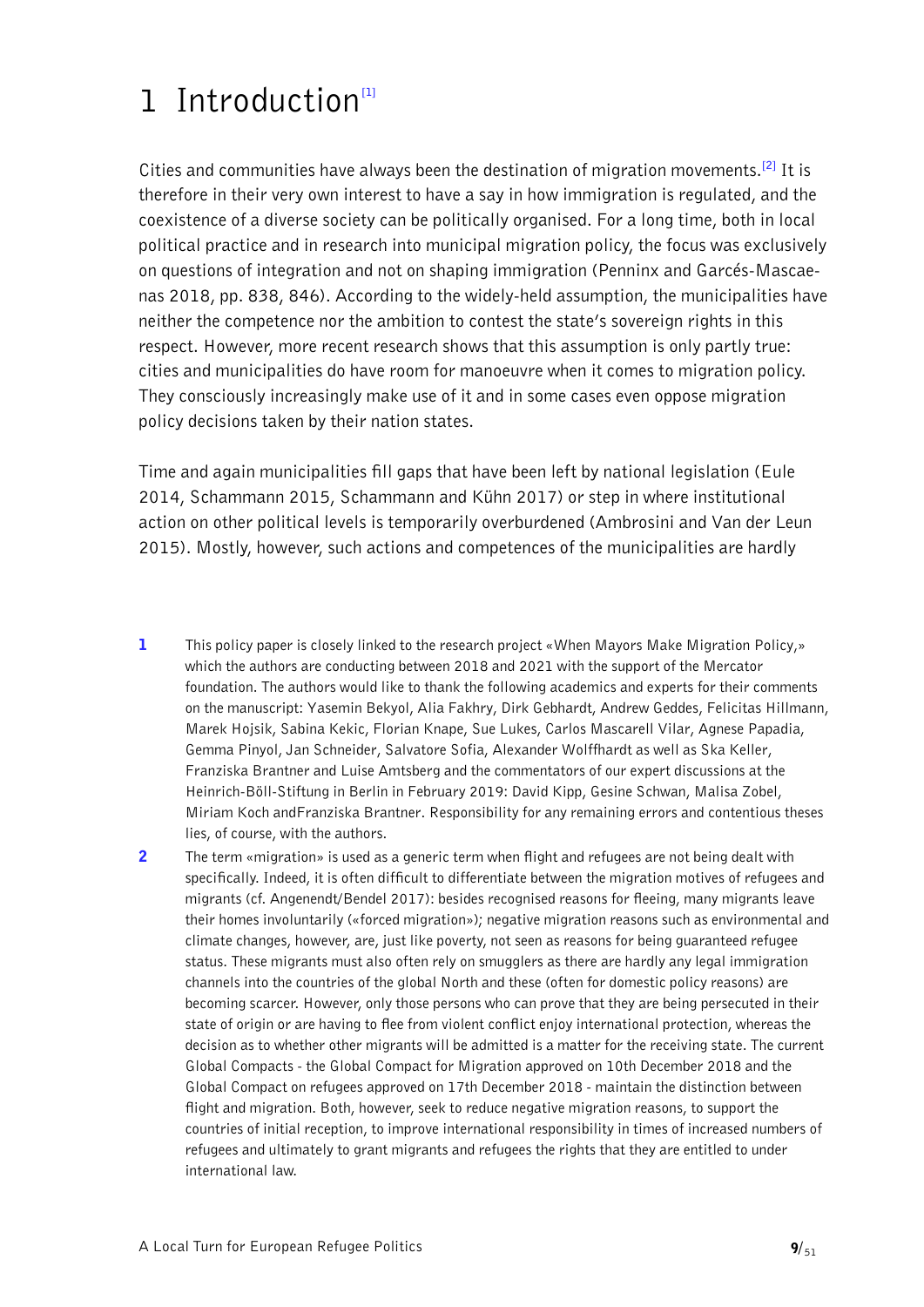# <span id="page-8-0"></span>1 Introduction<sup>[\[1\]](#page-8-1)</sup>

<span id="page-8-3"></span>Cities and communities have always been the destination of migration movements.**[\[2\]](#page-8-2)** It is therefore in their very own interest to have a say in how immigration is regulated, and the coexistence of a diverse society can be politically organised. For a long time, both in local political practice and in research into municipal migration policy, the focus was exclusively on questions of integration and not on shaping immigration (Penninx and Garcés-Mascaenas 2018, pp. 838, 846). According to the widely-held assumption, the municipalities have neither the competence nor the ambition to contest the state's sovereign rights in this respect. However, more recent research shows that this assumption is only partly true: cities and municipalities do have room for manoeuvre when it comes to migration policy. They consciously increasingly make use of it and in some cases even oppose migration policy decisions taken by their nation states.

Time and again municipalities fill gaps that have been left by national legislation (Eule 2014, Schammann 2015, Schammann and Kühn 2017) or step in where institutional action on other political levels is temporarily overburdened (Ambrosini and Van der Leun 2015). Mostly, however, such actions and competences of the municipalities are hardly

- <span id="page-8-1"></span>[1](#page-8-0) This policy paper is closely linked to the research project «When Mayors Make Migration Policy,» which the authors are conducting between 2018 and 2021 with the support of the Mercator foundation. The authors would like to thank the following academics and experts for their comments on the manuscript: Yasemin Bekyol, Alia Fakhry, Dirk Gebhardt, Andrew Geddes, Felicitas Hillmann, Marek Hojsik, Sabina Kekic, Florian Knape, Sue Lukes, Carlos Mascarell Vilar, Agnese Papadia, Gemma Pinyol, Jan Schneider, Salvatore Sofia, Alexander Wolffhardt as well as Ska Keller, Franziska Brantner and Luise Amtsberg and the commentators of our expert discussions at the Heinrich-Böll-Stiftung in Berlin in February 2019: David Kipp, Gesine Schwan, Malisa Zobel, Miriam Koch andFranziska Brantner. Responsibility for any remaining errors and contentious theses lies, of course, with the authors.
- <span id="page-8-2"></span>2 The term «migration» is used as a generic term when flight and refugees are not being dealt with [specifically. Indeed, it is often difficult to differentiate between the migration motives of refugees and](#page-8-3)  [migrants \(cf. Angenendt/Bendel 2017\): besides recognised reasons for fleeing, many migrants leave](#page-8-3)  [their homes involuntarily \(«forced migration»\); negative migration reasons such as environmental and](#page-8-3)  [climate changes, however, are, just like poverty, not seen as reasons for being guaranteed refugee](#page-8-3)  [status. These migrants must also often rely on smugglers as there are hardly any legal immigration](#page-8-3)  [channels into the countries of the global North and these \(often for domestic policy reasons\) are](#page-8-3)  [becoming scarcer. However, only those persons who can prove that they are being persecuted in their](#page-8-3)  [state of origin or are having to flee from violent conflict enjoy international protection, whereas the](#page-8-3)  [decision as to whether other migrants will be admitted is a matter for the receiving state. The current](#page-8-3)  [Global Compacts - the Global Compact for Migration approved on 10th December 2018 and the](#page-8-3)  [Global Compact on refugees approved on 17th December 2018 - maintain the distinction between](#page-8-3)  [flight and migration. Both, however, seek to reduce negative migration reasons, to support the](#page-8-3)  [countries of initial reception, to improve international responsibility in times of increased numbers of](#page-8-3)  [refugees and ultimately to grant migrants and refugees the rights that they are entitled to under](#page-8-3)  [international law.](#page-8-3)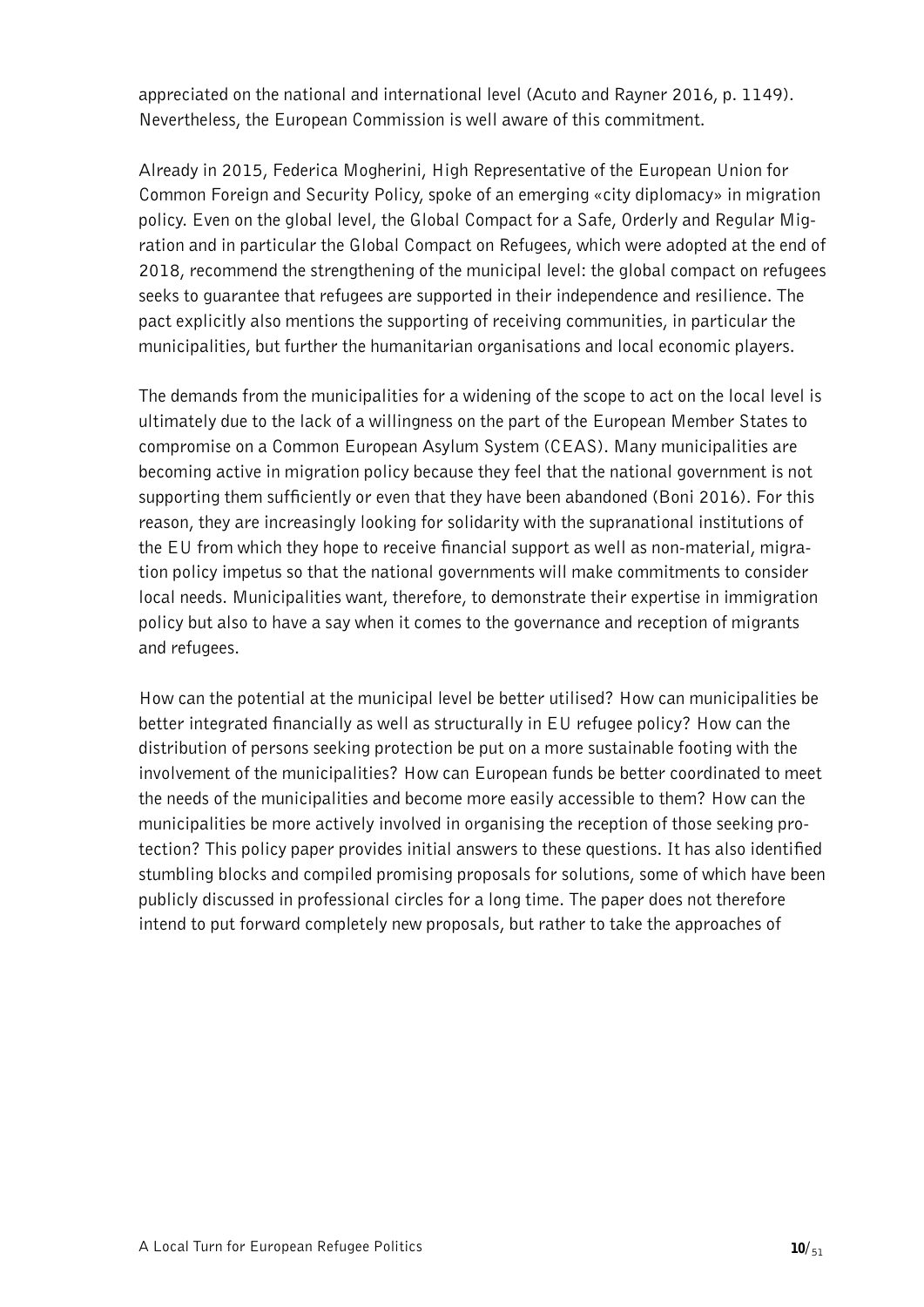appreciated on the national and international level (Acuto and Rayner 2016, p. 1149). Nevertheless, the European Commission is well aware of this commitment.

Already in 2015, Federica Mogherini, High Representative of the European Union for Common Foreign and Security Policy, spoke of an emerging «city diplomacy» in migration policy. Even on the global level, the Global Compact for a Safe, Orderly and Regular Migration and in particular the Global Compact on Refugees, which were adopted at the end of 2018, recommend the strengthening of the municipal level: the global compact on refugees seeks to guarantee that refugees are supported in their independence and resilience. The pact explicitly also mentions the supporting of receiving communities, in particular the municipalities, but further the humanitarian organisations and local economic players.

The demands from the municipalities for a widening of the scope to act on the local level is ultimately due to the lack of a willingness on the part of the European Member States to compromise on a Common European Asylum System (CEAS). Many municipalities are becoming active in migration policy because they feel that the national government is not supporting them sufficiently or even that they have been abandoned (Boni 2016). For this reason, they are increasingly looking for solidarity with the supranational institutions of the EU from which they hope to receive financial support as well as non-material, migration policy impetus so that the national governments will make commitments to consider local needs. Municipalities want, therefore, to demonstrate their expertise in immigration policy but also to have a say when it comes to the governance and reception of migrants and refugees.

How can the potential at the municipal level be better utilised? How can municipalities be better integrated financially as well as structurally in EU refugee policy? How can the distribution of persons seeking protection be put on a more sustainable footing with the involvement of the municipalities? How can European funds be better coordinated to meet the needs of the municipalities and become more easily accessible to them? How can the municipalities be more actively involved in organising the reception of those seeking protection? This policy paper provides initial answers to these questions. It has also identified stumbling blocks and compiled promising proposals for solutions, some of which have been publicly discussed in professional circles for a long time. The paper does not therefore intend to put forward completely new proposals, but rather to take the approaches of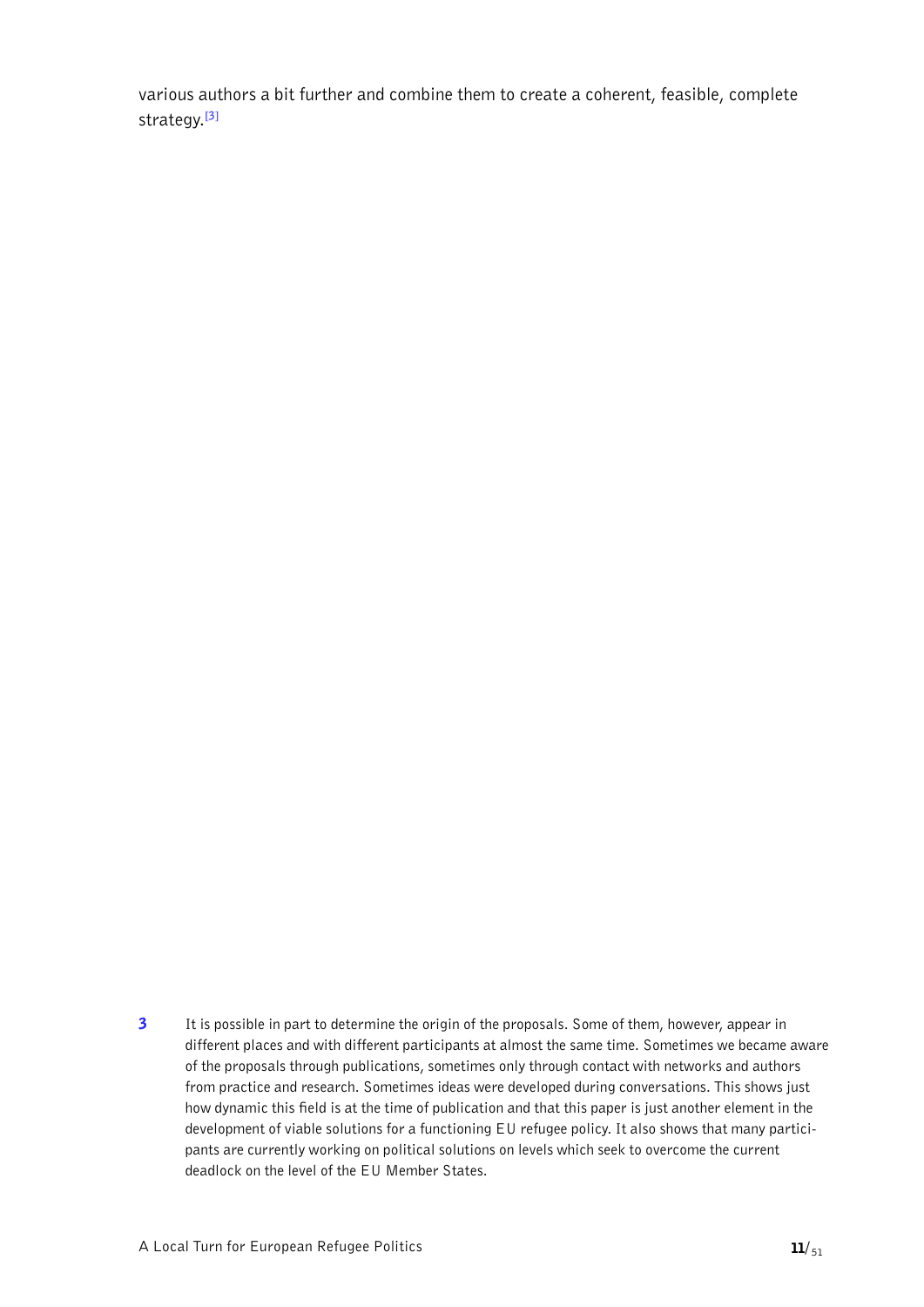<span id="page-10-1"></span>various authors a bit further and combine them to create a coherent, feasible, complete strategy.**[\[3\]](#page-10-0)**

<span id="page-10-0"></span>**3** It is possible in part to determine the origin of the proposals. Some of them, however, appear in [different places and with different participants at almost the same time. Sometimes we became aware](#page-10-1)  [of the proposals through publications, sometimes only through contact with networks and authors](#page-10-1)  [from practice and research. Sometimes ideas were developed during conversations. This shows just](#page-10-1)  [how dynamic this field is at the time of publication and that this paper is just another element in the](#page-10-1)  [development of viable solutions for a functioning EU refugee policy. It also shows that many partici](#page-10-1)[pants are currently working on political solutions on levels which seek to overcome the current](#page-10-1)  [deadlock on the level of the EU Member States.](#page-10-1)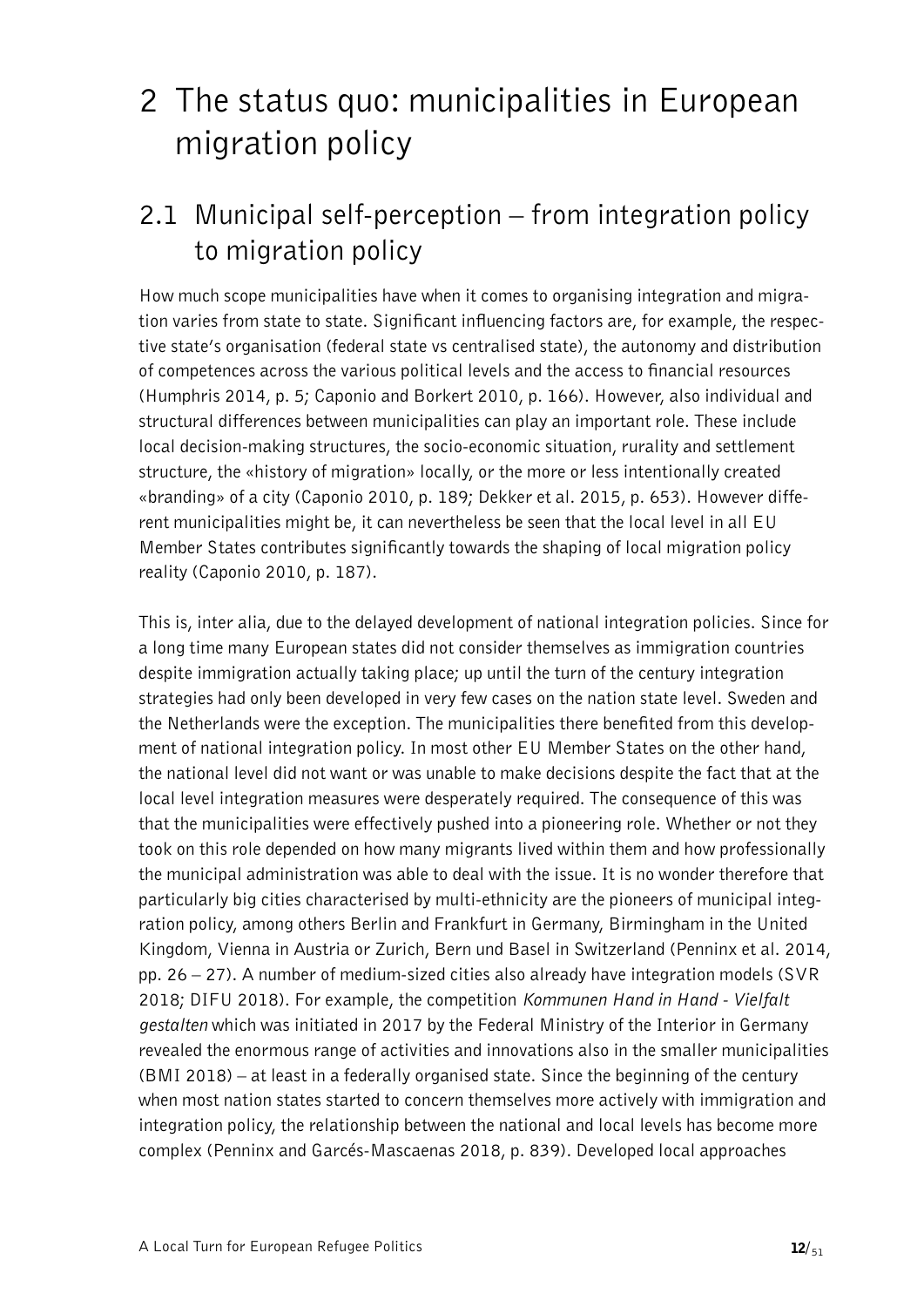# <span id="page-11-0"></span>2 The status quo: municipalities in European migration policy

### <span id="page-11-1"></span>2.1 Municipal self-perception – from integration policy to migration policy

How much scope municipalities have when it comes to organising integration and migration varies from state to state. Significant influencing factors are, for example, the respective state's organisation (federal state vs centralised state), the autonomy and distribution of competences across the various political levels and the access to financial resources (Humphris 2014, p. 5; Caponio and Borkert 2010, p. 166). However, also individual and structural differences between municipalities can play an important role. These include local decision-making structures, the socio-economic situation, rurality and settlement structure, the «history of migration» locally, or the more or less intentionally created «branding» of a city (Caponio 2010, p. 189; Dekker et al. 2015, p. 653). However different municipalities might be, it can nevertheless be seen that the local level in all EU Member States contributes significantly towards the shaping of local migration policy reality (Caponio 2010, p. 187).

This is, inter alia, due to the delayed development of national integration policies. Since for a long time many European states did not consider themselves as immigration countries despite immigration actually taking place; up until the turn of the century integration strategies had only been developed in very few cases on the nation state level. Sweden and the Netherlands were the exception. The municipalities there benefited from this development of national integration policy. In most other EU Member States on the other hand, the national level did not want or was unable to make decisions despite the fact that at the local level integration measures were desperately required. The consequence of this was that the municipalities were effectively pushed into a pioneering role. Whether or not they took on this role depended on how many migrants lived within them and how professionally the municipal administration was able to deal with the issue. It is no wonder therefore that particularly big cities characterised by multi-ethnicity are the pioneers of municipal integration policy, among others Berlin and Frankfurt in Germany, Birmingham in the United Kingdom, Vienna in Austria or Zurich, Bern und Basel in Switzerland (Penninx et al. 2014, pp. 26 – 27). A number of medium-sized cities also already have integration models (SVR 2018; DIFU 2018). For example, the competition *Kommunen Hand in Hand - Vielfalt gestalten* which was initiated in 2017 by the Federal Ministry of the Interior in Germany revealed the enormous range of activities and innovations also in the smaller municipalities (BMI 2018) – at least in a federally organised state. Since the beginning of the century when most nation states started to concern themselves more actively with immigration and integration policy, the relationship between the national and local levels has become more complex (Penninx and Garcés-Mascaenas 2018, p. 839). Developed local approaches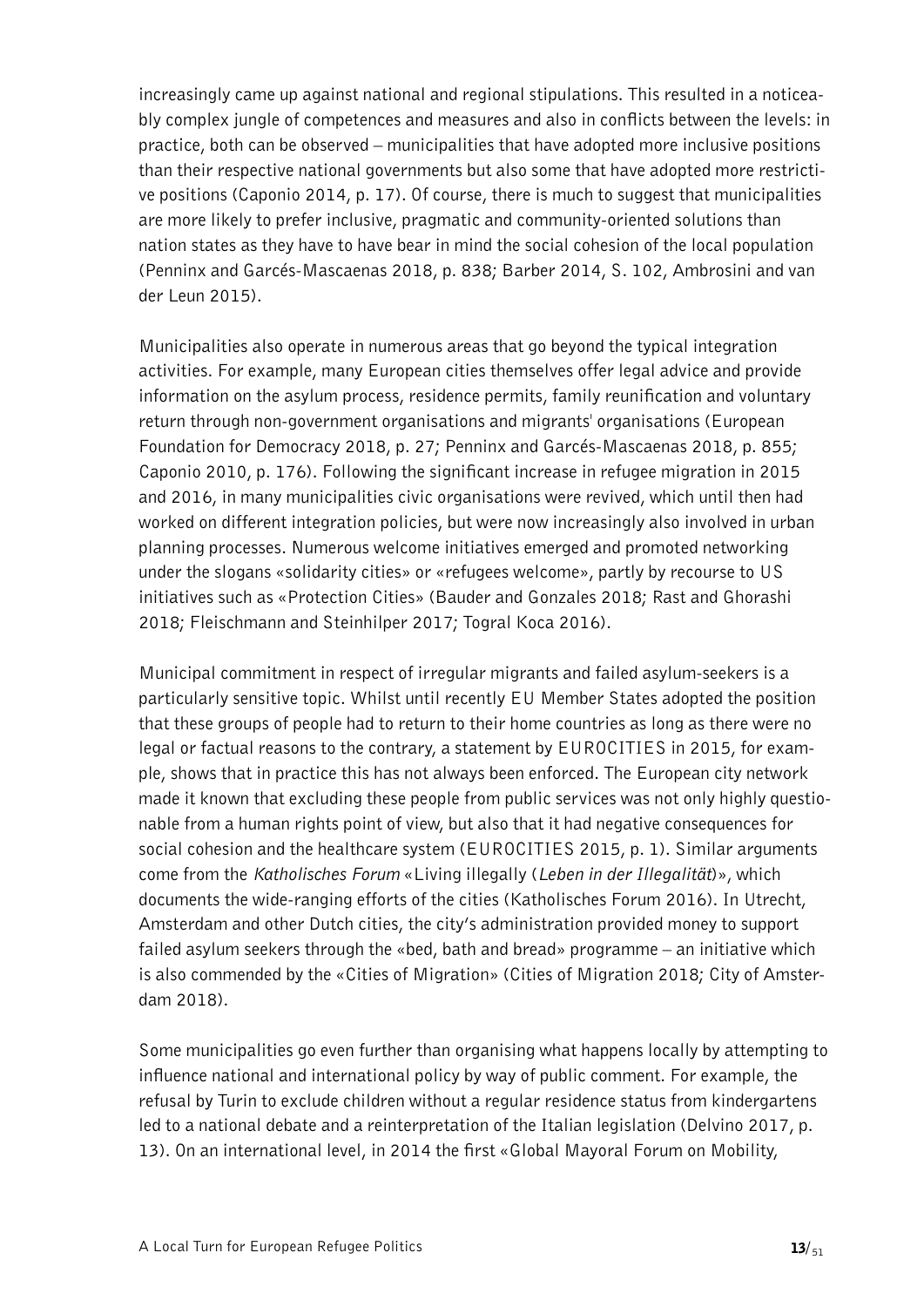increasingly came up against national and regional stipulations. This resulted in a noticeably complex jungle of competences and measures and also in conflicts between the levels: in practice, both can be observed – municipalities that have adopted more inclusive positions than their respective national governments but also some that have adopted more restrictive positions (Caponio 2014, p. 17). Of course, there is much to suggest that municipalities are more likely to prefer inclusive, pragmatic and community-oriented solutions than nation states as they have to have bear in mind the social cohesion of the local population (Penninx and Garcés-Mascaenas 2018, p. 838; Barber 2014, S. 102, Ambrosini and van der Leun 2015).

Municipalities also operate in numerous areas that go beyond the typical integration activities. For example, many European cities themselves offer legal advice and provide information on the asylum process, residence permits, family reunification and voluntary return through non-government organisations and migrants' organisations (European Foundation for Democracy 2018, p. 27; Penninx and Garcés-Mascaenas 2018, p. 855; Caponio 2010, p. 176). Following the significant increase in refugee migration in 2015 and 2016, in many municipalities civic organisations were revived, which until then had worked on different integration policies, but were now increasingly also involved in urban planning processes. Numerous welcome initiatives emerged and promoted networking under the slogans «solidarity cities» or «refugees welcome», partly by recourse to US initiatives such as «Protection Cities» (Bauder and Gonzales 2018; Rast and Ghorashi 2018; Fleischmann and Steinhilper 2017; Togral Koca 2016).

Municipal commitment in respect of irregular migrants and failed asylum-seekers is a particularly sensitive topic. Whilst until recently EU Member States adopted the position that these groups of people had to return to their home countries as long as there were no legal or factual reasons to the contrary, a statement by EUROCITIES in 2015, for example, shows that in practice this has not always been enforced. The European city network made it known that excluding these people from public services was not only highly questionable from a human rights point of view, but also that it had negative consequences for social cohesion and the healthcare system (EUROCITIES 2015, p. 1). Similar arguments come from the *Katholisches Forum* «Living illegally (*Leben in der Illegalität*)», which documents the wide-ranging efforts of the cities (Katholisches Forum 2016). In Utrecht, Amsterdam and other Dutch cities, the city's administration provided money to support failed asylum seekers through the «bed, bath and bread» programme – an initiative which is also commended by the «Cities of Migration» (Cities of Migration 2018; City of Amsterdam 2018).

Some municipalities go even further than organising what happens locally by attempting to influence national and international policy by way of public comment. For example, the refusal by Turin to exclude children without a regular residence status from kindergartens led to a national debate and a reinterpretation of the Italian legislation (Delvino 2017, p. 13). On an international level, in 2014 the first «Global Mayoral Forum on Mobility,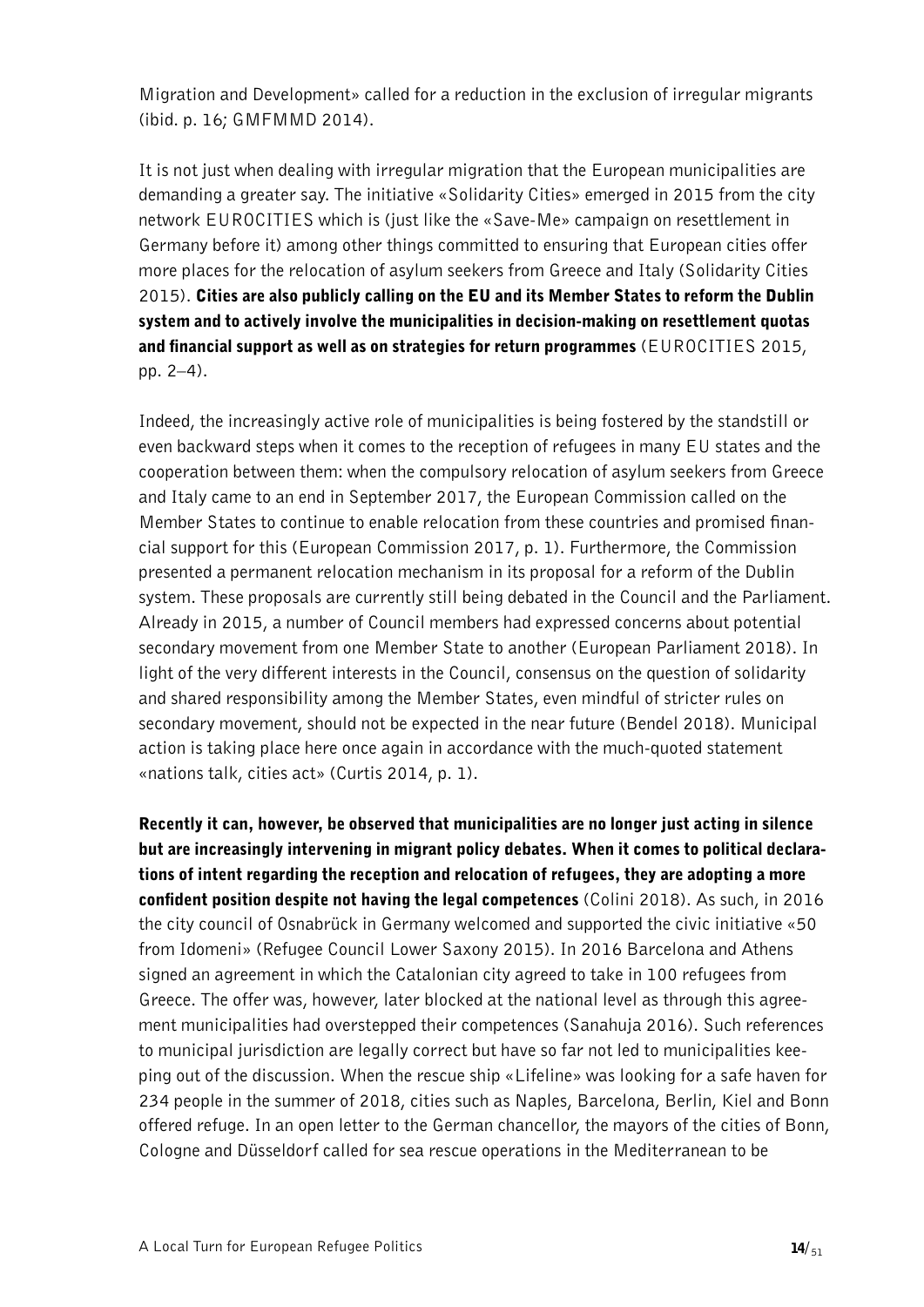Migration and Development» called for a reduction in the exclusion of irregular migrants (ibid. p. 16; GMFMMD 2014).

It is not just when dealing with irregular migration that the European municipalities are demanding a greater say. The initiative «Solidarity Cities» emerged in 2015 from the city network EUROCITIES which is (just like the «Save-Me» campaign on resettlement in Germany before it) among other things committed to ensuring that European cities offer more places for the relocation of asylum seekers from Greece and Italy (Solidarity Cities 2015). Cities are also publicly calling on the EU and its Member States to reform the Dublin system and to actively involve the municipalities in decision-making on resettlement quotas and financial support as well as on strategies for return programmes (EUROCITIES 2015, pp. 2–4).

Indeed, the increasingly active role of municipalities is being fostered by the standstill or even backward steps when it comes to the reception of refugees in many EU states and the cooperation between them: when the compulsory relocation of asylum seekers from Greece and Italy came to an end in September 2017, the European Commission called on the Member States to continue to enable relocation from these countries and promised financial support for this (European Commission 2017, p. 1). Furthermore, the Commission presented a permanent relocation mechanism in its proposal for a reform of the Dublin system. These proposals are currently still being debated in the Council and the Parliament. Already in 2015, a number of Council members had expressed concerns about potential secondary movement from one Member State to another (European Parliament 2018). In light of the very different interests in the Council, consensus on the question of solidarity and shared responsibility among the Member States, even mindful of stricter rules on secondary movement, should not be expected in the near future (Bendel 2018). Municipal action is taking place here once again in accordance with the much-quoted statement «nations talk, cities act» (Curtis 2014, p. 1).

Recently it can, however, be observed that municipalities are no longer just acting in silence but are increasingly intervening in migrant policy debates. When it comes to political declarations of intent regarding the reception and relocation of refugees, they are adopting a more confident position despite not having the legal competences (Colini 2018). As such, in 2016 the city council of Osnabrück in Germany welcomed and supported the civic initiative «50 from Idomeni» (Refugee Council Lower Saxony 2015). In 2016 Barcelona and Athens signed an agreement in which the Catalonian city agreed to take in 100 refugees from Greece. The offer was, however, later blocked at the national level as through this agreement municipalities had overstepped their competences (Sanahuja 2016). Such references to municipal jurisdiction are legally correct but have so far not led to municipalities keeping out of the discussion. When the rescue ship «Lifeline» was looking for a safe haven for 234 people in the summer of 2018, cities such as Naples, Barcelona, Berlin, Kiel and Bonn offered refuge. In an open letter to the German chancellor, the mayors of the cities of Bonn, Cologne and Düsseldorf called for sea rescue operations in the Mediterranean to be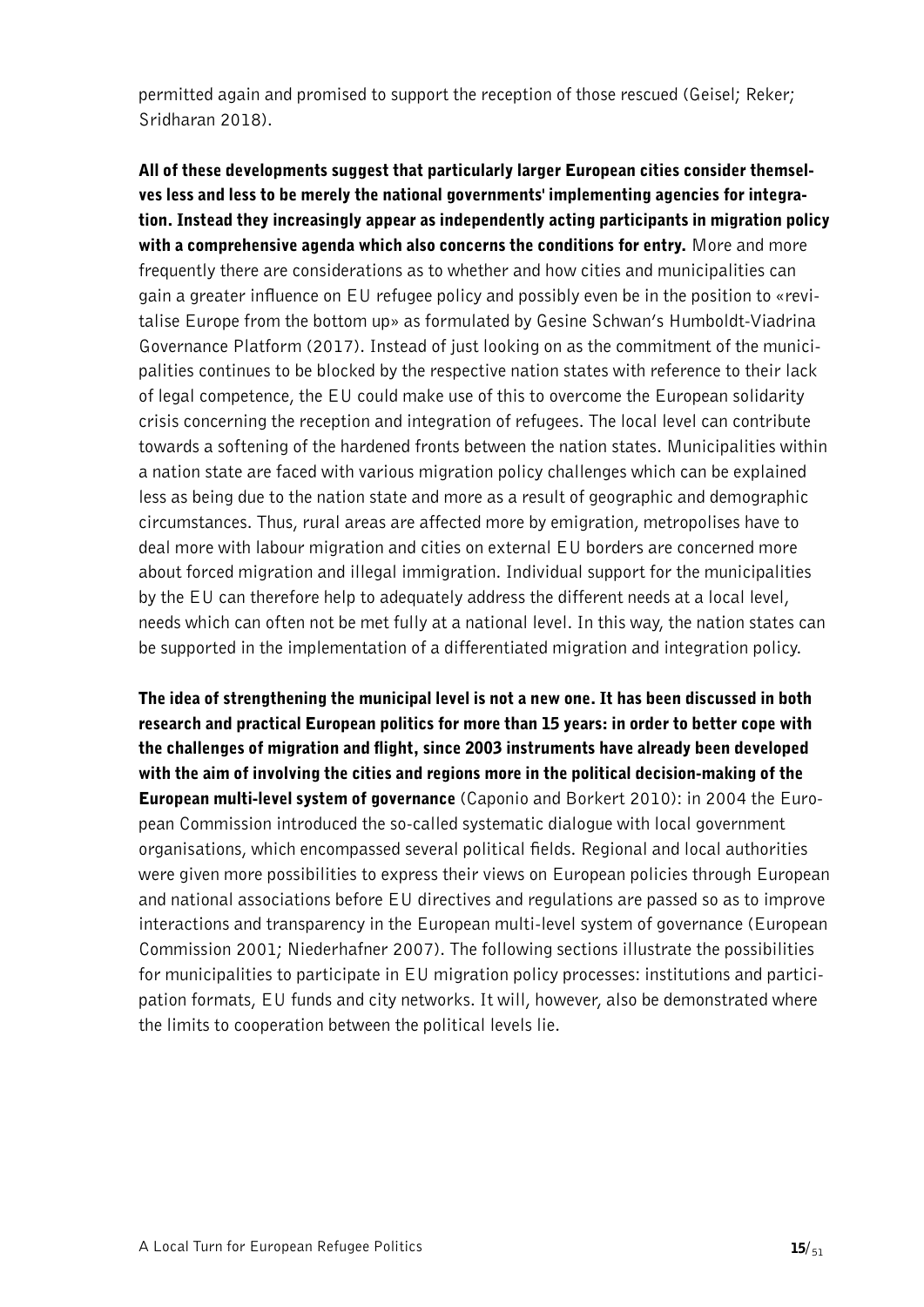permitted again and promised to support the reception of those rescued (Geisel; Reker; Sridharan 2018).

All of these developments suggest that particularly larger European cities consider themselves less and less to be merely the national governments' implementing agencies for integration. Instead they increasingly appear as independently acting participants in migration policy with a comprehensive agenda which also concerns the conditions for entry. More and more frequently there are considerations as to whether and how cities and municipalities can gain a greater influence on EU refugee policy and possibly even be in the position to «revitalise Europe from the bottom up» as formulated by Gesine Schwan's Humboldt-Viadrina Governance Platform (2017). Instead of just looking on as the commitment of the municipalities continues to be blocked by the respective nation states with reference to their lack of legal competence, the EU could make use of this to overcome the European solidarity crisis concerning the reception and integration of refugees. The local level can contribute towards a softening of the hardened fronts between the nation states. Municipalities within a nation state are faced with various migration policy challenges which can be explained less as being due to the nation state and more as a result of geographic and demographic circumstances. Thus, rural areas are affected more by emigration, metropolises have to deal more with labour migration and cities on external EU borders are concerned more about forced migration and illegal immigration. Individual support for the municipalities by the EU can therefore help to adequately address the different needs at a local level, needs which can often not be met fully at a national level. In this way, the nation states can be supported in the implementation of a differentiated migration and integration policy.

The idea of strengthening the municipal level is not a new one. It has been discussed in both research and practical European politics for more than 15 years: in order to better cope with the challenges of migration and flight, since 2003 instruments have already been developed with the aim of involving the cities and regions more in the political decision-making of the European multi-level system of governance (Caponio and Borkert 2010): in 2004 the European Commission introduced the so-called systematic dialogue with local government organisations, which encompassed several political fields. Regional and local authorities were given more possibilities to express their views on European policies through European and national associations before EU directives and regulations are passed so as to improve interactions and transparency in the European multi-level system of governance (European Commission 2001; Niederhafner 2007). The following sections illustrate the possibilities for municipalities to participate in EU migration policy processes: institutions and participation formats, EU funds and city networks. It will, however, also be demonstrated where the limits to cooperation between the political levels lie.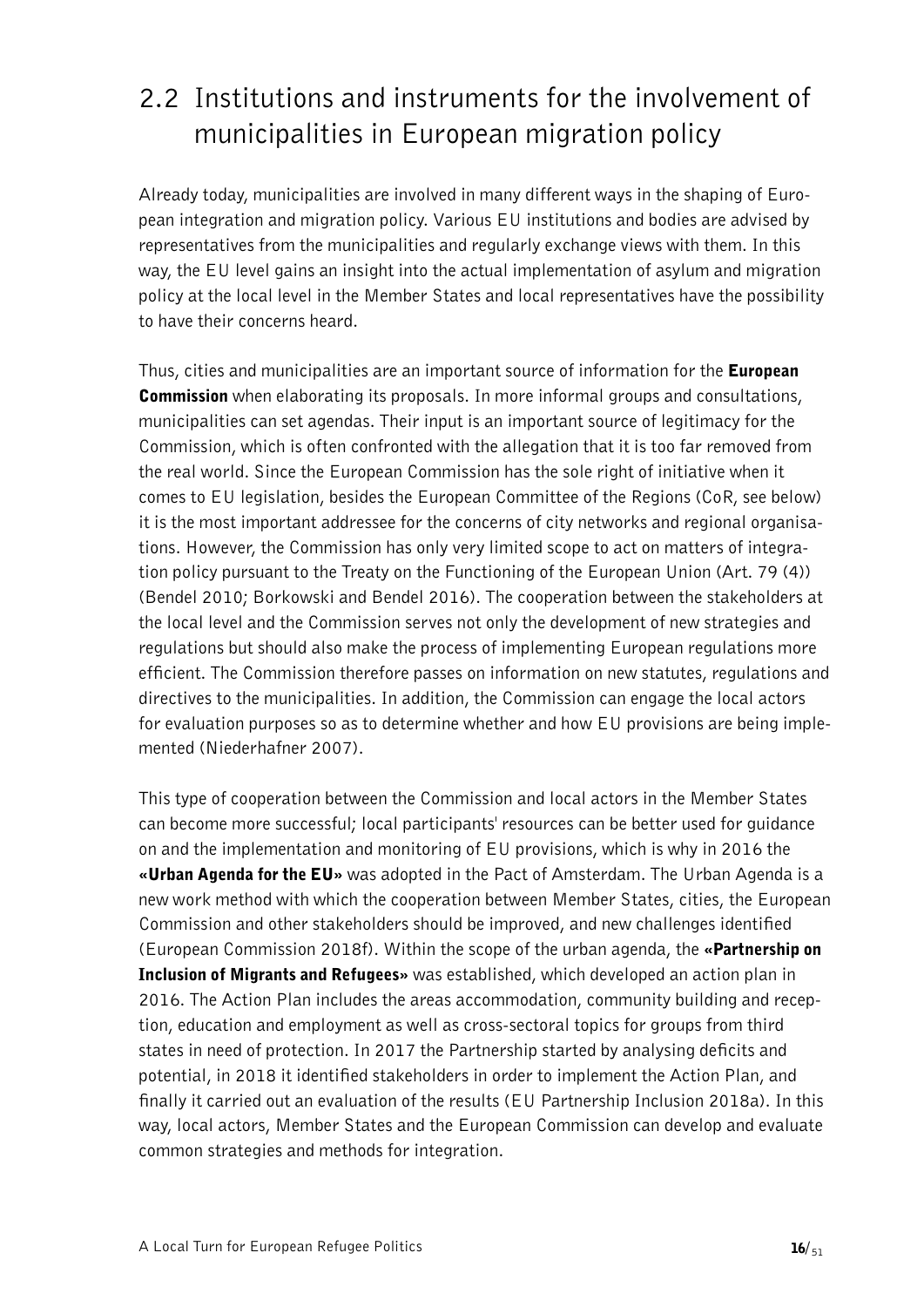### <span id="page-15-0"></span>2.2 Institutions and instruments for the involvement of municipalities in European migration policy

Already today, municipalities are involved in many different ways in the shaping of European integration and migration policy. Various EU institutions and bodies are advised by representatives from the municipalities and regularly exchange views with them. In this way, the EU level gains an insight into the actual implementation of asylum and migration policy at the local level in the Member States and local representatives have the possibility to have their concerns heard.

Thus, cities and municipalities are an important source of information for the **European Commission** when elaborating its proposals. In more informal groups and consultations, municipalities can set agendas. Their input is an important source of legitimacy for the Commission, which is often confronted with the allegation that it is too far removed from the real world. Since the European Commission has the sole right of initiative when it comes to EU legislation, besides the European Committee of the Regions (CoR, see below) it is the most important addressee for the concerns of city networks and regional organisations. However, the Commission has only very limited scope to act on matters of integration policy pursuant to the Treaty on the Functioning of the European Union (Art. 79 (4)) (Bendel 2010; Borkowski and Bendel 2016). The cooperation between the stakeholders at the local level and the Commission serves not only the development of new strategies and regulations but should also make the process of implementing European regulations more efficient. The Commission therefore passes on information on new statutes, regulations and directives to the municipalities. In addition, the Commission can engage the local actors for evaluation purposes so as to determine whether and how EU provisions are being implemented (Niederhafner 2007).

This type of cooperation between the Commission and local actors in the Member States can become more successful; local participants' resources can be better used for guidance on and the implementation and monitoring of EU provisions, which is why in 2016 the «**Urban Agenda for the EU**» was adopted in the Pact of Amsterdam. The Urban Agenda is a new work method with which the cooperation between Member States, cities, the European Commission and other stakeholders should be improved, and new challenges identified (European Commission 2018f). Within the scope of the urban agenda, the «Partnership on Inclusion of Migrants and Refugees» was established, which developed an action plan in 2016. The Action Plan includes the areas accommodation, community building and reception, education and employment as well as cross-sectoral topics for groups from third states in need of protection. In 2017 the Partnership started by analysing deficits and potential, in 2018 it identified stakeholders in order to implement the Action Plan, and finally it carried out an evaluation of the results (EU Partnership Inclusion 2018a). In this way, local actors, Member States and the European Commission can develop and evaluate common strategies and methods for integration.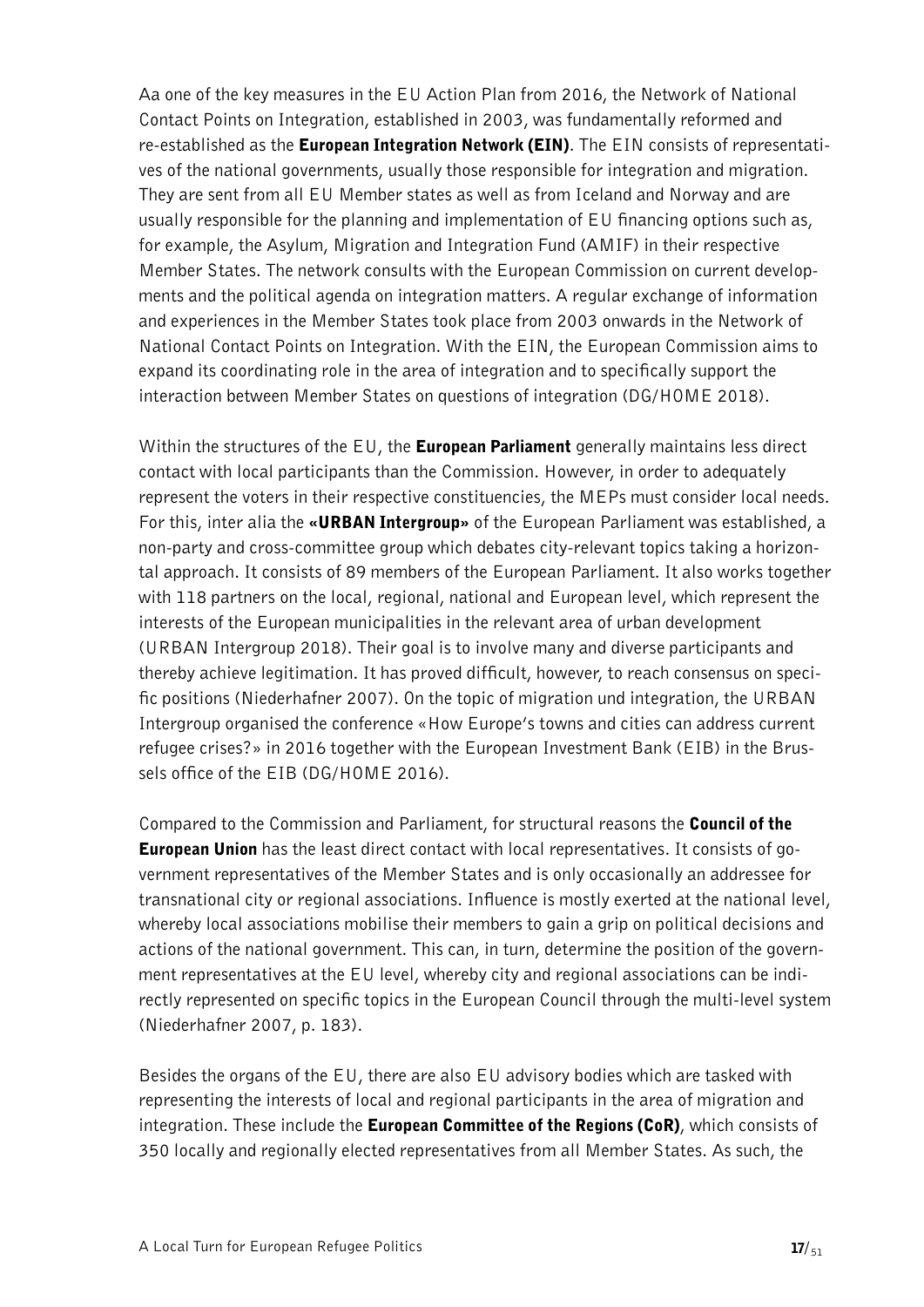Aa one of the key measures in the EU Action Plan from 2016, the Network of National Contact Points on Integration, established in 2003, was fundamentally reformed and re-established as the European Integration Network (EIN). The EIN consists of representatives of the national governments, usually those responsible for integration and migration. They are sent from all EU Member states as well as from Iceland and Norway and are usually responsible for the planning and implementation of EU financing options such as, for example, the Asylum, Migration and Integration Fund (AMIF) in their respective Member States. The network consults with the European Commission on current developments and the political agenda on integration matters. A regular exchange of information and experiences in the Member States took place from 2003 onwards in the Network of National Contact Points on Integration. With the EIN, the European Commission aims to expand its coordinating role in the area of integration and to specifically support the interaction between Member States on questions of integration (DG/HOME 2018).

Within the structures of the  $EU$ , the **European Parliament** generally maintains less direct contact with local participants than the Commission. However, in order to adequately represent the voters in their respective constituencies, the MEPs must consider local needs. For this, inter alia the «**URBAN Intergroup**» of the European Parliament was established, a non-party and cross-committee group which debates city-relevant topics taking a horizontal approach. It consists of 89 members of the European Parliament. It also works together with 118 partners on the local, regional, national and European level, which represent the interests of the European municipalities in the relevant area of urban development (URBAN Intergroup 2018). Their goal is to involve many and diverse participants and thereby achieve legitimation. It has proved difficult, however, to reach consensus on specific positions (Niederhafner 2007). On the topic of migration und integration, the URBAN Intergroup organised the conference «How Europe's towns and cities can address current refugee crises?» in 2016 together with the European Investment Bank (EIB) in the Brussels office of the EIB (DG/HOME 2016).

Compared to the Commission and Parliament, for structural reasons the Council of the European Union has the least direct contact with local representatives. It consists of government representatives of the Member States and is only occasionally an addressee for transnational city or regional associations. Influence is mostly exerted at the national level, whereby local associations mobilise their members to gain a grip on political decisions and actions of the national government. This can, in turn, determine the position of the government representatives at the EU level, whereby city and regional associations can be indirectly represented on specific topics in the European Council through the multi-level system (Niederhafner 2007, p. 183).

Besides the organs of the EU, there are also EU advisory bodies which are tasked with representing the interests of local and regional participants in the area of migration and integration. These include the **European Committee of the Regions (CoR)**, which consists of 350 locally and regionally elected representatives from all Member States. As such, the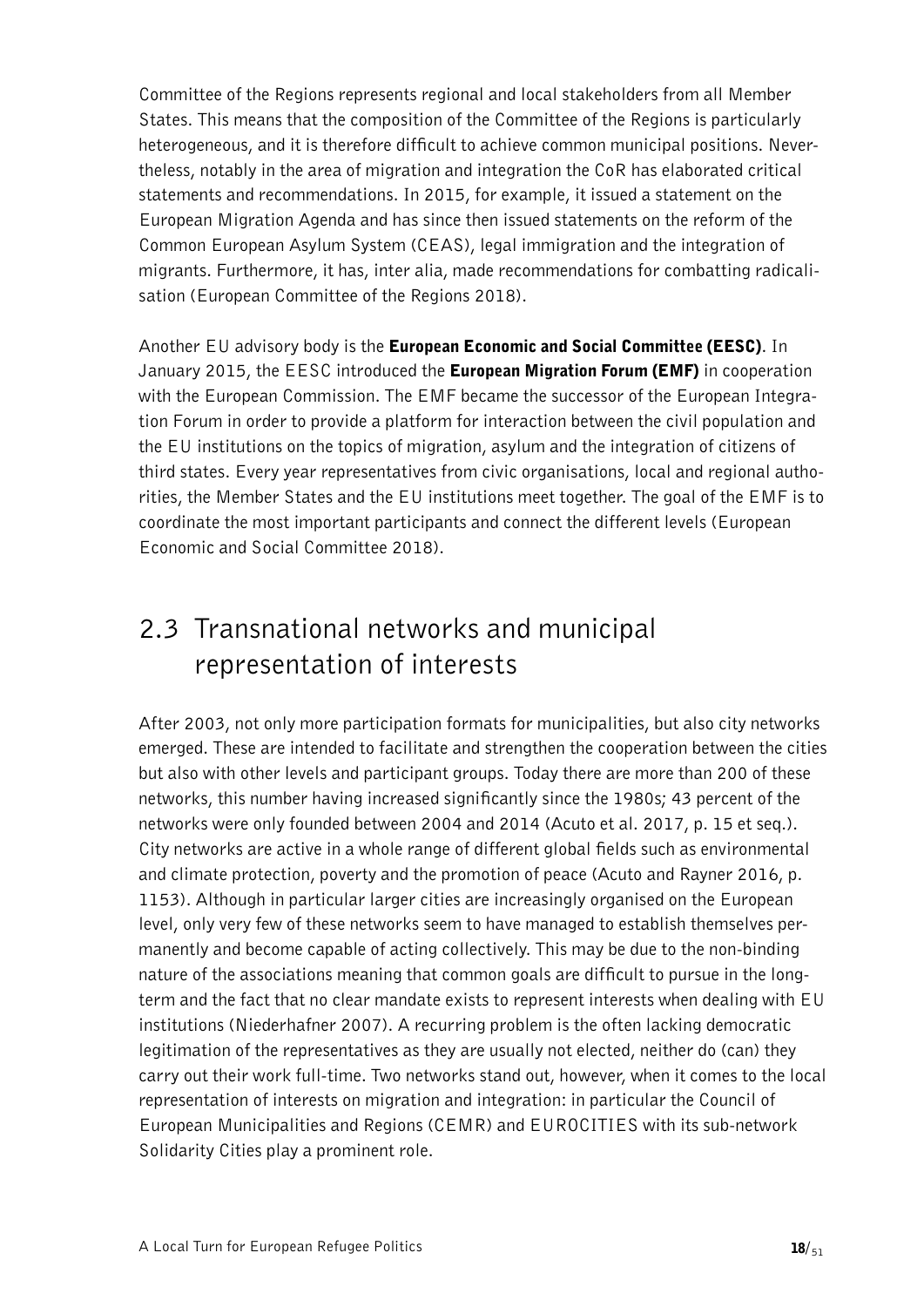Committee of the Regions represents regional and local stakeholders from all Member States. This means that the composition of the Committee of the Regions is particularly heterogeneous, and it is therefore difficult to achieve common municipal positions. Nevertheless, notably in the area of migration and integration the CoR has elaborated critical statements and recommendations. In 2015, for example, it issued a statement on the European Migration Agenda and has since then issued statements on the reform of the Common European Asylum System (CEAS), legal immigration and the integration of migrants. Furthermore, it has, inter alia, made recommendations for combatting radicalisation (European Committee of the Regions 2018).

Another EU advisory body is the **European Economic and Social Committee (EESC)**. In January 2015, the EESC introduced the **European Migration Forum (EMF)** in cooperation with the European Commission. The EMF became the successor of the European Integration Forum in order to provide a platform for interaction between the civil population and the EU institutions on the topics of migration, asylum and the integration of citizens of third states. Every year representatives from civic organisations, local and regional authorities, the Member States and the EU institutions meet together. The goal of the EMF is to coordinate the most important participants and connect the different levels (European Economic and Social Committee 2018).

### <span id="page-17-0"></span>2.3 Transnational networks and municipal representation of interests

After 2003, not only more participation formats for municipalities, but also city networks emerged. These are intended to facilitate and strengthen the cooperation between the cities but also with other levels and participant groups. Today there are more than 200 of these networks, this number having increased significantly since the 1980s; 43 percent of the networks were only founded between 2004 and 2014 (Acuto et al. 2017, p. 15 et seq.). City networks are active in a whole range of different global fields such as environmental and climate protection, poverty and the promotion of peace (Acuto and Rayner 2016, p. 1153). Although in particular larger cities are increasingly organised on the European level, only very few of these networks seem to have managed to establish themselves permanently and become capable of acting collectively. This may be due to the non-binding nature of the associations meaning that common goals are difficult to pursue in the longterm and the fact that no clear mandate exists to represent interests when dealing with EU institutions (Niederhafner 2007). A recurring problem is the often lacking democratic legitimation of the representatives as they are usually not elected, neither do (can) they carry out their work full-time. Two networks stand out, however, when it comes to the local representation of interests on migration and integration: in particular the Council of European Municipalities and Regions (CEMR) and EUROCITIES with its sub-network Solidarity Cities play a prominent role.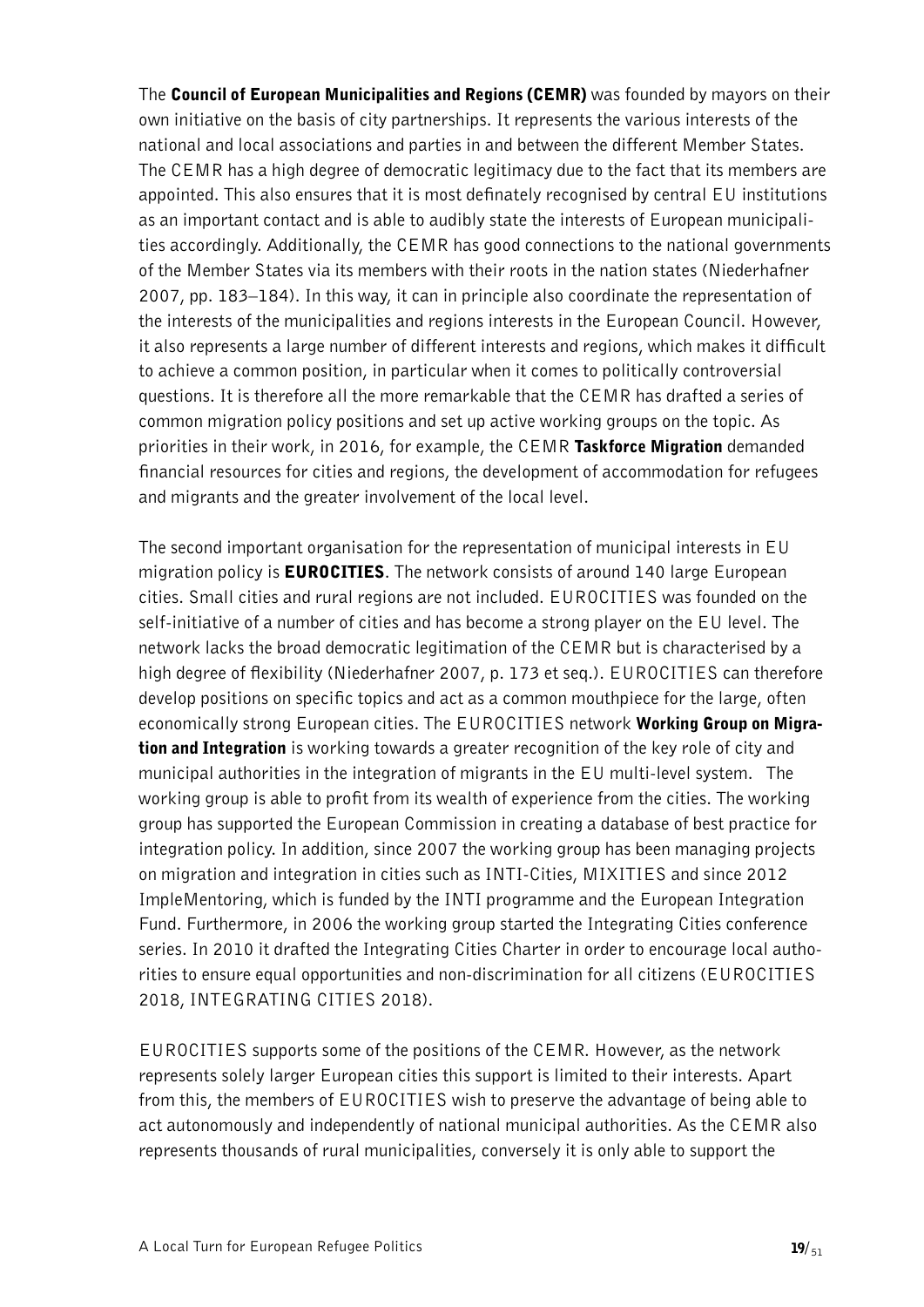The Council of European Municipalities and Regions (CEMR) was founded by mayors on their own initiative on the basis of city partnerships. It represents the various interests of the national and local associations and parties in and between the different Member States. The CEMR has a high degree of democratic legitimacy due to the fact that its members are appointed. This also ensures that it is most definately recognised by central EU institutions as an important contact and is able to audibly state the interests of European municipalities accordingly. Additionally, the CEMR has good connections to the national governments of the Member States via its members with their roots in the nation states (Niederhafner 2007, pp. 183–184). In this way, it can in principle also coordinate the representation of the interests of the municipalities and regions interests in the European Council. However, it also represents a large number of different interests and regions, which makes it difficult to achieve a common position, in particular when it comes to politically controversial questions. It is therefore all the more remarkable that the CEMR has drafted a series of common migration policy positions and set up active working groups on the topic. As priorities in their work, in 2016, for example, the CEMR Taskforce Migration demanded financial resources for cities and regions, the development of accommodation for refugees and migrants and the greater involvement of the local level.

The second important organisation for the representation of municipal interests in EU migration policy is **EUROCITIES**. The network consists of around 140 large European cities. Small cities and rural regions are not included. EUROCITIES was founded on the self-initiative of a number of cities and has become a strong player on the EU level. The network lacks the broad democratic legitimation of the CEMR but is characterised by a high degree of flexibility (Niederhafner 2007, p. 173 et seq.). EUROCITIES can therefore develop positions on specific topics and act as a common mouthpiece for the large, often economically strong European cities. The EUROCITIES network Working Group on Migration and Integration is working towards a greater recognition of the key role of city and municipal authorities in the integration of migrants in the EU multi-level system. The working group is able to profit from its wealth of experience from the cities. The working group has supported the European Commission in creating a database of best practice for integration policy. In addition, since 2007 the working group has been managing projects on migration and integration in cities such as INTI-Cities, MIXITIES and since 2012 ImpleMentoring, which is funded by the INTI programme and the European Integration Fund. Furthermore, in 2006 the working group started the Integrating Cities conference series. In 2010 it drafted the Integrating Cities Charter in order to encourage local authorities to ensure equal opportunities and non-discrimination for all citizens (EUROCITIES 2018, INTEGRATING CITIES 2018).

EUROCITIES supports some of the positions of the CEMR. However, as the network represents solely larger European cities this support is limited to their interests. Apart from this, the members of EUROCITIES wish to preserve the advantage of being able to act autonomously and independently of national municipal authorities. As the CEMR also represents thousands of rural municipalities, conversely it is only able to support the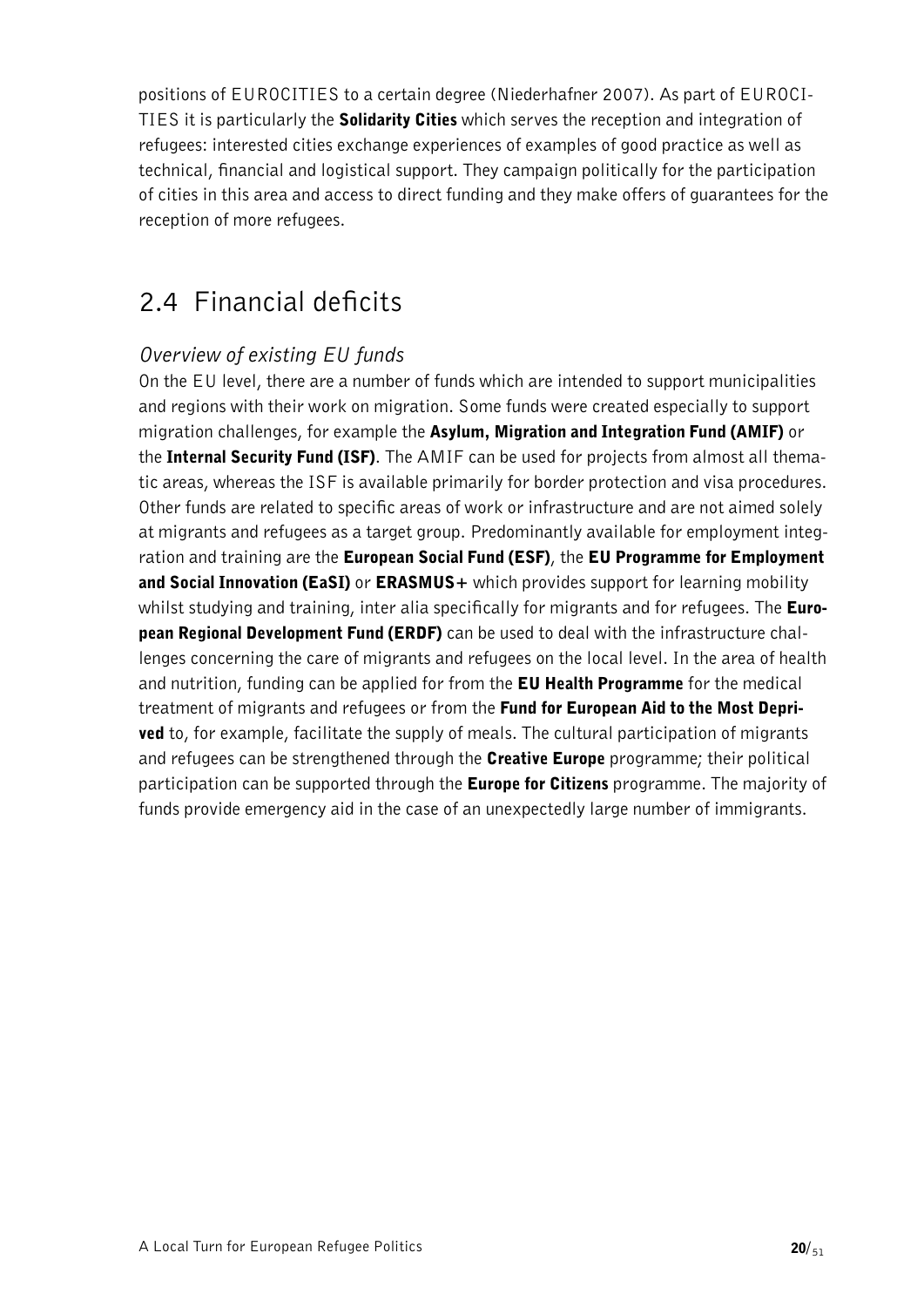positions of EUROCITIES to a certain degree (Niederhafner 2007). As part of EUROCI-TIES it is particularly the **Solidarity Cities** which serves the reception and integration of refugees: interested cities exchange experiences of examples of good practice as well as technical, financial and logistical support. They campaign politically for the participation of cities in this area and access to direct funding and they make offers of guarantees for the reception of more refugees.

### <span id="page-19-0"></span>2.4 Financial deficits

### *Overview of existing EU funds*

On the EU level, there are a number of funds which are intended to support municipalities and regions with their work on migration. Some funds were created especially to support migration challenges, for example the Asylum, Migration and Integration Fund (AMIF) or the Internal Security Fund (ISF). The AMIF can be used for projects from almost all thematic areas, whereas the ISF is available primarily for border protection and visa procedures. Other funds are related to specific areas of work or infrastructure and are not aimed solely at migrants and refugees as a target group. Predominantly available for employment integration and training are the European Social Fund (ESF), the EU Programme for Employment and Social Innovation (EaSI) or ERASMUS+ which provides support for learning mobility whilst studying and training, inter alia specifically for migrants and for refugees. The **Euro**pean Regional Development Fund (ERDF) can be used to deal with the infrastructure challenges concerning the care of migrants and refugees on the local level. In the area of health and nutrition, funding can be applied for from the **EU Health Programme** for the medical treatment of migrants and refugees or from the Fund for European Aid to the Most Depri**ved** to, for example, facilitate the supply of meals. The cultural participation of migrants and refugees can be strengthened through the **Creative Europe** programme; their political participation can be supported through the **Europe for Citizens** programme. The majority of funds provide emergency aid in the case of an unexpectedly large number of immigrants.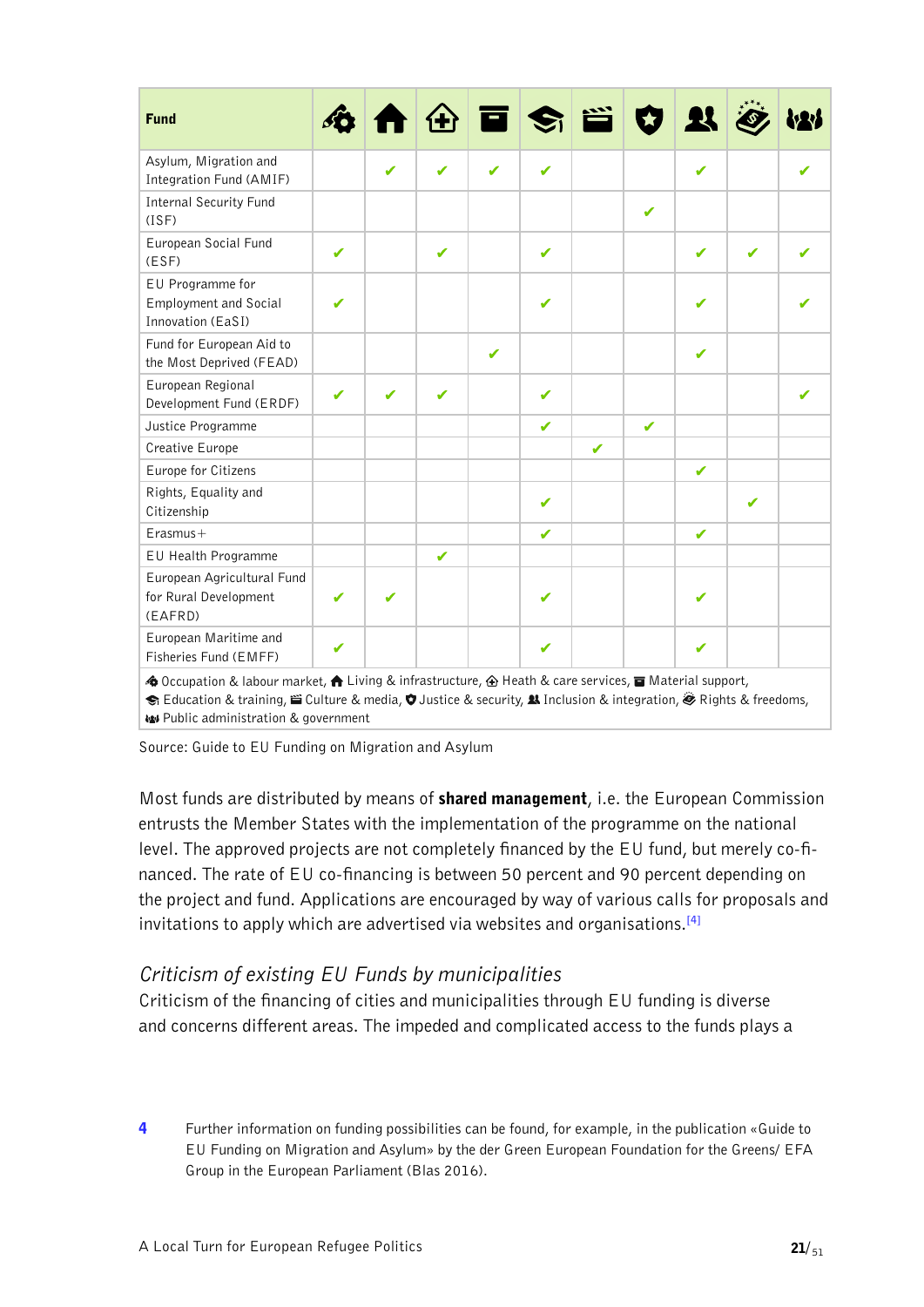| <b>Fund</b>                                                                                                                                                                                                                                                                                                  |   |   |              | Ō۱ | $ \mathbf{S} $ |   |   | $\mathbf{R}$ |   |  |
|--------------------------------------------------------------------------------------------------------------------------------------------------------------------------------------------------------------------------------------------------------------------------------------------------------------|---|---|--------------|----|----------------|---|---|--------------|---|--|
| Asylum, Migration and<br>Integration Fund (AMIF)                                                                                                                                                                                                                                                             |   |   | ✔            |    |                |   |   | ✔            |   |  |
| <b>Internal Security Fund</b><br>(ISF)                                                                                                                                                                                                                                                                       |   |   |              |    |                |   | ✔ |              |   |  |
| European Social Fund<br>(ESF)                                                                                                                                                                                                                                                                                | ✔ |   | ✔            |    | $\checkmark$   |   |   | ✔            | J |  |
| EU Programme for<br><b>Employment and Social</b><br>Innovation (EaSI)                                                                                                                                                                                                                                        | J |   |              |    | J              |   |   | J            |   |  |
| Fund for European Aid to<br>the Most Deprived (FEAD)                                                                                                                                                                                                                                                         |   |   |              | J  |                |   |   | ✔            |   |  |
| European Regional<br>Development Fund (ERDF)                                                                                                                                                                                                                                                                 | ✔ | ✔ | ✔            |    | $\checkmark$   |   |   |              |   |  |
| Justice Programme                                                                                                                                                                                                                                                                                            |   |   |              |    | $\checkmark$   |   | ✔ |              |   |  |
| Creative Europe                                                                                                                                                                                                                                                                                              |   |   |              |    |                | ✔ |   |              |   |  |
| Europe for Citizens                                                                                                                                                                                                                                                                                          |   |   |              |    |                |   |   | ✔            |   |  |
| Rights, Equality and<br>Citizenship                                                                                                                                                                                                                                                                          |   |   |              |    | ✔              |   |   |              | ✔ |  |
| $Erasmus+$                                                                                                                                                                                                                                                                                                   |   |   |              |    | ✔              |   |   | ✔            |   |  |
| EU Health Programme                                                                                                                                                                                                                                                                                          |   |   | $\checkmark$ |    |                |   |   |              |   |  |
| European Agricultural Fund<br>for Rural Development<br>(EAFRD)                                                                                                                                                                                                                                               |   |   |              |    | ✔              |   |   | ✔            |   |  |
| European Maritime and<br>Fisheries Fund (EMFF)                                                                                                                                                                                                                                                               | ✔ |   |              |    | ✔              |   |   | ✔            |   |  |
| <b>4</b> Occupation & labour market, <b>A</b> Living & infrastructure, 企 Heath & care services, a Material support,<br>S Education & training, ii Culture & media, $\bullet$ Justice & security, $\clubsuit$ Inclusion & integration, $\clubsuit$ Rights & freedoms,<br>W Public administration & government |   |   |              |    |                |   |   |              |   |  |

Source: Guide to EU Funding on Migration and Asylum

Most funds are distributed by means of shared management, i.e. the European Commission entrusts the Member States with the implementation of the programme on the national level. The approved projects are not completely financed by the EU fund, but merely co-financed. The rate of EU co-financing is between 50 percent and 90 percent depending on the project and fund. Applications are encouraged by way of various calls for proposals and invitations to apply which are advertised via websites and organisations.**[\[4\]](#page-20-0)**

### <span id="page-20-1"></span>*Criticism of existing EU Funds by municipalities*

Criticism of the financing of cities and municipalities through EU funding is diverse and concerns different areas. The impeded and complicated access to the funds plays a

<span id="page-20-0"></span>[4](#page-20-1) Further information on funding possibilities can be found, for example, in the publication «Guide to EU Funding on Migration and Asylum» by the der Green European Foundation for the Greens/ EFA Group in the European Parliament (Blas 2016).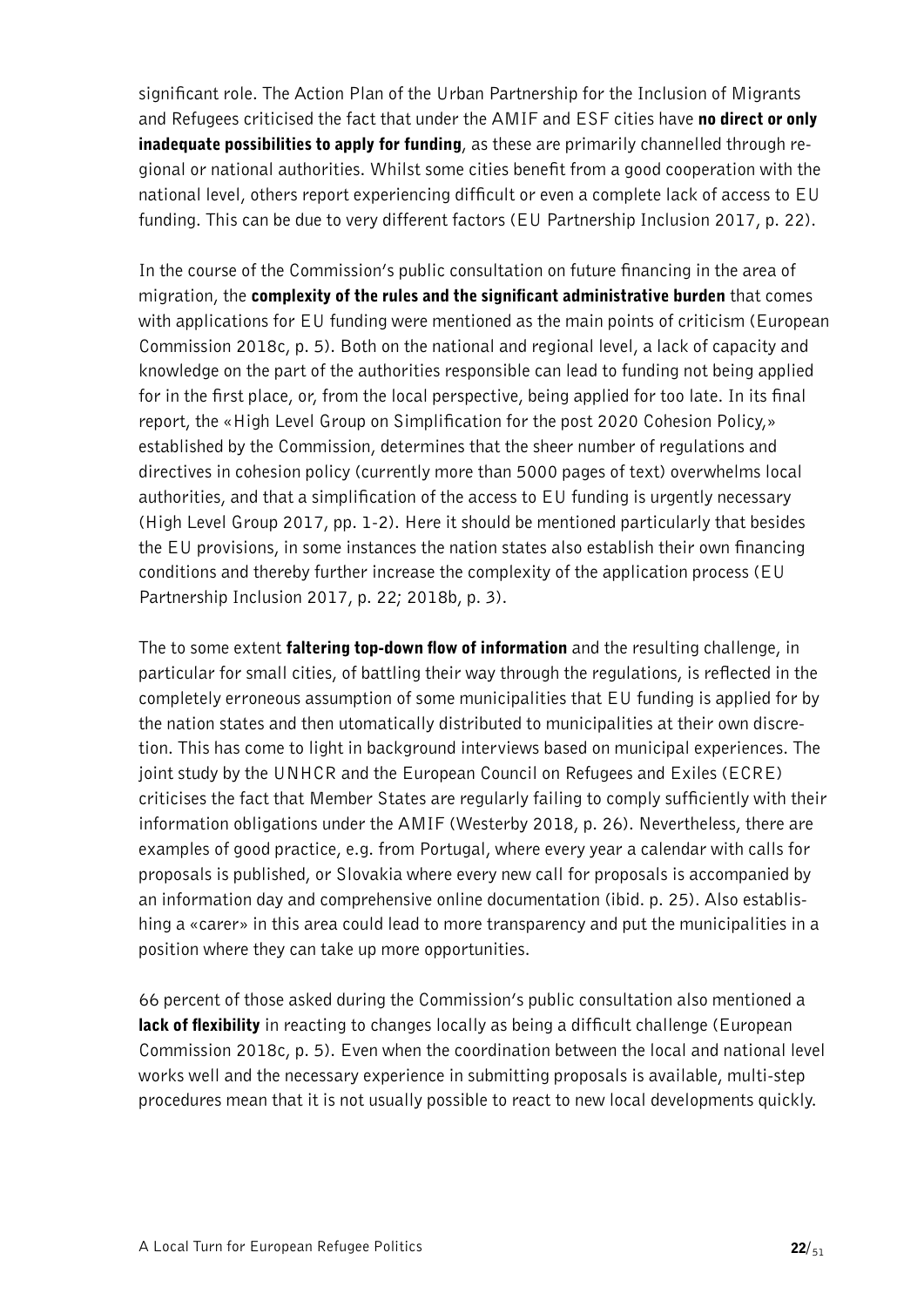significant role. The Action Plan of the Urban Partnership for the Inclusion of Migrants and Refugees criticised the fact that under the AMIF and ESF cities have no direct or only inadequate possibilities to apply for funding, as these are primarily channelled through regional or national authorities. Whilst some cities benefit from a good cooperation with the national level, others report experiencing difficult or even a complete lack of access to EU funding. This can be due to very different factors (EU Partnership Inclusion 2017, p. 22).

In the course of the Commission's public consultation on future financing in the area of migration, the complexity of the rules and the significant administrative burden that comes with applications for EU funding were mentioned as the main points of criticism (European Commission 2018c, p. 5). Both on the national and regional level, a lack of capacity and knowledge on the part of the authorities responsible can lead to funding not being applied for in the first place, or, from the local perspective, being applied for too late. In its final report, the «High Level Group on Simplification for the post 2020 Cohesion Policy,» established by the Commission, determines that the sheer number of regulations and directives in cohesion policy (currently more than 5000 pages of text) overwhelms local authorities, and that a simplification of the access to EU funding is urgently necessary (High Level Group 2017, pp. 1-2). Here it should be mentioned particularly that besides the EU provisions, in some instances the nation states also establish their own financing conditions and thereby further increase the complexity of the application process (EU Partnership Inclusion 2017, p. 22; 2018b, p. 3).

The to some extent **faltering top-down flow of information** and the resulting challenge, in particular for small cities, of battling their way through the regulations, is reflected in the completely erroneous assumption of some municipalities that EU funding is applied for by the nation states and then utomatically distributed to municipalities at their own discretion. This has come to light in background interviews based on municipal experiences. The joint study by the UNHCR and the European Council on Refugees and Exiles (ECRE) criticises the fact that Member States are regularly failing to comply sufficiently with their information obligations under the AMIF (Westerby 2018, p. 26). Nevertheless, there are examples of good practice, e.g. from Portugal, where every year a calendar with calls for proposals is published, or Slovakia where every new call for proposals is accompanied by an information day and comprehensive online documentation (ibid. p. 25). Also establishing a «carer» in this area could lead to more transparency and put the municipalities in a position where they can take up more opportunities.

66 percent of those asked during the Commission's public consultation also mentioned a **lack of flexibility** in reacting to changes locally as being a difficult challenge (European Commission 2018c, p. 5). Even when the coordination between the local and national level works well and the necessary experience in submitting proposals is available, multi-step procedures mean that it is not usually possible to react to new local developments quickly.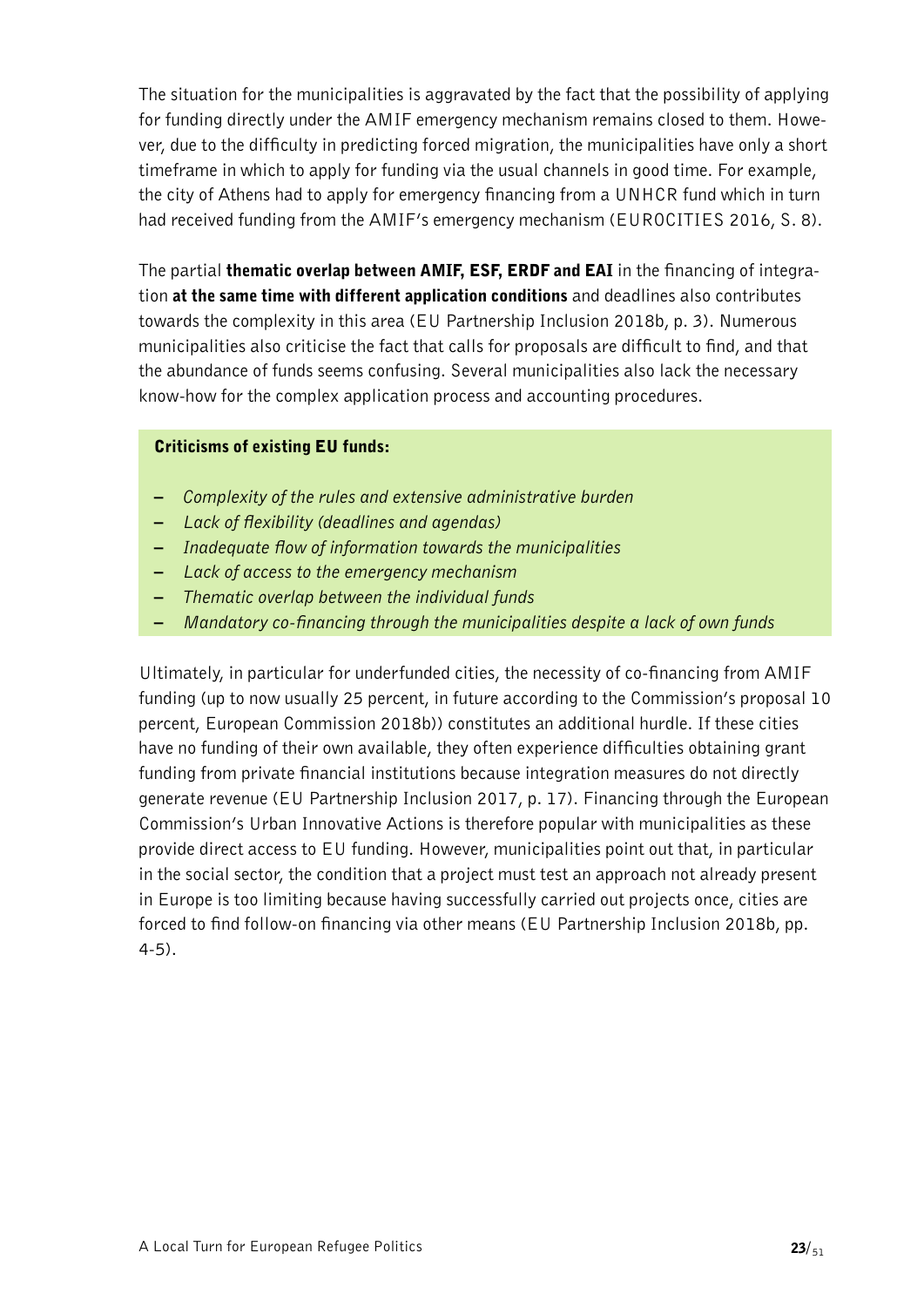The situation for the municipalities is aggravated by the fact that the possibility of applying for funding directly under the AMIF emergency mechanism remains closed to them. However, due to the difficulty in predicting forced migration, the municipalities have only a short timeframe in which to apply for funding via the usual channels in good time. For example, the city of Athens had to apply for emergency financing from a UNHCR fund which in turn had received funding from the AMIF's emergency mechanism (EUROCITIES 2016, S. 8).

The partial thematic overlap between AMIF, ESF, ERDF and EAI in the financing of integration at the same time with different application conditions and deadlines also contributes towards the complexity in this area (EU Partnership Inclusion 2018b, p. 3). Numerous municipalities also criticise the fact that calls for proposals are difficult to find, and that the abundance of funds seems confusing. Several municipalities also lack the necessary know-how for the complex application process and accounting procedures.

#### Criticisms of existing EU funds:

- *Complexity of the rules and extensive administrative burden*
- *Lack of flexibility (deadlines and agendas)*
- *Inadequate flow of information towards the municipalities*
- *Lack of access to the emergency mechanism*
- *Thematic overlap between the individual funds*
- *Mandatory co-financing through the municipalities despite a lack of own funds*

Ultimately, in particular for underfunded cities, the necessity of co-financing from AMIF funding (up to now usually 25 percent, in future according to the Commission's proposal 10 percent, European Commission 2018b)) constitutes an additional hurdle. If these cities have no funding of their own available, they often experience difficulties obtaining grant funding from private financial institutions because integration measures do not directly generate revenue (EU Partnership Inclusion 2017, p. 17). Financing through the European Commission's Urban Innovative Actions is therefore popular with municipalities as these provide direct access to EU funding. However, municipalities point out that, in particular in the social sector, the condition that a project must test an approach not already present in Europe is too limiting because having successfully carried out projects once, cities are forced to find follow-on financing via other means (EU Partnership Inclusion 2018b, pp. 4-5).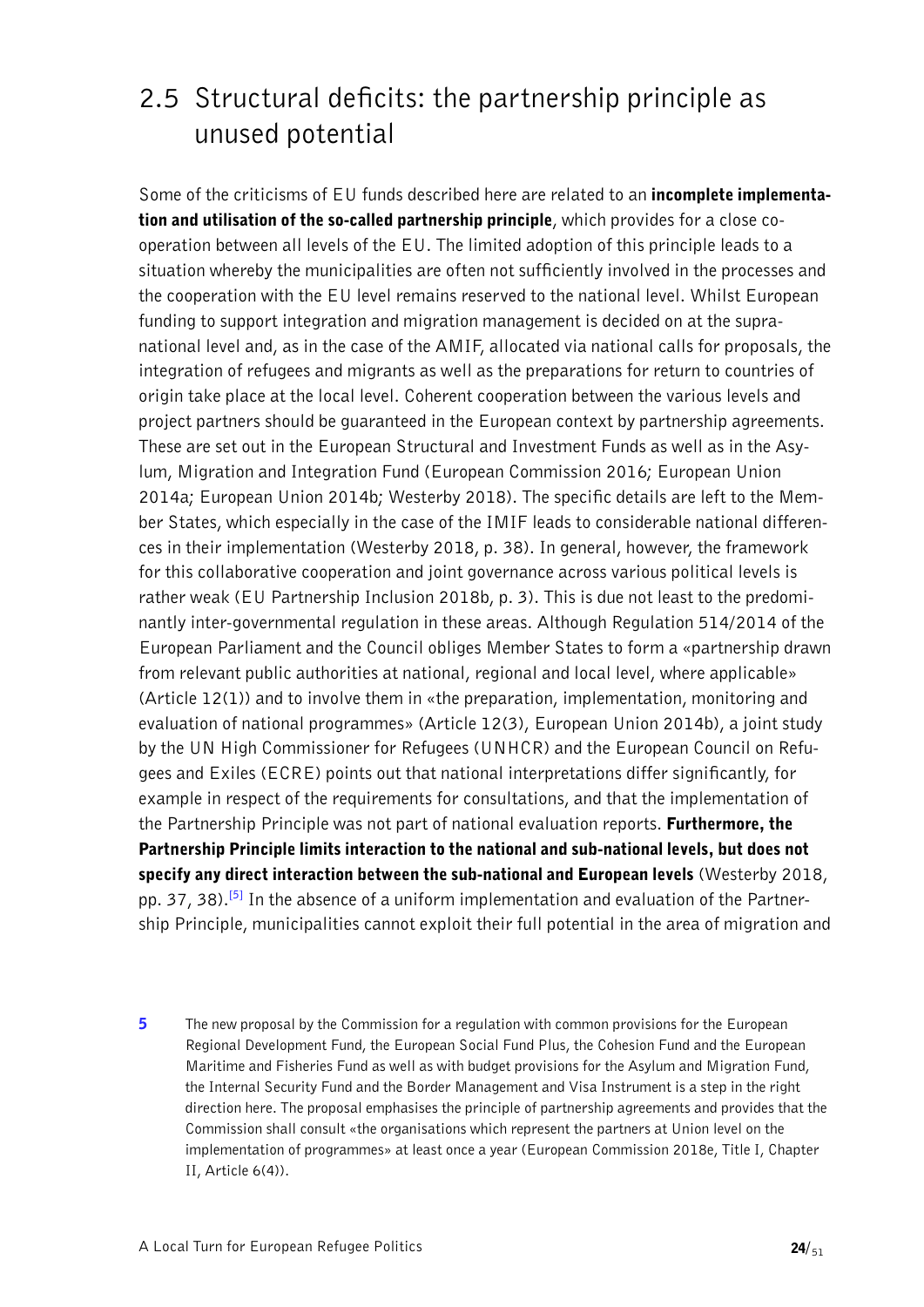### <span id="page-23-0"></span>2.5 Structural deficits: the partnership principle as unused potential

Some of the criticisms of EU funds described here are related to an **incomplete implementa**tion and utilisation of the so-called partnership principle, which provides for a close cooperation between all levels of the EU. The limited adoption of this principle leads to a situation whereby the municipalities are often not sufficiently involved in the processes and the cooperation with the EU level remains reserved to the national level. Whilst European funding to support integration and migration management is decided on at the supranational level and, as in the case of the AMIF, allocated via national calls for proposals, the integration of refugees and migrants as well as the preparations for return to countries of origin take place at the local level. Coherent cooperation between the various levels and project partners should be guaranteed in the European context by partnership agreements. These are set out in the European Structural and Investment Funds as well as in the Asylum, Migration and Integration Fund (European Commission 2016; European Union 2014a; European Union 2014b; Westerby 2018). The specific details are left to the Member States, which especially in the case of the IMIF leads to considerable national differences in their implementation (Westerby 2018, p. 38). In general, however, the framework for this collaborative cooperation and joint governance across various political levels is rather weak (EU Partnership Inclusion 2018b, p. 3). This is due not least to the predominantly inter-governmental regulation in these areas. Although Regulation 514/2014 of the European Parliament and the Council obliges Member States to form a «partnership drawn from relevant public authorities at national, regional and local level, where applicable» (Article 12(1)) and to involve them in «the preparation, implementation, monitoring and evaluation of national programmes» (Article 12(3), European Union 2014b), a joint study by the UN High Commissioner for Refugees (UNHCR) and the European Council on Refugees and Exiles (ECRE) points out that national interpretations differ significantly, for example in respect of the requirements for consultations, and that the implementation of the Partnership Principle was not part of national evaluation reports. Furthermore, the Partnership Principle limits interaction to the national and sub-national levels, but does not specify any direct interaction between the sub-national and European levels (Westerby 2018, pp. 37, 38).**[\[5\]](#page-23-1)** In the absence of a uniform implementation and evaluation of the Partnership Principle, municipalities cannot exploit their full potential in the area of migration and

<span id="page-23-2"></span><span id="page-23-1"></span>5 The new proposal by the Commission for a regulation with common provisions for the European [Regional Development Fund, the European Social Fund Plus, the Cohesion Fund and the European](#page-23-2)  [Maritime and Fisheries Fund as well as with budget provisions for the Asylum and Migration Fund,](#page-23-2)  [the Internal Security Fund and the Border Management and Visa Instrument is a step in the right](#page-23-2)  [direction here. The proposal emphasises the principle of partnership agreements and provides that the](#page-23-2)  [Commission shall consult «the organisations which represent the partners at Union level on the](#page-23-2)  [implementation of programmes» at least once a year \(European Commission 2018e, Title I, Chapter](#page-23-2)  [II, Article 6\(4\)\).](#page-23-2)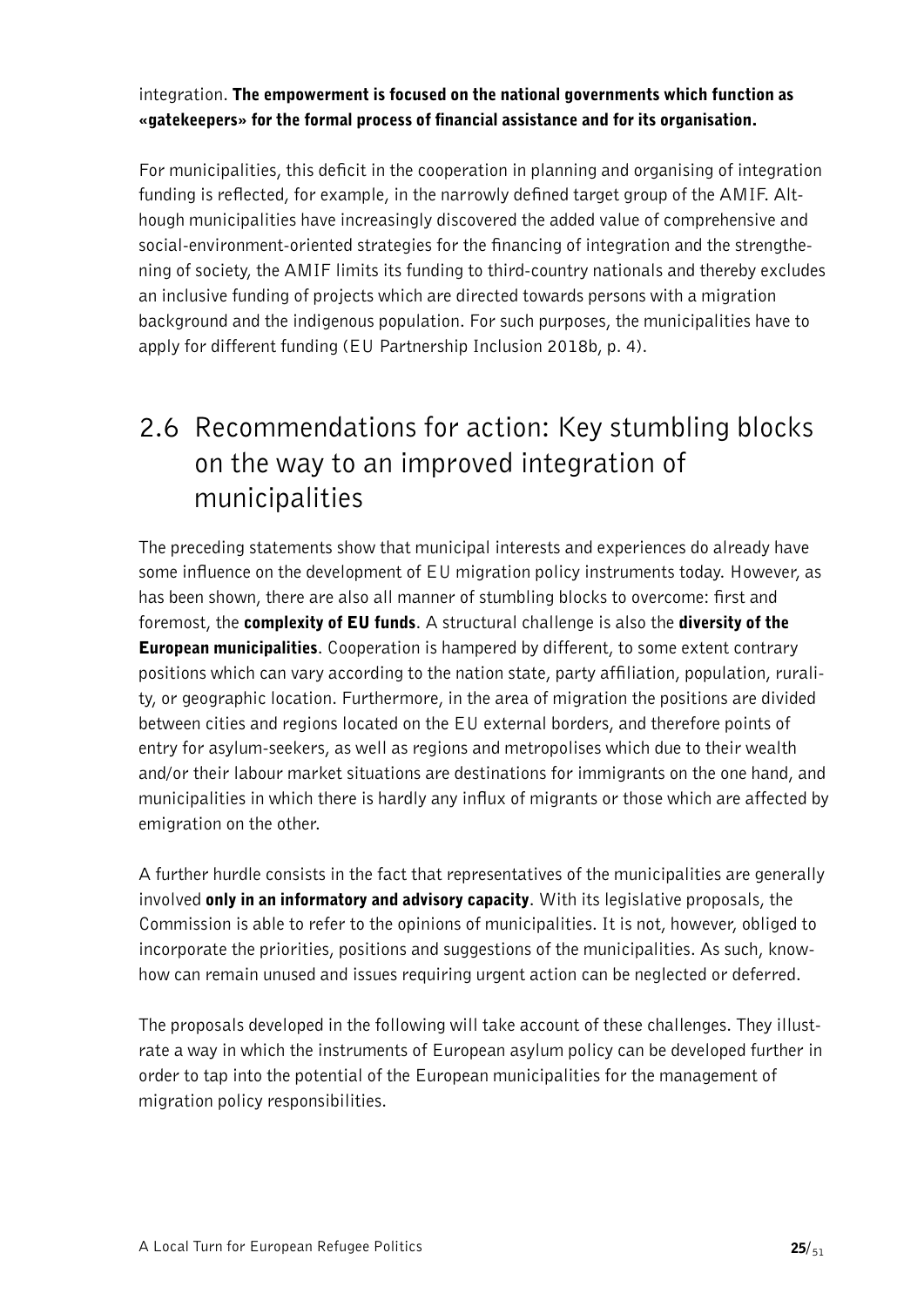### integration. The empowerment is focused on the national governments which function as «gatekeepers» for the formal process of financial assistance and for its organisation.

For municipalities, this deficit in the cooperation in planning and organising of integration funding is reflected, for example, in the narrowly defined target group of the AMIF. Although municipalities have increasingly discovered the added value of comprehensive and social-environment-oriented strategies for the financing of integration and the strengthening of society, the AMIF limits its funding to third-country nationals and thereby excludes an inclusive funding of projects which are directed towards persons with a migration background and the indigenous population. For such purposes, the municipalities have to apply for different funding (EU Partnership Inclusion 2018b, p. 4).

### <span id="page-24-0"></span>2.6 Recommendations for action: Key stumbling blocks on the way to an improved integration of municipalities

The preceding statements show that municipal interests and experiences do already have some influence on the development of EU migration policy instruments today. However, as has been shown, there are also all manner of stumbling blocks to overcome: first and foremost, the complexity of EU funds. A structural challenge is also the diversity of the **European municipalities.** Cooperation is hampered by different, to some extent contrary positions which can vary according to the nation state, party affiliation, population, rurality, or geographic location. Furthermore, in the area of migration the positions are divided between cities and regions located on the EU external borders, and therefore points of entry for asylum-seekers, as well as regions and metropolises which due to their wealth and/or their labour market situations are destinations for immigrants on the one hand, and municipalities in which there is hardly any influx of migrants or those which are affected by emigration on the other.

A further hurdle consists in the fact that representatives of the municipalities are generally involved only in an informatory and advisory capacity. With its legislative proposals, the Commission is able to refer to the opinions of municipalities. It is not, however, obliged to incorporate the priorities, positions and suggestions of the municipalities. As such, knowhow can remain unused and issues requiring urgent action can be neglected or deferred.

The proposals developed in the following will take account of these challenges. They illustrate a way in which the instruments of European asylum policy can be developed further in order to tap into the potential of the European municipalities for the management of migration policy responsibilities.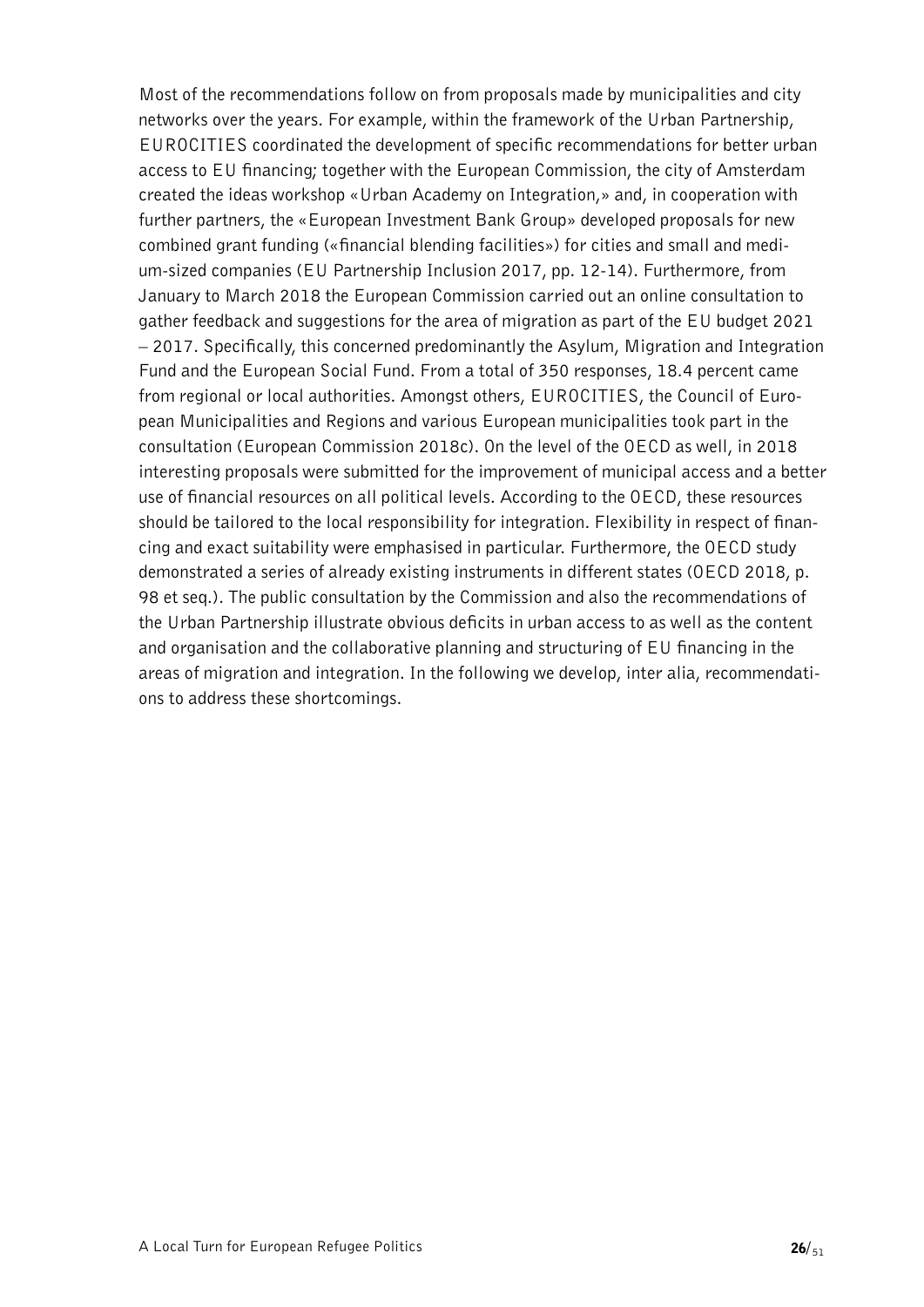Most of the recommendations follow on from proposals made by municipalities and city networks over the years. For example, within the framework of the Urban Partnership, EUROCITIES coordinated the development of specific recommendations for better urban access to EU financing; together with the European Commission, the city of Amsterdam created the ideas workshop «Urban Academy on Integration,» and, in cooperation with further partners, the «European Investment Bank Group» developed proposals for new combined grant funding («financial blending facilities») for cities and small and medium-sized companies (EU Partnership Inclusion 2017, pp. 12-14). Furthermore, from January to March 2018 the European Commission carried out an online consultation to gather feedback and suggestions for the area of migration as part of the EU budget 2021 – 2017. Specifically, this concerned predominantly the Asylum, Migration and Integration Fund and the European Social Fund. From a total of 350 responses, 18.4 percent came from regional or local authorities. Amongst others, EUROCITIES, the Council of European Municipalities and Regions and various European municipalities took part in the consultation (European Commission 2018c). On the level of the OECD as well, in 2018 interesting proposals were submitted for the improvement of municipal access and a better use of financial resources on all political levels. According to the OECD, these resources should be tailored to the local responsibility for integration. Flexibility in respect of financing and exact suitability were emphasised in particular. Furthermore, the OECD study demonstrated a series of already existing instruments in different states (OECD 2018, p. 98 et seq.). The public consultation by the Commission and also the recommendations of the Urban Partnership illustrate obvious deficits in urban access to as well as the content and organisation and the collaborative planning and structuring of EU financing in the areas of migration and integration. In the following we develop, inter alia, recommendations to address these shortcomings.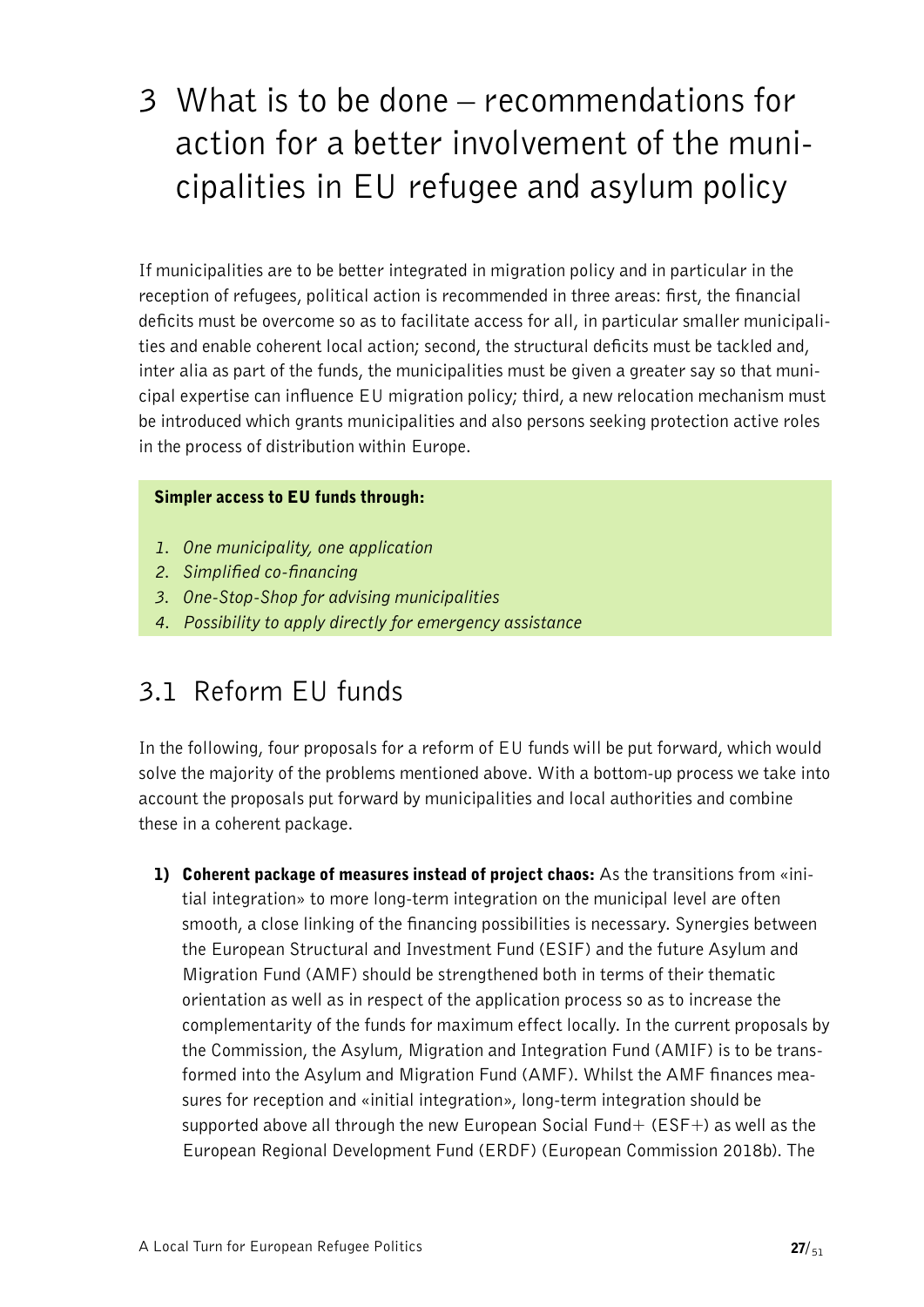# <span id="page-26-0"></span>3 What is to be done – recommendations for action for a better involvement of the municipalities in EU refugee and asylum policy

If municipalities are to be better integrated in migration policy and in particular in the reception of refugees, political action is recommended in three areas: first, the financial deficits must be overcome so as to facilitate access for all, in particular smaller municipalities and enable coherent local action; second, the structural deficits must be tackled and, inter alia as part of the funds, the municipalities must be given a greater say so that municipal expertise can influence EU migration policy; third, a new relocation mechanism must be introduced which grants municipalities and also persons seeking protection active roles in the process of distribution within Europe.

#### Simpler access to EU funds through:

- *1. One municipality, one application*
- *2. Simplified co-financing*
- *3. One-Stop-Shop for advising municipalities*
- *4. Possibility to apply directly for emergency assistance*

### <span id="page-26-1"></span>3.1 Reform EU funds

In the following, four proposals for a reform of EU funds will be put forward, which would solve the majority of the problems mentioned above. With a bottom-up process we take into account the proposals put forward by municipalities and local authorities and combine these in a coherent package.

1) Coherent package of measures instead of project chaos: As the transitions from «initial integration» to more long-term integration on the municipal level are often smooth, a close linking of the financing possibilities is necessary. Synergies between the European Structural and Investment Fund (ESIF) and the future Asylum and Migration Fund (AMF) should be strengthened both in terms of their thematic orientation as well as in respect of the application process so as to increase the complementarity of the funds for maximum effect locally. In the current proposals by the Commission, the Asylum, Migration and Integration Fund (AMIF) is to be transformed into the Asylum and Migration Fund (AMF). Whilst the AMF finances measures for reception and «initial integration», long-term integration should be supported above all through the new European Social Fund  $+$  (ESF $+$ ) as well as the European Regional Development Fund (ERDF) (European Commission 2018b). The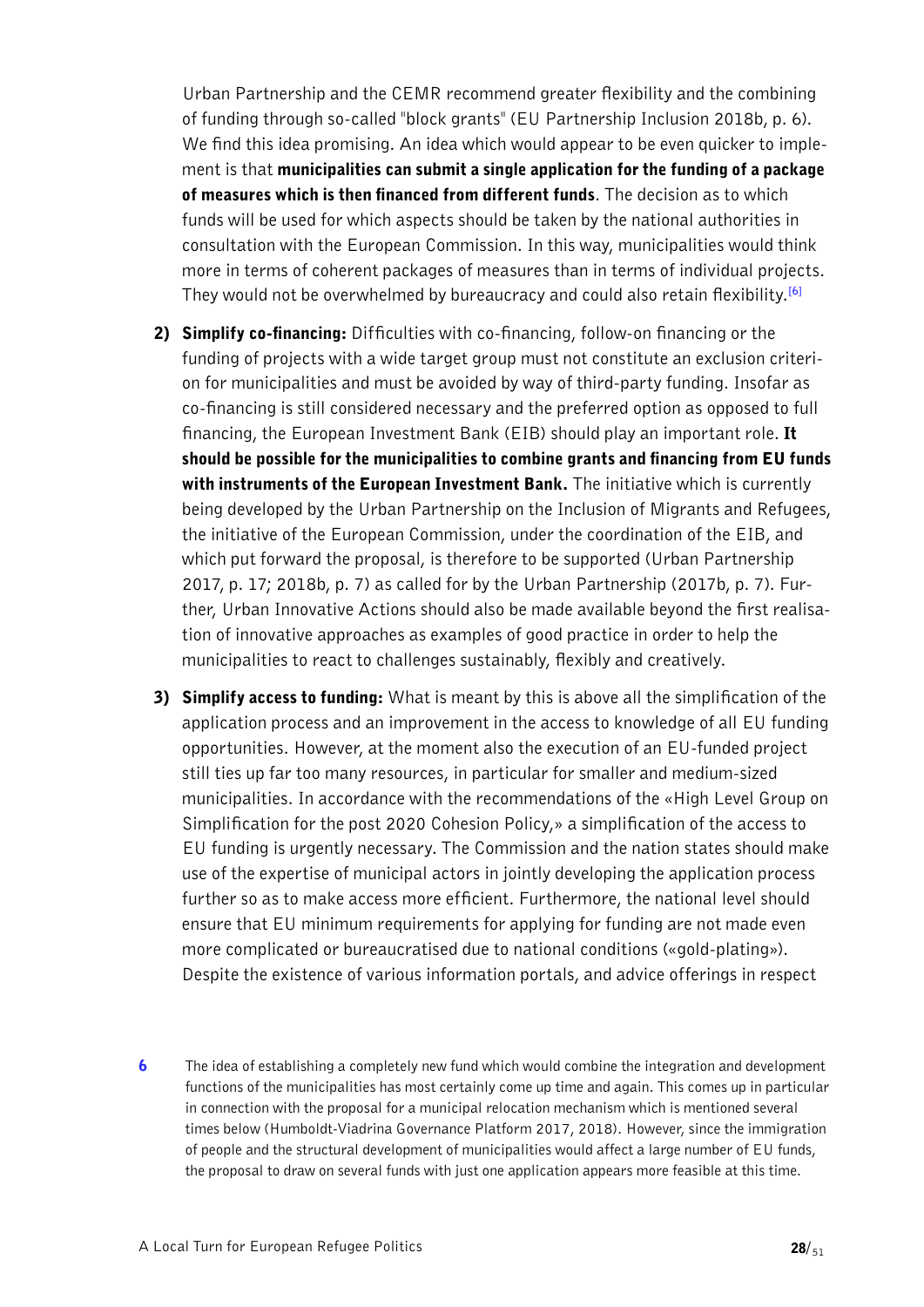Urban Partnership and the CEMR recommend greater flexibility and the combining of funding through so-called "block grants" (EU Partnership Inclusion 2018b, p. 6). We find this idea promising. An idea which would appear to be even quicker to implement is that municipalities can submit a single application for the funding of a package of measures which is then financed from different funds. The decision as to which funds will be used for which aspects should be taken by the national authorities in consultation with the European Commission. In this way, municipalities would think more in terms of coherent packages of measures than in terms of individual projects. They would not be overwhelmed by bureaucracy and could also retain flexibility.**[\[6\]](#page-27-0)**

- <span id="page-27-1"></span>2) Simplify co-financing: Difficulties with co-financing, follow-on financing or the funding of projects with a wide target group must not constitute an exclusion criterion for municipalities and must be avoided by way of third-party funding. Insofar as co-financing is still considered necessary and the preferred option as opposed to full financing, the European Investment Bank (EIB) should play an important role. It should be possible for the municipalities to combine grants and financing from EU funds with instruments of the European Investment Bank. The initiative which is currently being developed by the Urban Partnership on the Inclusion of Migrants and Refugees, the initiative of the European Commission, under the coordination of the EIB, and which put forward the proposal, is therefore to be supported (Urban Partnership 2017, p. 17; 2018b, p. 7) as called for by the Urban Partnership (2017b, p. 7). Further, Urban Innovative Actions should also be made available beyond the first realisation of innovative approaches as examples of good practice in order to help the municipalities to react to challenges sustainably, flexibly and creatively.
- 3) Simplify access to funding: What is meant by this is above all the simplification of the application process and an improvement in the access to knowledge of all EU funding opportunities. However, at the moment also the execution of an EU-funded project still ties up far too many resources, in particular for smaller and medium-sized municipalities. In accordance with the recommendations of the «High Level Group on Simplification for the post 2020 Cohesion Policy,» a simplification of the access to EU funding is urgently necessary. The Commission and the nation states should make use of the expertise of municipal actors in jointly developing the application process further so as to make access more efficient. Furthermore, the national level should ensure that EU minimum requirements for applying for funding are not made even more complicated or bureaucratised due to national conditions («gold-plating»). Despite the existence of various information portals, and advice offerings in respect
- <span id="page-27-0"></span>6 The idea of establishing a completely new fund which would combine the integration and development [functions of the municipalities has most certainly come up time and again. This comes up in particular](#page-27-1)  [in connection with the proposal for a municipal relocation mechanism which is mentioned several](#page-27-1)  [times below \(Humboldt-Viadrina Governance Platform 2017, 2018\). However, since the immigration](#page-27-1)  [of people and the structural development of municipalities would affect a large number of EU funds,](#page-27-1)  [the proposal to draw on several funds with just one application appears more feasible at this time.](#page-27-1)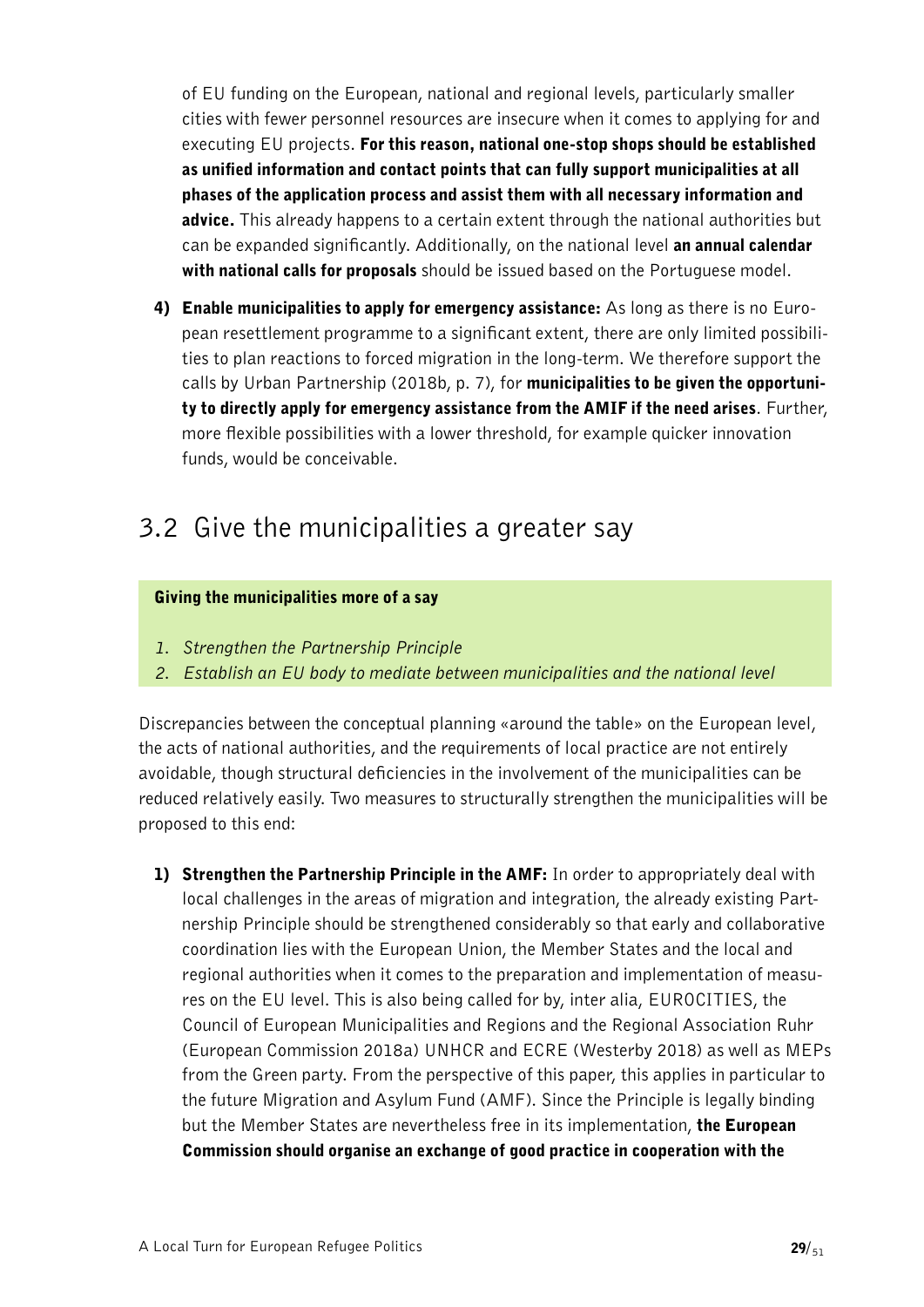of EU funding on the European, national and regional levels, particularly smaller cities with fewer personnel resources are insecure when it comes to applying for and executing EU projects. For this reason, national one-stop shops should be established as unified information and contact points that can fully support municipalities at all phases of the application process and assist them with all necessary information and advice. This already happens to a certain extent through the national authorities but can be expanded significantly. Additionally, on the national level an annual calendar with national calls for proposals should be issued based on the Portuguese model.

4) Enable municipalities to apply for emergency assistance: As long as there is no European resettlement programme to a significant extent, there are only limited possibilities to plan reactions to forced migration in the long-term. We therefore support the calls by Urban Partnership (2018b, p. 7), for municipalities to be given the opportunity to directly apply for emergency assistance from the AMIF if the need arises. Further, more flexible possibilities with a lower threshold, for example quicker innovation funds, would be conceivable.

### <span id="page-28-0"></span>3.2 Give the municipalities a greater say

#### Giving the municipalities more of a say

- *1. Strengthen the Partnership Principle*
- *2. Establish an EU body to mediate between municipalities and the national level*

Discrepancies between the conceptual planning «around the table» on the European level, the acts of national authorities, and the requirements of local practice are not entirely avoidable, though structural deficiencies in the involvement of the municipalities can be reduced relatively easily. Two measures to structurally strengthen the municipalities will be proposed to this end:

1) Strengthen the Partnership Principle in the AMF: In order to appropriately deal with local challenges in the areas of migration and integration, the already existing Partnership Principle should be strengthened considerably so that early and collaborative coordination lies with the European Union, the Member States and the local and regional authorities when it comes to the preparation and implementation of measures on the EU level. This is also being called for by, inter alia, EUROCITIES, the Council of European Municipalities and Regions and the Regional Association Ruhr (European Commission 2018a) UNHCR and ECRE (Westerby 2018) as well as MEPs from the Green party. From the perspective of this paper, this applies in particular to the future Migration and Asylum Fund (AMF). Since the Principle is legally binding but the Member States are nevertheless free in its implementation, the European Commission should organise an exchange of good practice in cooperation with the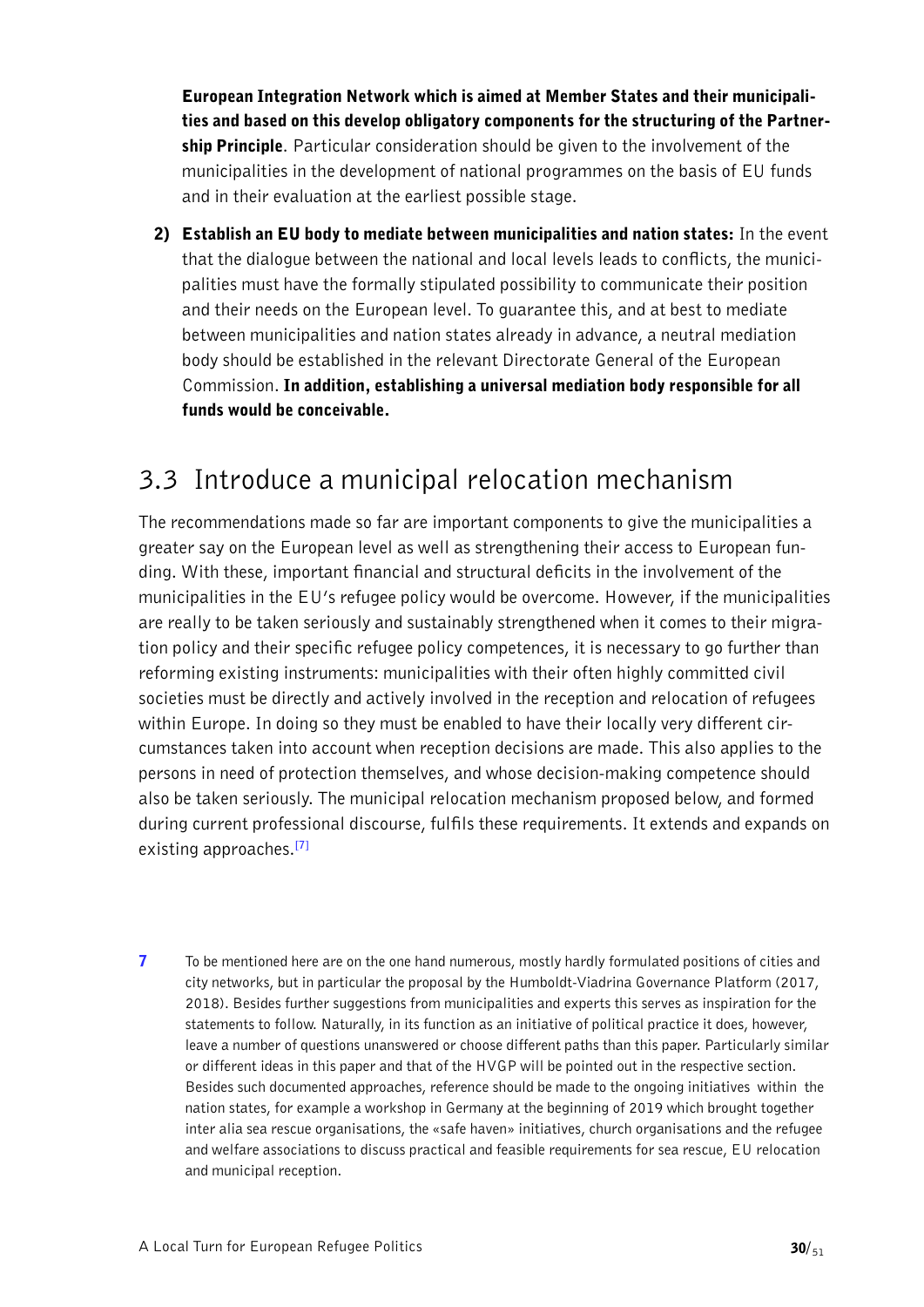European Integration Network which is aimed at Member States and their municipalities and based on this develop obligatory components for the structuring of the Partnership Principle. Particular consideration should be given to the involvement of the municipalities in the development of national programmes on the basis of EU funds and in their evaluation at the earliest possible stage.

2) Establish an EU body to mediate between municipalities and nation states: In the event that the dialogue between the national and local levels leads to conflicts, the municipalities must have the formally stipulated possibility to communicate their position and their needs on the European level. To guarantee this, and at best to mediate between municipalities and nation states already in advance, a neutral mediation body should be established in the relevant Directorate General of the European Commission. In addition, establishing a universal mediation body responsible for all funds would be conceivable.

### <span id="page-29-0"></span>3.3 Introduce a municipal relocation mechanism

The recommendations made so far are important components to give the municipalities a greater say on the European level as well as strengthening their access to European funding. With these, important financial and structural deficits in the involvement of the municipalities in the EU's refugee policy would be overcome. However, if the municipalities are really to be taken seriously and sustainably strengthened when it comes to their migration policy and their specific refugee policy competences, it is necessary to go further than reforming existing instruments: municipalities with their often highly committed civil societies must be directly and actively involved in the reception and relocation of refugees within Europe. In doing so they must be enabled to have their locally very different circumstances taken into account when reception decisions are made. This also applies to the persons in need of protection themselves, and whose decision-making competence should also be taken seriously. The municipal relocation mechanism proposed below, and formed during current professional discourse, fulfils these requirements. It extends and expands on existing approaches.**[\[7\]](#page-29-1)**

<span id="page-29-2"></span><span id="page-29-1"></span>7 [To be mentioned here are on the one hand numerous, mostly hardly formulated positions of cities and](#page-29-2)  [city networks, but in particular the proposal by the Humboldt-Viadrina Governance Platform \(2017,](#page-29-2)  [2018\). Besides further suggestions from municipalities and experts this serves as inspiration for the](#page-29-2)  [statements to follow. Naturally, in its function as an initiative of political practice it does, however,](#page-29-2)  [leave a number of questions unanswered or choose different paths than this paper. Particularly similar](#page-29-2)  [or different ideas in this paper and that of the HVGP will be pointed out in the respective section.](#page-29-2)  [Besides such documented approaches, reference should be made to the ongoing initiatives within the](#page-29-2)  [nation states, for example a workshop in Germany at the beginning of 2019 which brought together](#page-29-2)  [inter alia sea rescue organisations, the «safe haven» initiatives, church organisations and the refugee](#page-29-2)  [and welfare associations to discuss practical and feasible requirements for sea rescue, EU relocation](#page-29-2)  [and municipal reception.](#page-29-2)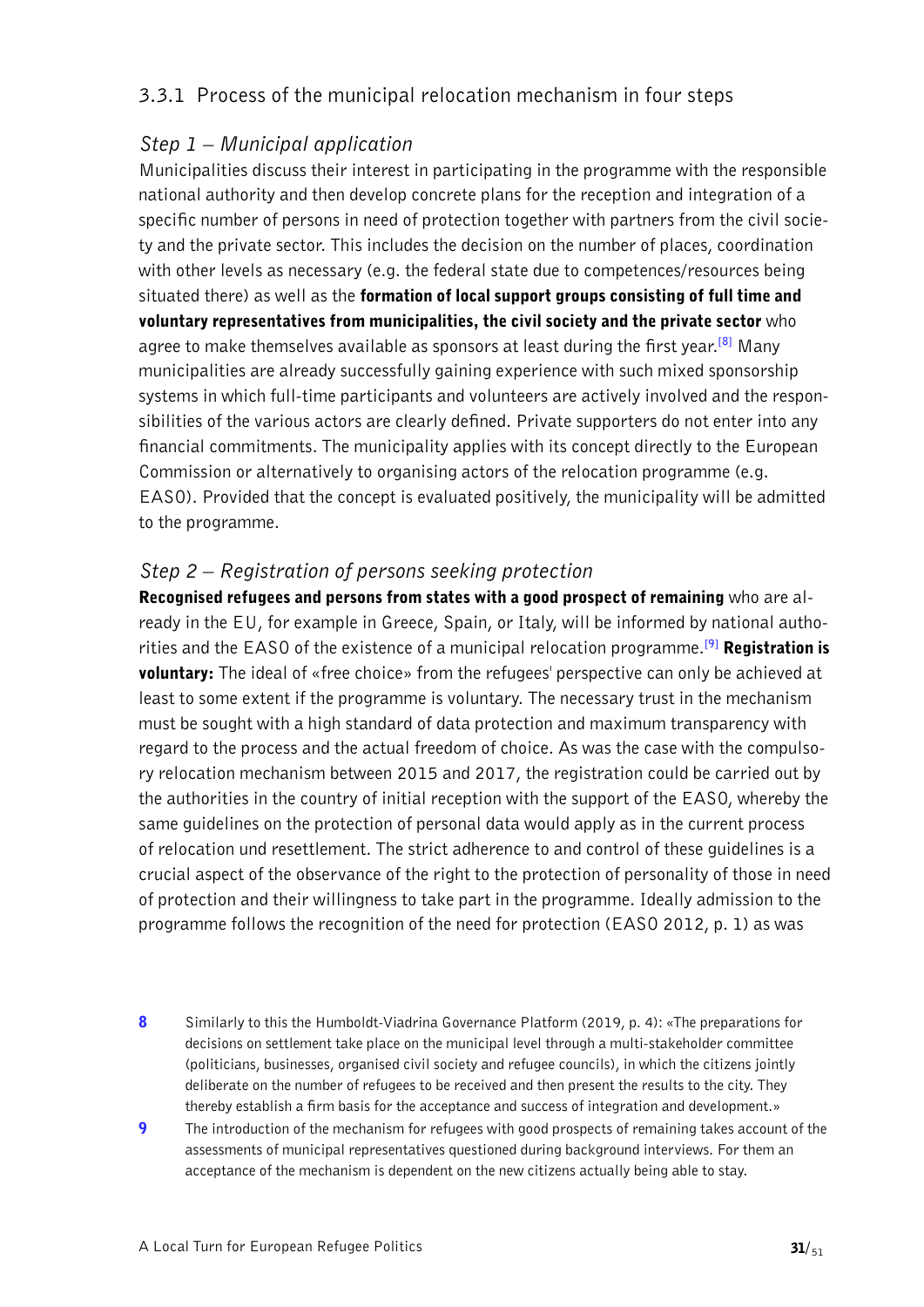### 3.3.1 Process of the municipal relocation mechanism in four steps

### *Step 1 – Municipal application*

<span id="page-30-2"></span>Municipalities discuss their interest in participating in the programme with the responsible national authority and then develop concrete plans for the reception and integration of a specific number of persons in need of protection together with partners from the civil society and the private sector. This includes the decision on the number of places, coordination with other levels as necessary (e.g. the federal state due to competences/resources being situated there) as well as the formation of local support groups consisting of full time and voluntary representatives from municipalities, the civil society and the private sector who agree to make themselves available as sponsors at least during the first year.**[\[8\]](#page-30-0)** Many municipalities are already successfully gaining experience with such mixed sponsorship systems in which full-time participants and volunteers are actively involved and the responsibilities of the various actors are clearly defined. Private supporters do not enter into any financial commitments. The municipality applies with its concept directly to the European Commission or alternatively to organising actors of the relocation programme (e.g. EASO). Provided that the concept is evaluated positively, the municipality will be admitted to the programme.

### *Step 2 – Registration of persons seeking protection*

<span id="page-30-3"></span>Recognised refugees and persons from states with a good prospect of remaining who are already in the EU, for example in Greece, Spain, or Italy, will be informed by national authorities and the EASO of the existence of a municipal relocation programme.**[\[9\]](#page-30-1)** Registration is **voluntary:** The ideal of «free choice» from the refugees' perspective can only be achieved at least to some extent if the programme is voluntary. The necessary trust in the mechanism must be sought with a high standard of data protection and maximum transparency with regard to the process and the actual freedom of choice. As was the case with the compulsory relocation mechanism between 2015 and 2017, the registration could be carried out by the authorities in the country of initial reception with the support of the EASO, whereby the same guidelines on the protection of personal data would apply as in the current process of relocation und resettlement. The strict adherence to and control of these guidelines is a crucial aspect of the observance of the right to the protection of personality of those in need of protection and their willingness to take part in the programme. Ideally admission to the programme follows the recognition of the need for protection (EASO 2012, p. 1) as was

- <span id="page-30-0"></span>8 Similarly to this the Humboldt-Viadrina Governance Platform (2019, p. 4): «The preparations for [decisions on settlement take place on the municipal level through a multi-stakeholder committee](#page-30-2)  [\(politicians, businesses, organised civil society and refugee councils\), in which the citizens jointly](#page-30-2)  [deliberate on the number of refugees to be received and then present the results to the city. They](#page-30-2)  [thereby establish a firm basis for the acceptance and success of integration and development.»](#page-30-2)
- <span id="page-30-1"></span>**9** The introduction of the mechanism for refugees with good prospects of remaining takes account of the [assessments of municipal representatives questioned during background interviews. For them an](#page-30-3)  [acceptance of the mechanism is dependent on the new citizens actually being able to stay.](#page-30-3)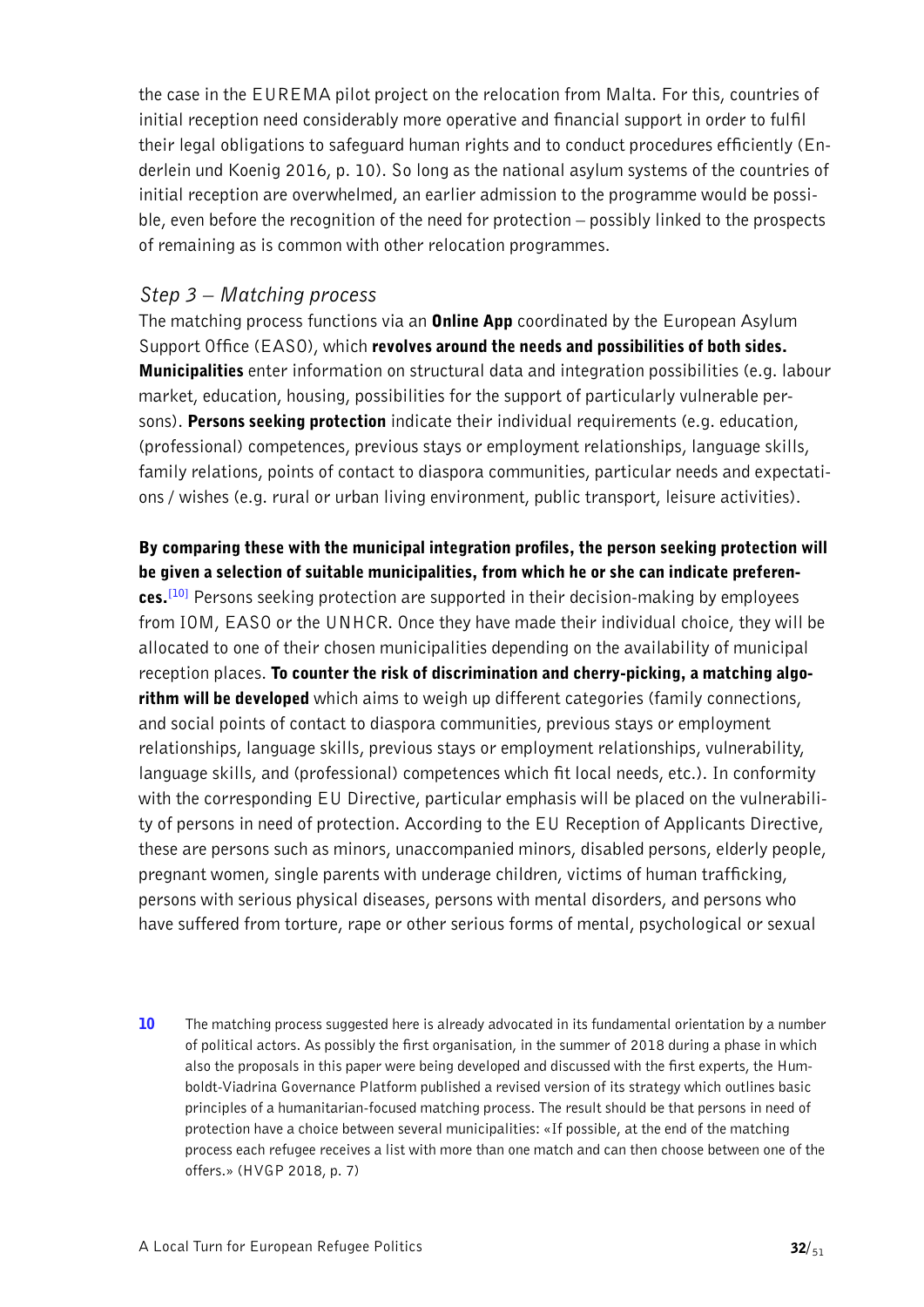the case in the EUREMA pilot project on the relocation from Malta. For this, countries of initial reception need considerably more operative and financial support in order to fulfil their legal obligations to safeguard human rights and to conduct procedures efficiently (Enderlein und Koenig 2016, p. 10). So long as the national asylum systems of the countries of initial reception are overwhelmed, an earlier admission to the programme would be possible, even before the recognition of the need for protection – possibly linked to the prospects of remaining as is common with other relocation programmes.

#### *Step 3 – Matching process*

The matching process functions via an **Online App** coordinated by the European Asylum Support Office (EASO), which revolves around the needs and possibilities of both sides. Municipalities enter information on structural data and integration possibilities (e.g. labour market, education, housing, possibilities for the support of particularly vulnerable persons). Persons seeking protection indicate their individual requirements (e.g. education, (professional) competences, previous stays or employment relationships, language skills, family relations, points of contact to diaspora communities, particular needs and expectations / wishes (e.g. rural or urban living environment, public transport, leisure activities).

<span id="page-31-1"></span>By comparing these with the municipal integration profiles, the person seeking protection will be given a selection of suitable municipalities, from which he or she can indicate preferences.**[\[10\]](#page-31-0)** Persons seeking protection are supported in their decision-making by employees from IOM, EASO or the UNHCR. Once they have made their individual choice, they will be allocated to one of their chosen municipalities depending on the availability of municipal reception places. To counter the risk of discrimination and cherry-picking, a matching algorithm will be developed which aims to weigh up different categories (family connections, and social points of contact to diaspora communities, previous stays or employment relationships, language skills, previous stays or employment relationships, vulnerability, language skills, and (professional) competences which fit local needs, etc.). In conformity with the corresponding EU Directive, particular emphasis will be placed on the vulnerability of persons in need of protection. According to the EU Reception of Applicants Directive, these are persons such as minors, unaccompanied minors, disabled persons, elderly people, pregnant women, single parents with underage children, victims of human trafficking, persons with serious physical diseases, persons with mental disorders, and persons who have suffered from torture, rape or other serious forms of mental, psychological or sexual

<span id="page-31-0"></span>10 The matching process suggested here is already advocated in its fundamental orientation by a number [of political actors. As possibly the first organisation, in the summer of 2018 during a phase in which](#page-31-1)  [also the proposals in this paper were being developed and discussed with the first experts, the Hum](#page-31-1)[boldt-Viadrina Governance Platform published a revised version of its strategy which outlines basic](#page-31-1)  [principles of a humanitarian-focused matching process. The result should be that persons in need of](#page-31-1)  [protection have a choice between several municipalities: «If possible, at the end of the matching](#page-31-1)  [process each refugee receives a list with more than one match and can then choose between one of the](#page-31-1)  [offers.» \(HVGP 2018, p. 7\)](#page-31-1)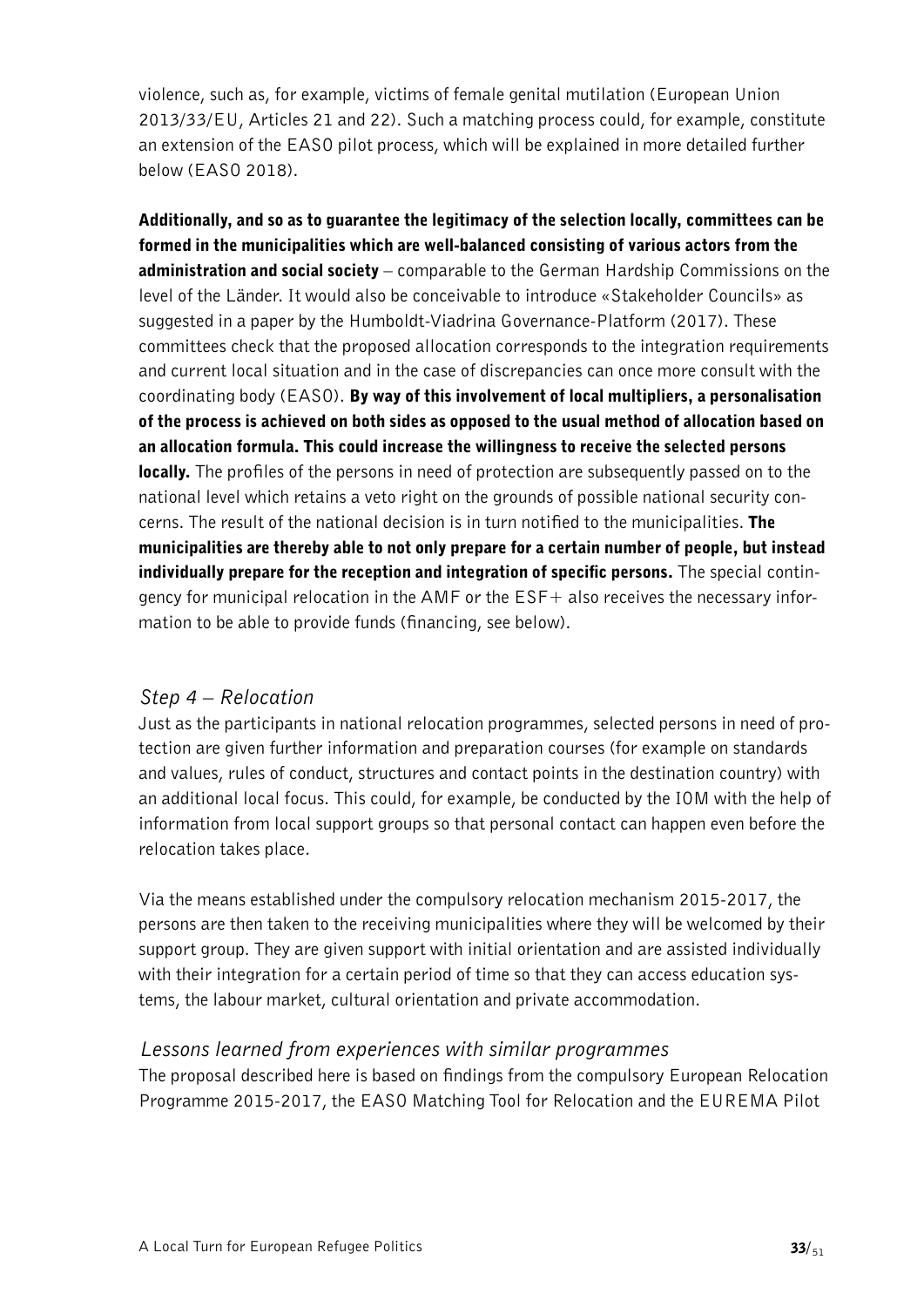violence, such as, for example, victims of female genital mutilation (European Union 2013/33/EU, Articles 21 and 22). Such a matching process could, for example, constitute an extension of the EASO pilot process, which will be explained in more detailed further below (EASO 2018).

Additionally, and so as to guarantee the legitimacy of the selection locally, committees can be formed in the municipalities which are well-balanced consisting of various actors from the administration and social society – comparable to the German Hardship Commissions on the level of the Länder. It would also be conceivable to introduce «Stakeholder Councils» as suggested in a paper by the Humboldt-Viadrina Governance-Platform (2017). These committees check that the proposed allocation corresponds to the integration requirements and current local situation and in the case of discrepancies can once more consult with the coordinating body (EASO). By way of this involvement of local multipliers, a personalisation of the process is achieved on both sides as opposed to the usual method of allocation based on an allocation formula. This could increase the willingness to receive the selected persons **locally.** The profiles of the persons in need of protection are subsequently passed on to the national level which retains a veto right on the grounds of possible national security concerns. The result of the national decision is in turn notified to the municipalities. The municipalities are thereby able to not only prepare for a certain number of people, but instead individually prepare for the reception and integration of specific persons. The special contingency for municipal relocation in the AMF or the ESF+ also receives the necessary information to be able to provide funds (financing, see below).

### *Step 4 – Relocation*

Just as the participants in national relocation programmes, selected persons in need of protection are given further information and preparation courses (for example on standards and values, rules of conduct, structures and contact points in the destination country) with an additional local focus. This could, for example, be conducted by the IOM with the help of information from local support groups so that personal contact can happen even before the relocation takes place.

Via the means established under the compulsory relocation mechanism 2015-2017, the persons are then taken to the receiving municipalities where they will be welcomed by their support group. They are given support with initial orientation and are assisted individually with their integration for a certain period of time so that they can access education systems, the labour market, cultural orientation and private accommodation.

### *Lessons learned from experiences with similar programmes*

The proposal described here is based on findings from the compulsory European Relocation Programme 2015-2017, the EASO Matching Tool for Relocation and the EUREMA Pilot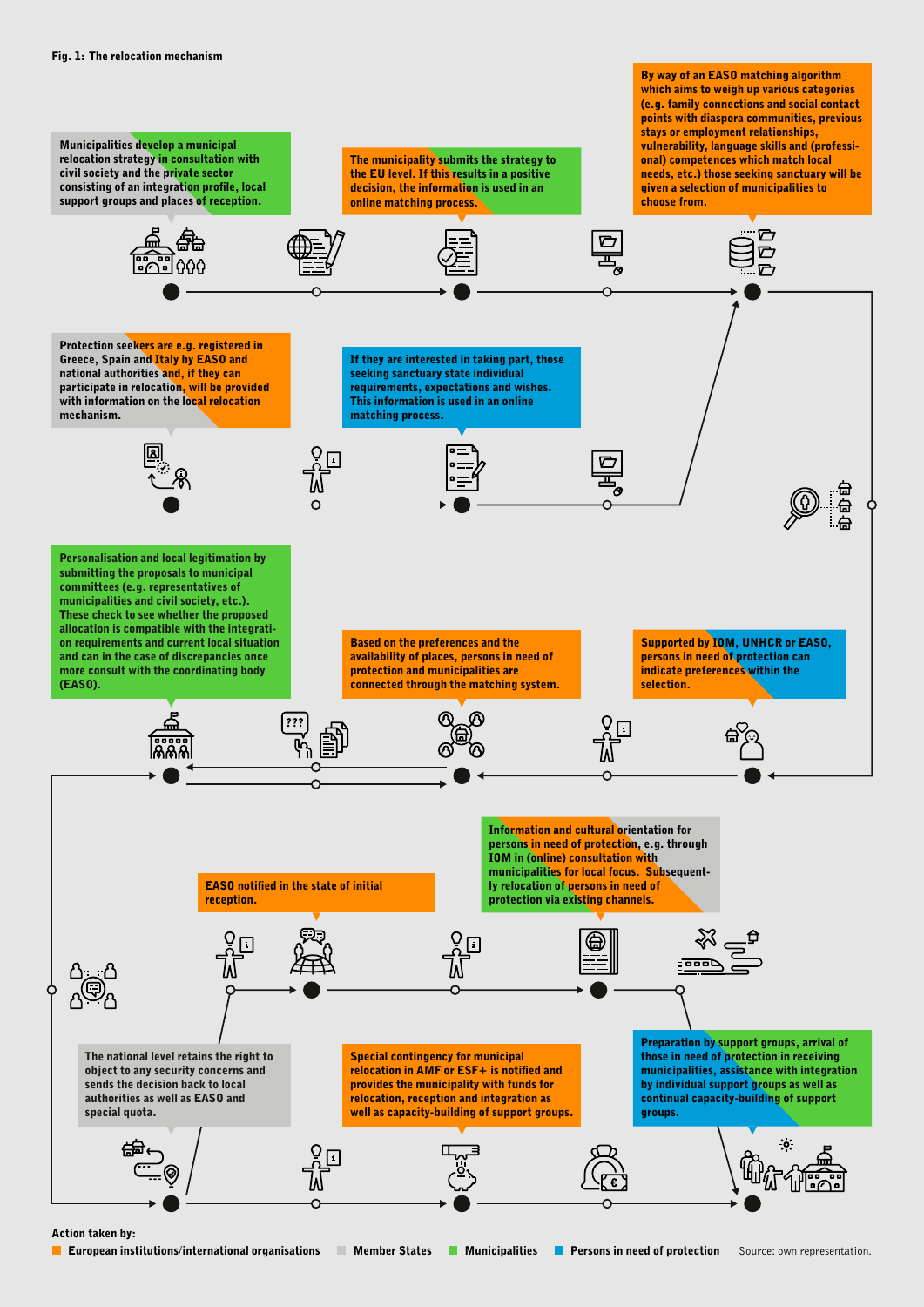

#### Action taken by: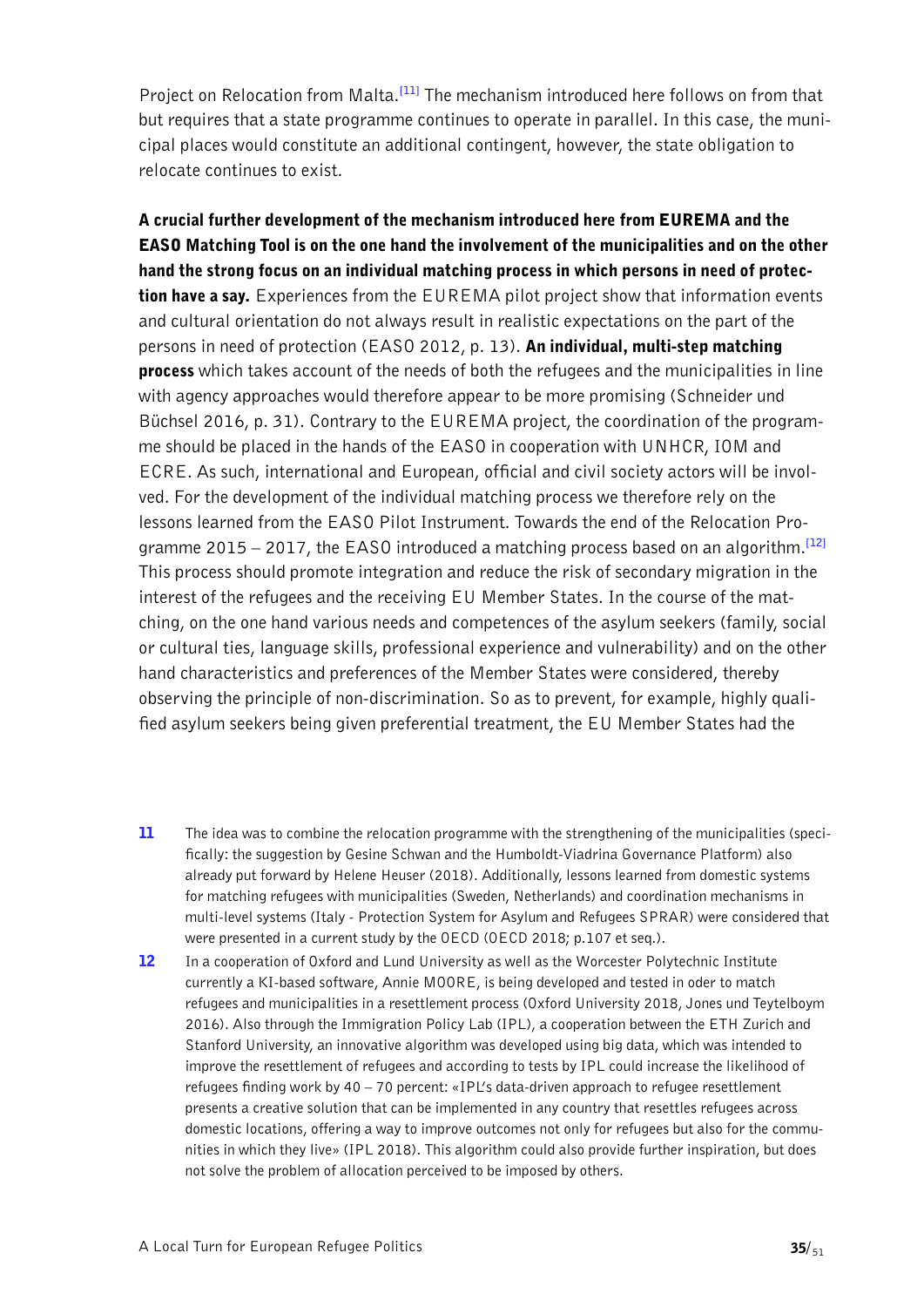<span id="page-34-2"></span>Project on Relocation from Malta.**[\[11\]](#page-34-0)** The mechanism introduced here follows on from that but requires that a state programme continues to operate in parallel. In this case, the municipal places would constitute an additional contingent, however, the state obligation to relocate continues to exist.

A crucial further development of the mechanism introduced here from EUREMA and the EASO Matching Tool is on the one hand the involvement of the municipalities and on the other hand the strong focus on an individual matching process in which persons in need of protection have a say. Experiences from the EUREMA pilot project show that information events and cultural orientation do not always result in realistic expectations on the part of the persons in need of protection (EASO 2012, p. 13). An individual, multi-step matching **process** which takes account of the needs of both the refugees and the municipalities in line with agency approaches would therefore appear to be more promising (Schneider und Büchsel 2016, p. 31). Contrary to the EUREMA project, the coordination of the programme should be placed in the hands of the EASO in cooperation with UNHCR, IOM and ECRE. As such, international and European, official and civil society actors will be involved. For the development of the individual matching process we therefore rely on the lessons learned from the EASO Pilot Instrument. Towards the end of the Relocation Programme 2015 – 2017, the EASO introduced a matching process based on an algorithm.**[\[12\]](#page-34-1)** This process should promote integration and reduce the risk of secondary migration in the interest of the refugees and the receiving EU Member States. In the course of the matching, on the one hand various needs and competences of the asylum seekers (family, social or cultural ties, language skills, professional experience and vulnerability) and on the other hand characteristics and preferences of the Member States were considered, thereby observing the principle of non-discrimination. So as to prevent, for example, highly qualified asylum seekers being given preferential treatment, the EU Member States had the

- <span id="page-34-3"></span><span id="page-34-0"></span>11 [The idea was to combine the relocation programme with the strengthening of the municipalities \(speci](#page-34-2)[fically: the suggestion by Gesine Schwan and the Humboldt-Viadrina Governance Platform\) also](#page-34-2)  [already put forward by Helene Heuser \(2018\). Additionally, lessons learned from domestic systems](#page-34-2)  [for matching refugees with municipalities \(Sweden, Netherlands\) and coordination mechanisms in](#page-34-2)  [multi-level systems \(Italy - Protection System for Asylum and Refugees SPRAR\) were considered that](#page-34-2)  [were presented in a current study by the OECD \(OECD 2018; p.107 et seq.\).](#page-34-2)
- <span id="page-34-1"></span>12 In a cooperation of Oxford and Lund University as well as the Worcester Polytechnic Institute [currently a KI-based software, Annie MOORE, is being developed and tested in oder to match](#page-34-3)  [refugees and municipalities in a resettlement process \(Oxford University 2018, Jones und Teytelboym](#page-34-3)  [2016\). Also through the Immigration Policy Lab \(IPL\), a cooperation between the ETH Zurich and](#page-34-3)  [Stanford University, an innovative algorithm was developed using big data, which was intended to](#page-34-3)  [improve the resettlement of refugees and according to tests by IPL could increase the likelihood of](#page-34-3)  [refugees finding work by 40 – 70 percent: «IPL's data-driven approach to refugee resettlement](#page-34-3)  [presents a creative solution that can be implemented in any country that resettles refugees across](#page-34-3)  [domestic locations, offering a way to improve outcomes not only for refugees but also for the commu](#page-34-3)[nities in which they live» \(IPL 2018\). This algorithm could also provide further inspiration, but does](#page-34-3)  [not solve the problem of allocation perceived to be imposed by others.](#page-34-3)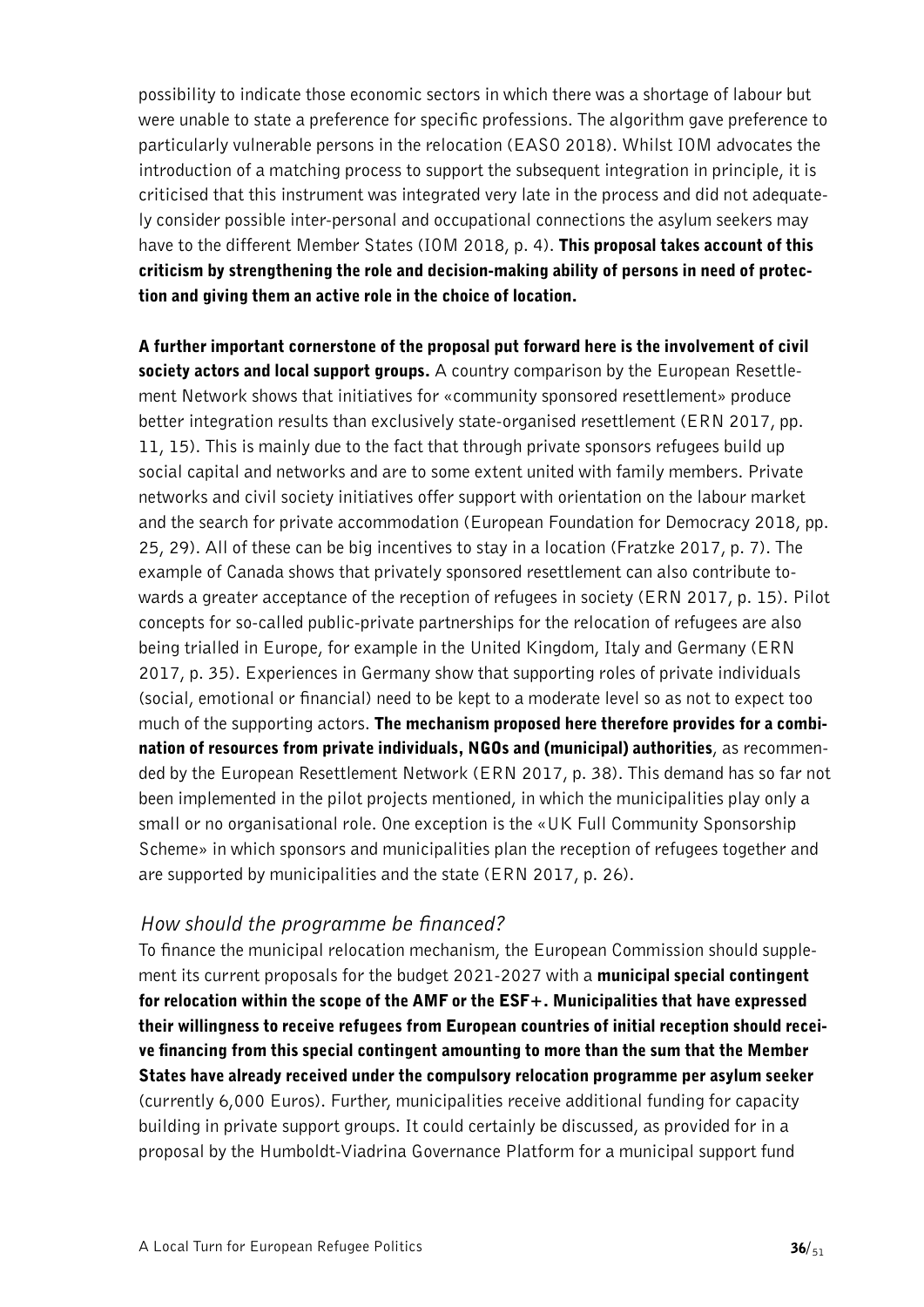possibility to indicate those economic sectors in which there was a shortage of labour but were unable to state a preference for specific professions. The algorithm gave preference to particularly vulnerable persons in the relocation (EASO 2018). Whilst IOM advocates the introduction of a matching process to support the subsequent integration in principle, it is criticised that this instrument was integrated very late in the process and did not adequately consider possible inter-personal and occupational connections the asylum seekers may have to the different Member States (IOM 2018, p. 4). This proposal takes account of this criticism by strengthening the role and decision-making ability of persons in need of protection and giving them an active role in the choice of location.

A further important cornerstone of the proposal put forward here is the involvement of civil society actors and local support groups. A country comparison by the European Resettlement Network shows that initiatives for «community sponsored resettlement» produce better integration results than exclusively state-organised resettlement (ERN 2017, pp. 11, 15). This is mainly due to the fact that through private sponsors refugees build up social capital and networks and are to some extent united with family members. Private networks and civil society initiatives offer support with orientation on the labour market and the search for private accommodation (European Foundation for Democracy 2018, pp. 25, 29). All of these can be big incentives to stay in a location (Fratzke 2017, p. 7). The example of Canada shows that privately sponsored resettlement can also contribute towards a greater acceptance of the reception of refugees in society (ERN 2017, p. 15). Pilot concepts for so-called public-private partnerships for the relocation of refugees are also being trialled in Europe, for example in the United Kingdom, Italy and Germany (ERN 2017, p. 35). Experiences in Germany show that supporting roles of private individuals (social, emotional or financial) need to be kept to a moderate level so as not to expect too much of the supporting actors. The mechanism proposed here therefore provides for a combination of resources from private individuals, NGOs and (municipal) authorities, as recommended by the European Resettlement Network (ERN 2017, p. 38). This demand has so far not been implemented in the pilot projects mentioned, in which the municipalities play only a small or no organisational role. One exception is the «UK Full Community Sponsorship Scheme» in which sponsors and municipalities plan the reception of refugees together and are supported by municipalities and the state (ERN 2017, p. 26).

### *How should the programme be financed?*

To finance the municipal relocation mechanism, the European Commission should supplement its current proposals for the budget 2021-2027 with a municipal special contingent for relocation within the scope of the AMF or the ESF+. Municipalities that have expressed their willingness to receive refugees from European countries of initial reception should receive financing from this special contingent amounting to more than the sum that the Member States have already received under the compulsory relocation programme per asylum seeker (currently 6,000 Euros). Further, municipalities receive additional funding for capacity building in private support groups. It could certainly be discussed, as provided for in a proposal by the Humboldt-Viadrina Governance Platform for a municipal support fund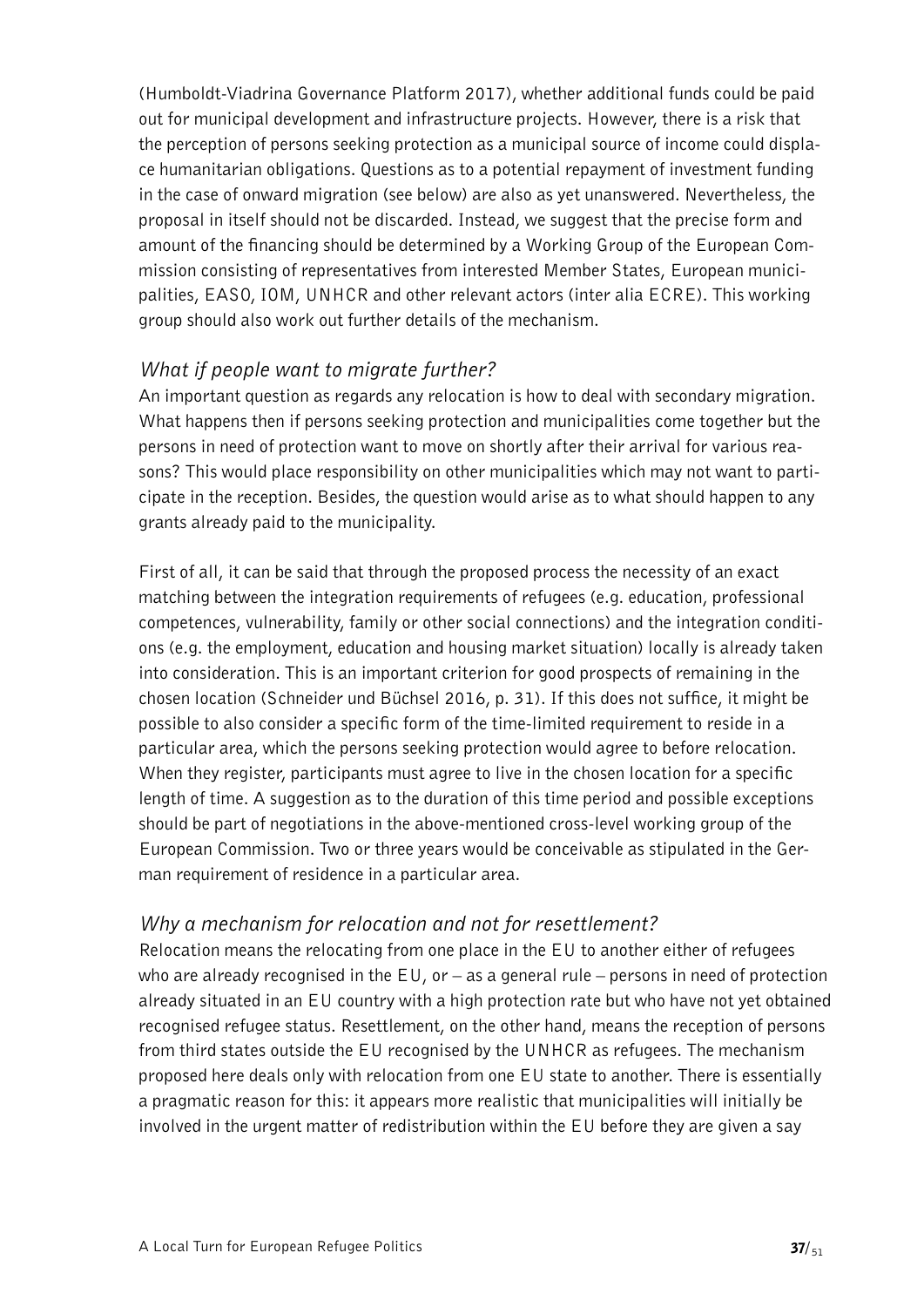(Humboldt-Viadrina Governance Platform 2017), whether additional funds could be paid out for municipal development and infrastructure projects. However, there is a risk that the perception of persons seeking protection as a municipal source of income could displace humanitarian obligations. Questions as to a potential repayment of investment funding in the case of onward migration (see below) are also as yet unanswered. Nevertheless, the proposal in itself should not be discarded. Instead, we suggest that the precise form and amount of the financing should be determined by a Working Group of the European Commission consisting of representatives from interested Member States, European municipalities, EASO, IOM, UNHCR and other relevant actors (inter alia ECRE). This working group should also work out further details of the mechanism.

### *What if people want to migrate further?*

An important question as regards any relocation is how to deal with secondary migration. What happens then if persons seeking protection and municipalities come together but the persons in need of protection want to move on shortly after their arrival for various reasons? This would place responsibility on other municipalities which may not want to participate in the reception. Besides, the question would arise as to what should happen to any grants already paid to the municipality.

First of all, it can be said that through the proposed process the necessity of an exact matching between the integration requirements of refugees (e.g. education, professional competences, vulnerability, family or other social connections) and the integration conditions (e.g. the employment, education and housing market situation) locally is already taken into consideration. This is an important criterion for good prospects of remaining in the chosen location (Schneider und Büchsel 2016, p. 31). If this does not suffice, it might be possible to also consider a specific form of the time-limited requirement to reside in a particular area, which the persons seeking protection would agree to before relocation. When they register, participants must agree to live in the chosen location for a specific length of time. A suggestion as to the duration of this time period and possible exceptions should be part of negotiations in the above-mentioned cross-level working group of the European Commission. Two or three years would be conceivable as stipulated in the German requirement of residence in a particular area.

### *Why a mechanism for relocation and not for resettlement?*

Relocation means the relocating from one place in the EU to another either of refugees who are already recognised in the  $EU$ , or  $-$  as a general rule  $-$  persons in need of protection already situated in an EU country with a high protection rate but who have not yet obtained recognised refugee status. Resettlement, on the other hand, means the reception of persons from third states outside the EU recognised by the UNHCR as refugees. The mechanism proposed here deals only with relocation from one EU state to another. There is essentially a pragmatic reason for this: it appears more realistic that municipalities will initially be involved in the urgent matter of redistribution within the EU before they are given a say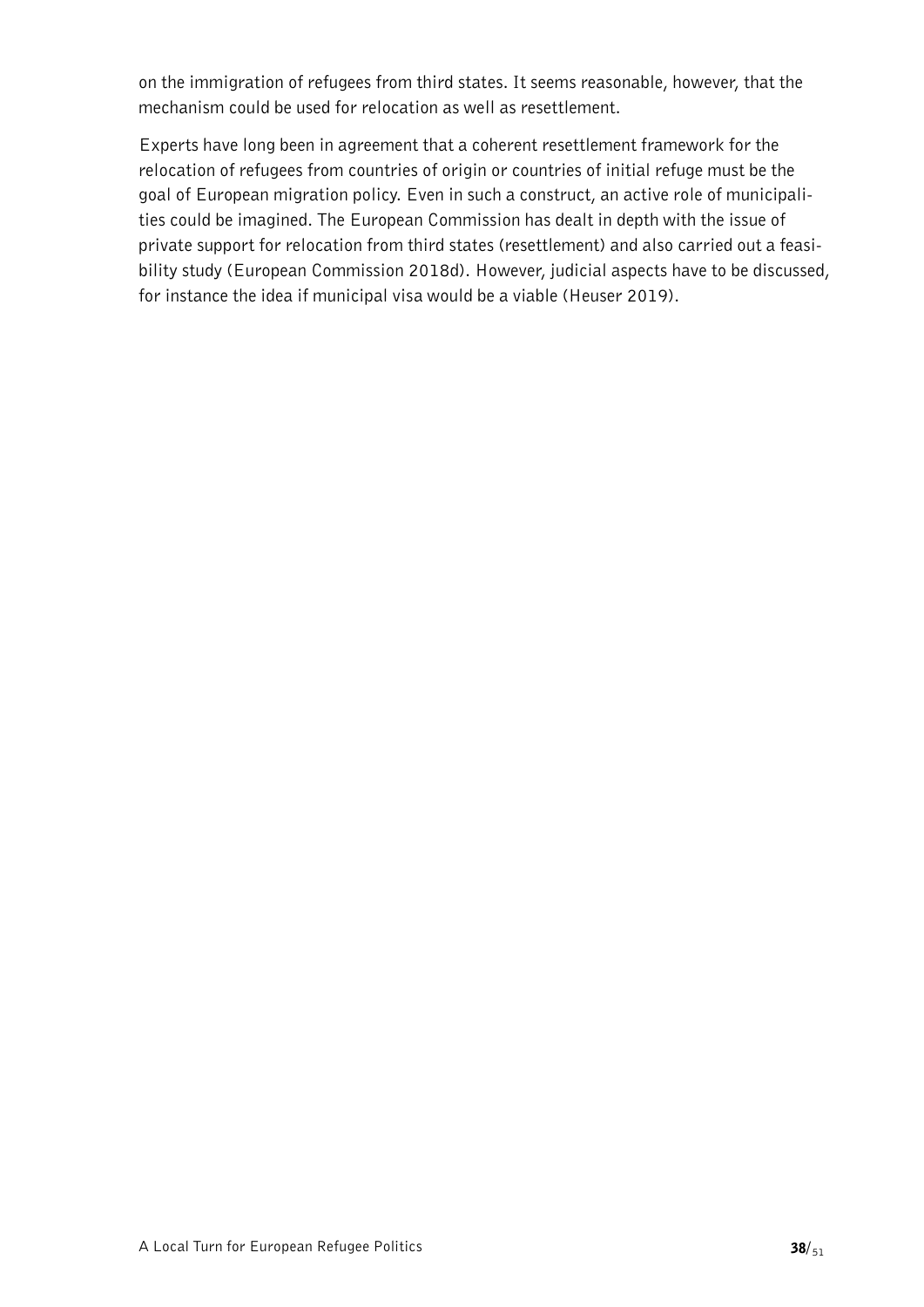on the immigration of refugees from third states. It seems reasonable, however, that the mechanism could be used for relocation as well as resettlement.

Experts have long been in agreement that a coherent resettlement framework for the relocation of refugees from countries of origin or countries of initial refuge must be the goal of European migration policy. Even in such a construct, an active role of municipalities could be imagined. The European Commission has dealt in depth with the issue of private support for relocation from third states (resettlement) and also carried out a feasibility study (European Commission 2018d). However, judicial aspects have to be discussed, for instance the idea if municipal visa would be a viable (Heuser 2019).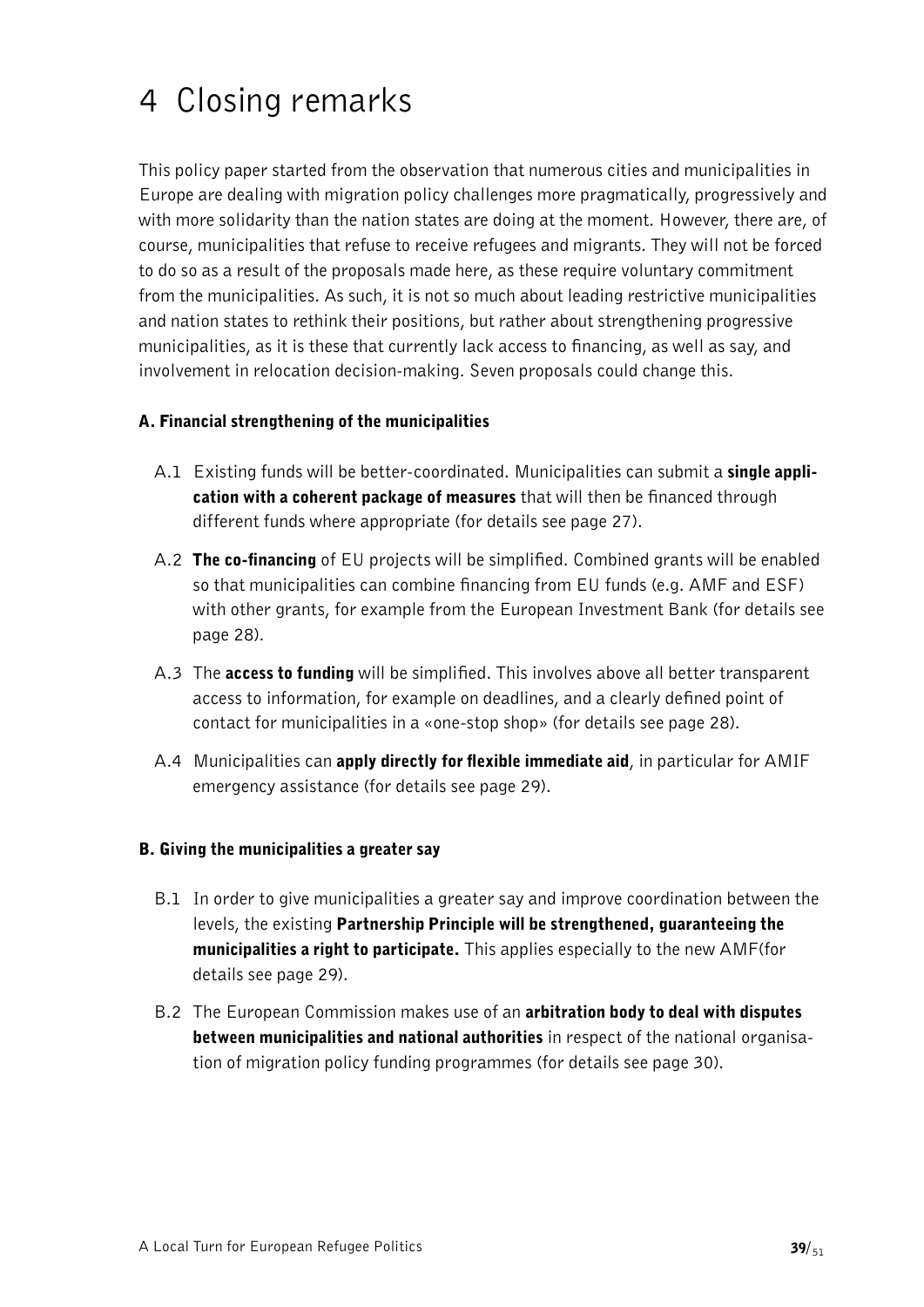# <span id="page-38-0"></span>4 Closing remarks

This policy paper started from the observation that numerous cities and municipalities in Europe are dealing with migration policy challenges more pragmatically, progressively and with more solidarity than the nation states are doing at the moment. However, there are, of course, municipalities that refuse to receive refugees and migrants. They will not be forced to do so as a result of the proposals made here, as these require voluntary commitment from the municipalities. As such, it is not so much about leading restrictive municipalities and nation states to rethink their positions, but rather about strengthening progressive municipalities, as it is these that currently lack access to financing, as well as say, and involvement in relocation decision-making. Seven proposals could change this.

#### A. Financial strengthening of the municipalities

- A.1 Existing funds will be better-coordinated. Municipalities can submit a single application with a coherent package of measures that will then be financed through different funds where appropriate (for details see page 27).
- A.2 The co-financing of EU projects will be simplified. Combined grants will be enabled so that municipalities can combine financing from EU funds (e.g. AMF and ESF) with other grants, for example from the European Investment Bank (for details see page 28).
- A.3 The **access to funding** will be simplified. This involves above all better transparent access to information, for example on deadlines, and a clearly defined point of contact for municipalities in a «one-stop shop» (for details see page 28).
- A.4 Municipalities can **apply directly for flexible immediate aid**, in particular for AMIF emergency assistance (for details see page 29).

#### B. Giving the municipalities a greater say

- B.1 In order to give municipalities a greater say and improve coordination between the levels, the existing Partnership Principle will be strengthened, guaranteeing the municipalities a right to participate. This applies especially to the new AMF(for details see page 29).
- B.2 The European Commission makes use of an arbitration body to deal with disputes between municipalities and national authorities in respect of the national organisation of migration policy funding programmes (for details see page 30).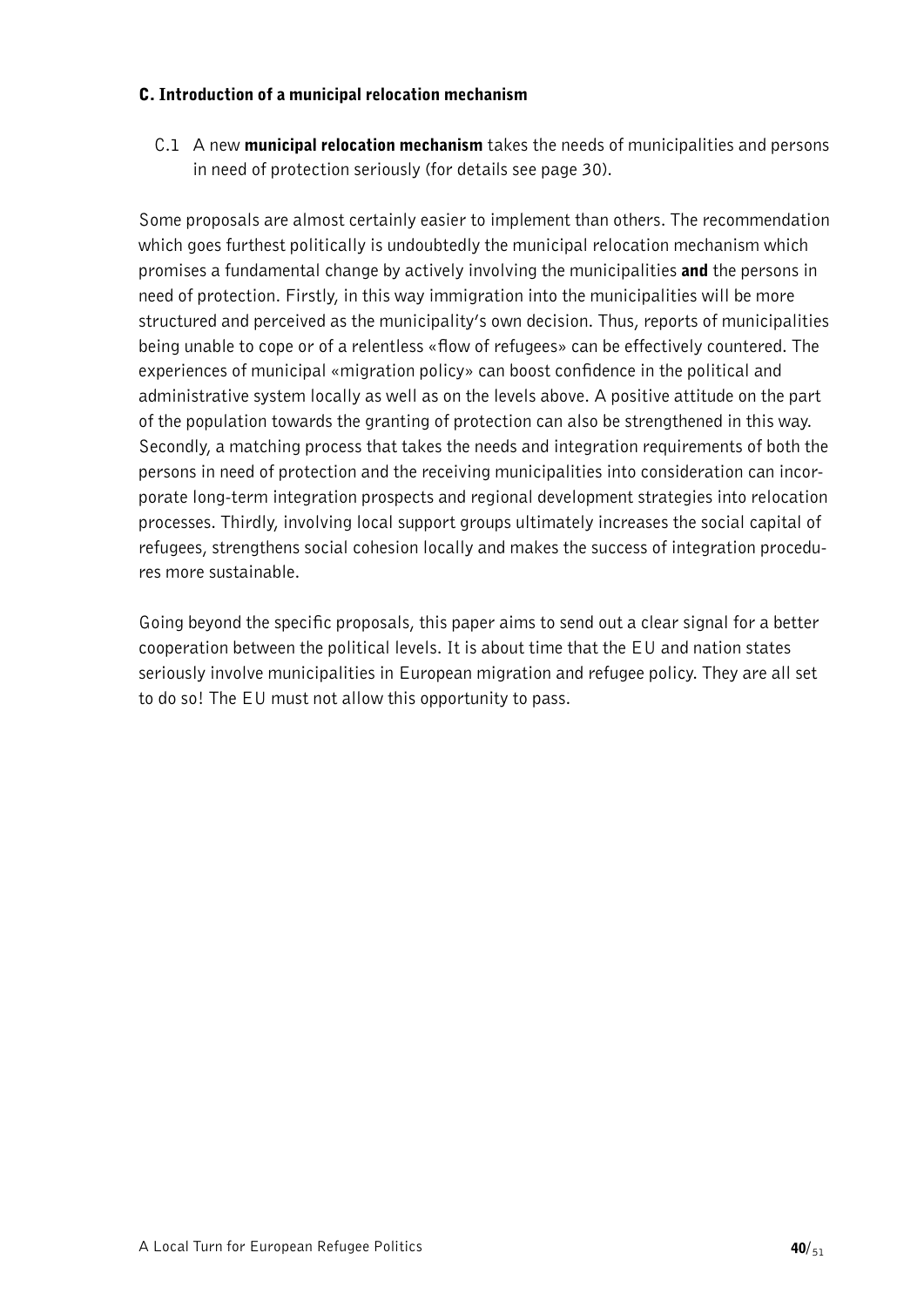#### C. Introduction of a municipal relocation mechanism

C.1 A new municipal relocation mechanism takes the needs of municipalities and persons in need of protection seriously (for details see page 30).

Some proposals are almost certainly easier to implement than others. The recommendation which goes furthest politically is undoubtedly the municipal relocation mechanism which promises a fundamental change by actively involving the municipalities and the persons in need of protection. Firstly, in this way immigration into the municipalities will be more structured and perceived as the municipality's own decision. Thus, reports of municipalities being unable to cope or of a relentless «flow of refugees» can be effectively countered. The experiences of municipal «migration policy» can boost confidence in the political and administrative system locally as well as on the levels above. A positive attitude on the part of the population towards the granting of protection can also be strengthened in this way. Secondly, a matching process that takes the needs and integration requirements of both the persons in need of protection and the receiving municipalities into consideration can incorporate long-term integration prospects and regional development strategies into relocation processes. Thirdly, involving local support groups ultimately increases the social capital of refugees, strengthens social cohesion locally and makes the success of integration procedures more sustainable.

Going beyond the specific proposals, this paper aims to send out a clear signal for a better cooperation between the political levels. It is about time that the EU and nation states seriously involve municipalities in European migration and refugee policy. They are all set to do so! The EU must not allow this opportunity to pass.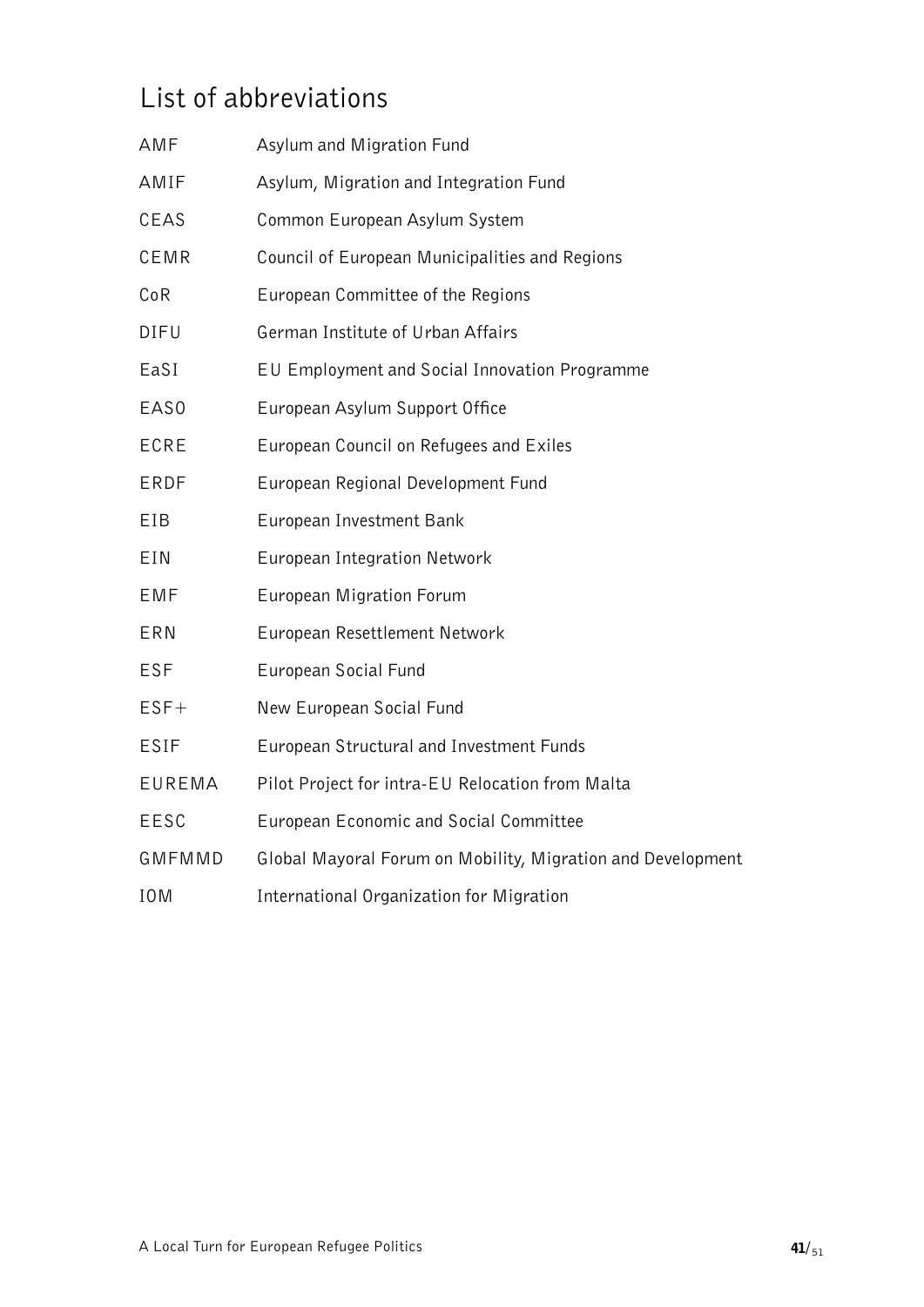### <span id="page-40-0"></span>List of abbreviations

| AMF         | Asylum and Migration Fund                                   |
|-------------|-------------------------------------------------------------|
| AMIF        | Asylum, Migration and Integration Fund                      |
| CEAS        | Common European Asylum System                               |
| CEMR        | Council of European Municipalities and Regions              |
| CoR         | European Committee of the Regions                           |
| DIFU        | German Institute of Urban Affairs                           |
| EaSI        | EU Employment and Social Innovation Programme               |
| EAS0        | European Asylum Support Office                              |
| ECRE        | European Council on Refugees and Exiles                     |
| ERDF        | European Regional Development Fund                          |
| EIB         | European Investment Bank                                    |
| EIN         | European Integration Network                                |
| EMF         | European Migration Forum                                    |
| ERN         | European Resettlement Network                               |
| ESF         | European Social Fund                                        |
| $EST+$      | New European Social Fund                                    |
| <b>ESIF</b> | European Structural and Investment Funds                    |
| EUREMA      | Pilot Project for intra-EU Relocation from Malta            |
| EESC        | European Economic and Social Committee                      |
| GMFMMD      | Global Mayoral Forum on Mobility, Migration and Development |
| <b>IOM</b>  | International Organization for Migration                    |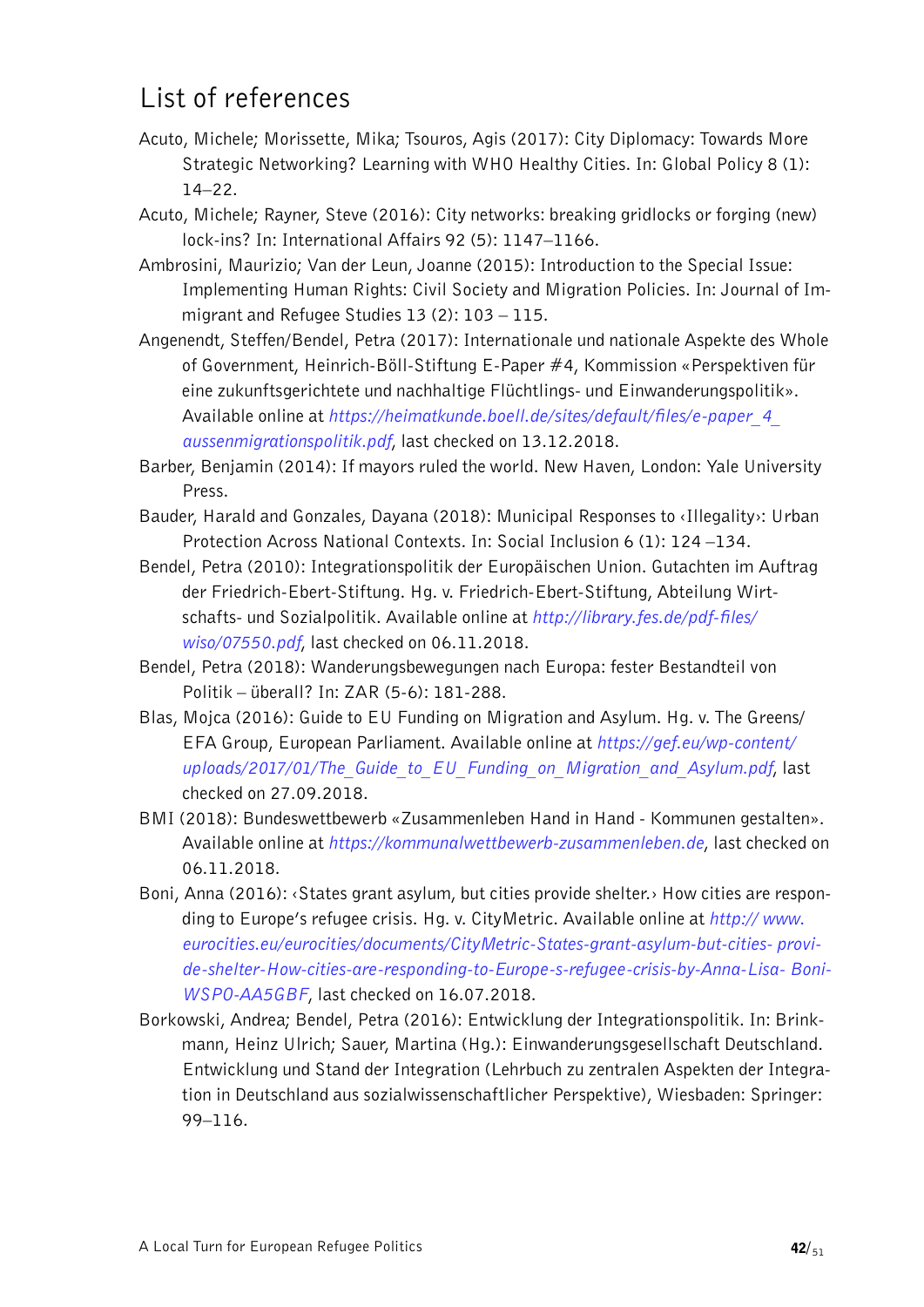### <span id="page-41-0"></span>List of references

- Acuto, Michele; Morissette, Mika; Tsouros, Agis (2017): City Diplomacy: Towards More Strategic Networking? Learning with WHO Healthy Cities. In: Global Policy 8 (1): 14–22.
- Acuto, Michele; Rayner, Steve (2016): City networks: breaking gridlocks or forging (new) lock-ins? In: International Affairs 92 (5): 1147–1166.
- Ambrosini, Maurizio; Van der Leun, Joanne (2015): Introduction to the Special Issue: Implementing Human Rights: Civil Society and Migration Policies. In: Journal of Immigrant and Refugee Studies 13 (2): 103 – 115.
- Angenendt, Steffen/Bendel, Petra (2017): Internationale und nationale Aspekte des Whole of Government, Heinrich-Böll-Stiftung E-Paper #4, Kommission «Perspektiven für eine zukunftsgerichtete und nachhaltige Flüchtlings- und Einwanderungspolitik». Available online at *[https://heimatkunde.boell.de/sites/default/files/e-paper\\_4\\_](https://heimatkunde.boell.de/sites/default/files/e-paper_4_aussenmigrationspolitik.pdf) [aussenmigrationspolitik.pdf](https://heimatkunde.boell.de/sites/default/files/e-paper_4_aussenmigrationspolitik.pdf)*, last checked on 13.12.2018.
- Barber, Benjamin (2014): If mayors ruled the world. New Haven, London: Yale University Press.
- Bauder, Harald and Gonzales, Dayana (2018): Municipal Responses to ‹Illegality›: Urban Protection Across National Contexts. In: Social Inclusion 6 (1): 124 –134.
- Bendel, Petra (2010): Integrationspolitik der Europäischen Union. Gutachten im Auftrag der Friedrich-Ebert-Stiftung. Hg. v. Friedrich-Ebert-Stiftung, Abteilung Wirtschafts- und Sozialpolitik. Available online at *[http://library.fes.de/pdf-files/](http://library.fes.de/pdf-files/wiso/07550.pdf)  [wiso/07550.pdf](http://library.fes.de/pdf-files/wiso/07550.pdf)*, last checked on 06.11.2018.
- Bendel, Petra (2018): Wanderungsbewegungen nach Europa: fester Bestandteil von Politik – überall? In: ZAR (5-6): 181-288.
- Blas, Mojca (2016): Guide to EU Funding on Migration and Asylum. Hg. v. The Greens/ EFA Group, European Parliament. Available online at *[https://gef.eu/wp-content/](https://gef.eu/wp-content/uploads/2017/01/The_Guide_to_EU_Funding_on_Migration_and_Asylum.pdf)  [uploads/2017/01/The\\_Guide\\_to\\_EU\\_Funding\\_on\\_Migration\\_and\\_Asylum.pdf](https://gef.eu/wp-content/uploads/2017/01/The_Guide_to_EU_Funding_on_Migration_and_Asylum.pdf)*, last checked on 27.09.2018.
- BMI (2018): Bundeswettbewerb «Zusammenleben Hand in Hand Kommunen gestalten». Available online at *https://kommunalwettbewerb-zusammenleben.de*, last checked on 06.11.2018.
- Boni, Anna (2016): ‹States grant asylum, but cities provide shelter.› How cities are responding to Europe's refugee crisis. Hg. v. CityMetric. Available online at *[http:// www.](http://www.eurocities.eu/eurocities/documents/CityMetric-States-grant-asylum-but-cities-provide-shelter-How-cities-are-responding-to-Europe-s-refugee-crisis-by-Anna-Lisa-Boni-WSPO-AA5GBF) [eurocities.eu/eurocities/documents/CityMetric-States-grant-asylum-but-cities- provi](http://www.eurocities.eu/eurocities/documents/CityMetric-States-grant-asylum-but-cities-provide-shelter-How-cities-are-responding-to-Europe-s-refugee-crisis-by-Anna-Lisa-Boni-WSPO-AA5GBF)[de-shelter-How-cities-are-responding-to-Europe-s-refugee-crisis-by-Anna-Lisa- Boni-](http://www.eurocities.eu/eurocities/documents/CityMetric-States-grant-asylum-but-cities-provide-shelter-How-cities-are-responding-to-Europe-s-refugee-crisis-by-Anna-Lisa-Boni-WSPO-AA5GBF)[WSPO-AA5GBF](http://www.eurocities.eu/eurocities/documents/CityMetric-States-grant-asylum-but-cities-provide-shelter-How-cities-are-responding-to-Europe-s-refugee-crisis-by-Anna-Lisa-Boni-WSPO-AA5GBF)*, last checked on 16.07.2018.
- Borkowski, Andrea; Bendel, Petra (2016): Entwicklung der Integrationspolitik. In: Brinkmann, Heinz Ulrich; Sauer, Martina (Hg.): Einwanderungsgesellschaft Deutschland. Entwicklung und Stand der Integration (Lehrbuch zu zentralen Aspekten der Integration in Deutschland aus sozialwissenschaftlicher Perspektive), Wiesbaden: Springer: 99–116.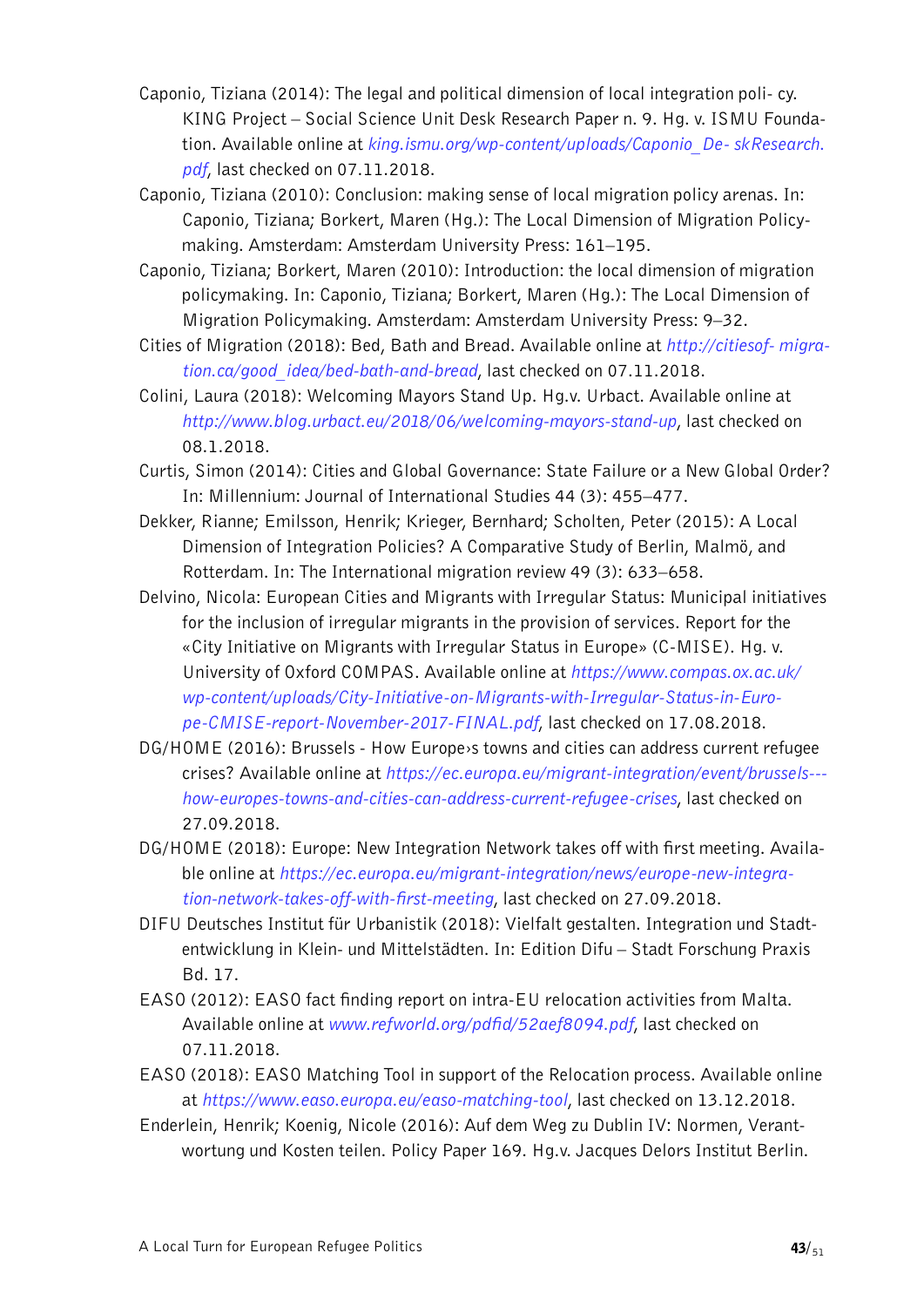- Caponio, Tiziana (2014): The legal and political dimension of local integration poli- cy. KING Project – Social Science Unit Desk Research Paper n. 9. Hg. v. ISMU Foundation. Available online at *[king.ismu.org/wp-content/uploads/Caponio\\_De- skResearch.](http://king.ismu.org/wp-content/uploads/Caponio_DeskResearch.pdf) [pdf](http://king.ismu.org/wp-content/uploads/Caponio_DeskResearch.pdf)*, last checked on 07.11.2018.
- Caponio, Tiziana (2010): Conclusion: making sense of local migration policy arenas. In: Caponio, Tiziana; Borkert, Maren (Hg.): The Local Dimension of Migration Policymaking. Amsterdam: Amsterdam University Press: 161–195.
- Caponio, Tiziana; Borkert, Maren (2010): Introduction: the local dimension of migration policymaking. In: Caponio, Tiziana; Borkert, Maren (Hg.): The Local Dimension of Migration Policymaking. Amsterdam: Amsterdam University Press: 9–32.
- Cities of Migration (2018): Bed, Bath and Bread. Available online at *[http://citiesof- migra](http://citiesofmigration.ca/good_idea/bed-bath-and-bread/)[tion.ca/good\\_idea/bed-bath-and-bread](http://citiesofmigration.ca/good_idea/bed-bath-and-bread/)*, last checked on 07.11.2018.
- Colini, Laura (2018): Welcoming Mayors Stand Up. Hg.v. Urbact. Available online at *http://www.blog.urbact.eu/2018/06/welcoming-mayors-stand-up*, last checked on 08.1.2018.
- Curtis, Simon (2014): Cities and Global Governance: State Failure or a New Global Order? In: Millennium: Journal of International Studies 44 (3): 455–477.
- Dekker, Rianne; Emilsson, Henrik; Krieger, Bernhard; Scholten, Peter (2015): A Local Dimension of Integration Policies? A Comparative Study of Berlin, Malmö, and Rotterdam. In: The International migration review 49 (3): 633–658.
- Delvino, Nicola: European Cities and Migrants with Irregular Status: Municipal initiatives for the inclusion of irregular migrants in the provision of services. Report for the «City Initiative on Migrants with Irregular Status in Europe» (C-MISE). Hg. v. University of Oxford COMPAS. Available online at *[https://www.compas.ox.ac.uk/](https://www.compas.ox.ac.uk/wp-content/uploads/City-Initiative-on-Migrants-with-Irregular-Status-in-Europe-CMISE-report-November-2017-FINAL.pdf)  [wp-content/uploads/City-Initiative-on-Migrants-with-Irregular-Status-in-Euro](https://www.compas.ox.ac.uk/wp-content/uploads/City-Initiative-on-Migrants-with-Irregular-Status-in-Europe-CMISE-report-November-2017-FINAL.pdf)[pe-CMISE-report-November-2017-FINAL.pdf](https://www.compas.ox.ac.uk/wp-content/uploads/City-Initiative-on-Migrants-with-Irregular-Status-in-Europe-CMISE-report-November-2017-FINAL.pdf)*, last checked on 17.08.2018.
- DG/HOME (2016): Brussels How Europe›s towns and cities can address current refugee crises? Available online at *https://ec.europa.eu/migrant-integration/event/brussels-- how-europes-towns-and-cities-can-address-current-refugee-crises*, last checked on 27.09.2018.
- DG/HOME (2018): Europe: New Integration Network takes off with first meeting. Available online at *[https://ec.europa.eu/migrant-integration/news/europe-new-integra](https://ec.europa.eu/migrant-integration/news/europe-new-integration-network-takes-off-with-first-meeting)[tion-network-takes-off-with-first-meeting](https://ec.europa.eu/migrant-integration/news/europe-new-integration-network-takes-off-with-first-meeting)*, last checked on 27.09.2018.
- DIFU Deutsches Institut für Urbanistik (2018): Vielfalt gestalten. Integration und Stadtentwicklung in Klein- und Mittelstädten. In: Edition Difu – Stadt Forschung Praxis Bd. 17.
- EASO (2012): EASO fact finding report on intra-EU relocation activities from Malta. Available online at *www.refworld.org/pdfid/52aef8094.pdf*, last checked on 07.11.2018.
- EASO (2018): EASO Matching Tool in support of the Relocation process. Available online at *https://www.easo.europa.eu/easo-matching-tool*, last checked on 13.12.2018.
- Enderlein, Henrik; Koenig, Nicole (2016): Auf dem Weg zu Dublin IV: Normen, Verantwortung und Kosten teilen. Policy Paper 169. Hg.v. Jacques Delors Institut Berlin.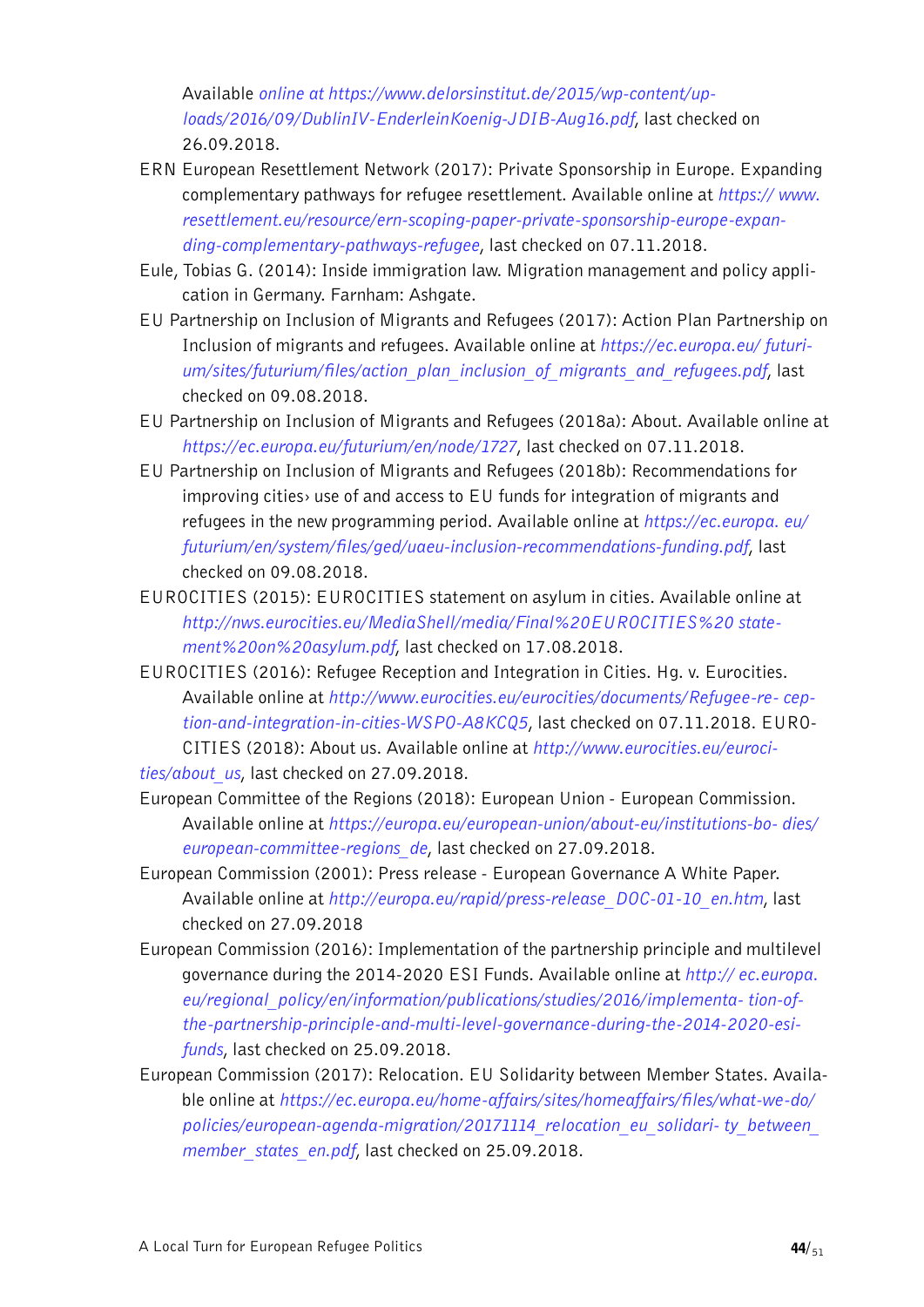Available *online at [https://www.delorsinstitut.de/2015/wp-content/up](https://www.delorsinstitut.de/2015/wp-content/uploads/2016/09/DublinIV-EnderleinKoenig-JDIB-Aug16.pdf)[loads/2016/09/DublinIV-EnderleinKoenig-JDIB-Aug16.pdf](https://www.delorsinstitut.de/2015/wp-content/uploads/2016/09/DublinIV-EnderleinKoenig-JDIB-Aug16.pdf)*, last checked on 26.09.2018.

- ERN European Resettlement Network (2017): Private Sponsorship in Europe. Expanding complementary pathways for refugee resettlement. Available online at *[https:// www.](https://www.resettlement.eu/resource/ern-scoping-paper-private-sponsorship-europe-expanding-complementary-pathways-refugee) [resettlement.eu/resource/ern-scoping-paper-private-sponsorship-europe-expan](https://www.resettlement.eu/resource/ern-scoping-paper-private-sponsorship-europe-expanding-complementary-pathways-refugee)[ding-complementary-pathways-refugee](https://www.resettlement.eu/resource/ern-scoping-paper-private-sponsorship-europe-expanding-complementary-pathways-refugee)*, last checked on 07.11.2018.
- Eule, Tobias G. (2014): Inside immigration law. Migration management and policy application in Germany. Farnham: Ashgate.
- EU Partnership on Inclusion of Migrants and Refugees (2017): Action Plan Partnership on Inclusion of migrants and refugees. Available online at *[https://ec.europa.eu/ futuri](https://ec.europa.eu/futurium/sites/futurium/files/action_plan_inclusion_of_migrants_and_refugees.pdf)[um/sites/futurium/files/action\\_plan\\_inclusion\\_of\\_migrants\\_and\\_refugees.pdf](https://ec.europa.eu/futurium/sites/futurium/files/action_plan_inclusion_of_migrants_and_refugees.pdf)*, last checked on 09.08.2018.
- EU Partnership on Inclusion of Migrants and Refugees (2018a): About. Available online at *https://ec.europa.eu/futurium/en/node/1727*, last checked on 07.11.2018.
- EU Partnership on Inclusion of Migrants and Refugees (2018b): Recommendations for improving cities› use of and access to EU funds for integration of migrants and refugees in the new programming period. Available online at *[https://ec.europa. eu/](https://ec.europa.eu/futurium/en/system/files/ged/uaeu-inclusion-recommendations-funding.pdf) [futurium/en/system/files/ged/uaeu-inclusion-recommendations-funding.pdf](https://ec.europa.eu/futurium/en/system/files/ged/uaeu-inclusion-recommendations-funding.pdf)*, last checked on 09.08.2018.
- EUROCITIES (2015): EUROCITIES statement on asylum in cities. Available online at *[http://nws.eurocities.eu/MediaShell/media/Final%20EUROCITIES%20 state](http://nws.eurocities.eu/MediaShell/media/Final%20EUROCITIES%20statement%20on%20asylum.pdf)[ment%20on%20asylum.pdf](http://nws.eurocities.eu/MediaShell/media/Final%20EUROCITIES%20statement%20on%20asylum.pdf)*, last checked on 17.08.2018.
- EUROCITIES (2016): Refugee Reception and Integration in Cities. Hg. v. Eurocities. Available online at *[http://www.eurocities.eu/eurocities/documents/Refugee-re- cep](http://www.eurocities.eu/eurocities/documents/Refugee-reception-and-integration-in-cities-WSPO-A8KCQ5)[tion-and-integration-in-cities-WSPO-A8KCQ5](http://www.eurocities.eu/eurocities/documents/Refugee-reception-and-integration-in-cities-WSPO-A8KCQ5)*, last checked on 07.11.2018. EURO-CITIES (2018): About us. Available online at *[http://www.eurocities.eu/euroci](http://www.eurocities.eu/eurocities/about_us)[ties/about\\_us](http://www.eurocities.eu/eurocities/about_us)*, last checked on 27.09.2018.
- European Committee of the Regions (2018): European Union European Commission. Available online at *[https://europa.eu/european-union/about-eu/institutions-bo- dies/](https://europa.eu/european-union/about-eu/institutions-bodies/european-committee-regions_de) [european-committee-regions\\_de](https://europa.eu/european-union/about-eu/institutions-bodies/european-committee-regions_de)*, last checked on 27.09.2018.
- European Commission (2001): Press release European Governance A White Paper. Available online at *http://europa.eu/rapid/press-release\_DOC-01-10\_en.htm*, last checked on 27.09.2018
- European Commission (2016): Implementation of the partnership principle and multilevel governance during the 2014-2020 ESI Funds. Available online at *[http:// ec.europa.](http://ec.europa.eu/regional_policy/en/information/publications/studies/2016/implementation-of-the-partnership-principle-and-multi-level-governance-during-the-2014-2020-esi-funds) [eu/regional\\_policy/en/information/publications/studies/2016/implementa- tion-of](http://ec.europa.eu/regional_policy/en/information/publications/studies/2016/implementation-of-the-partnership-principle-and-multi-level-governance-during-the-2014-2020-esi-funds)[the-partnership-principle-and-multi-level-governance-during-the-2014-2020-esi](http://ec.europa.eu/regional_policy/en/information/publications/studies/2016/implementation-of-the-partnership-principle-and-multi-level-governance-during-the-2014-2020-esi-funds)[funds](http://ec.europa.eu/regional_policy/en/information/publications/studies/2016/implementation-of-the-partnership-principle-and-multi-level-governance-during-the-2014-2020-esi-funds)*, last checked on 25.09.2018.
- European Commission (2017): Relocation. EU Solidarity between Member States. Available online at *[https://ec.europa.eu/home-affairs/sites/homeaffairs/files/what-we-do/](https://ec.europa.eu/home-affairs/sites/homeaffairs/files/what-we-do/policies/european-agenda-migration/20171114_relocation_eu_solidarity_between_member_states_en.pdf) [policies/european-agenda-migration/20171114\\_relocation\\_eu\\_solidari- ty\\_between\\_](https://ec.europa.eu/home-affairs/sites/homeaffairs/files/what-we-do/policies/european-agenda-migration/20171114_relocation_eu_solidarity_between_member_states_en.pdf) [member\\_states\\_en.pdf](https://ec.europa.eu/home-affairs/sites/homeaffairs/files/what-we-do/policies/european-agenda-migration/20171114_relocation_eu_solidarity_between_member_states_en.pdf)*, last checked on 25.09.2018.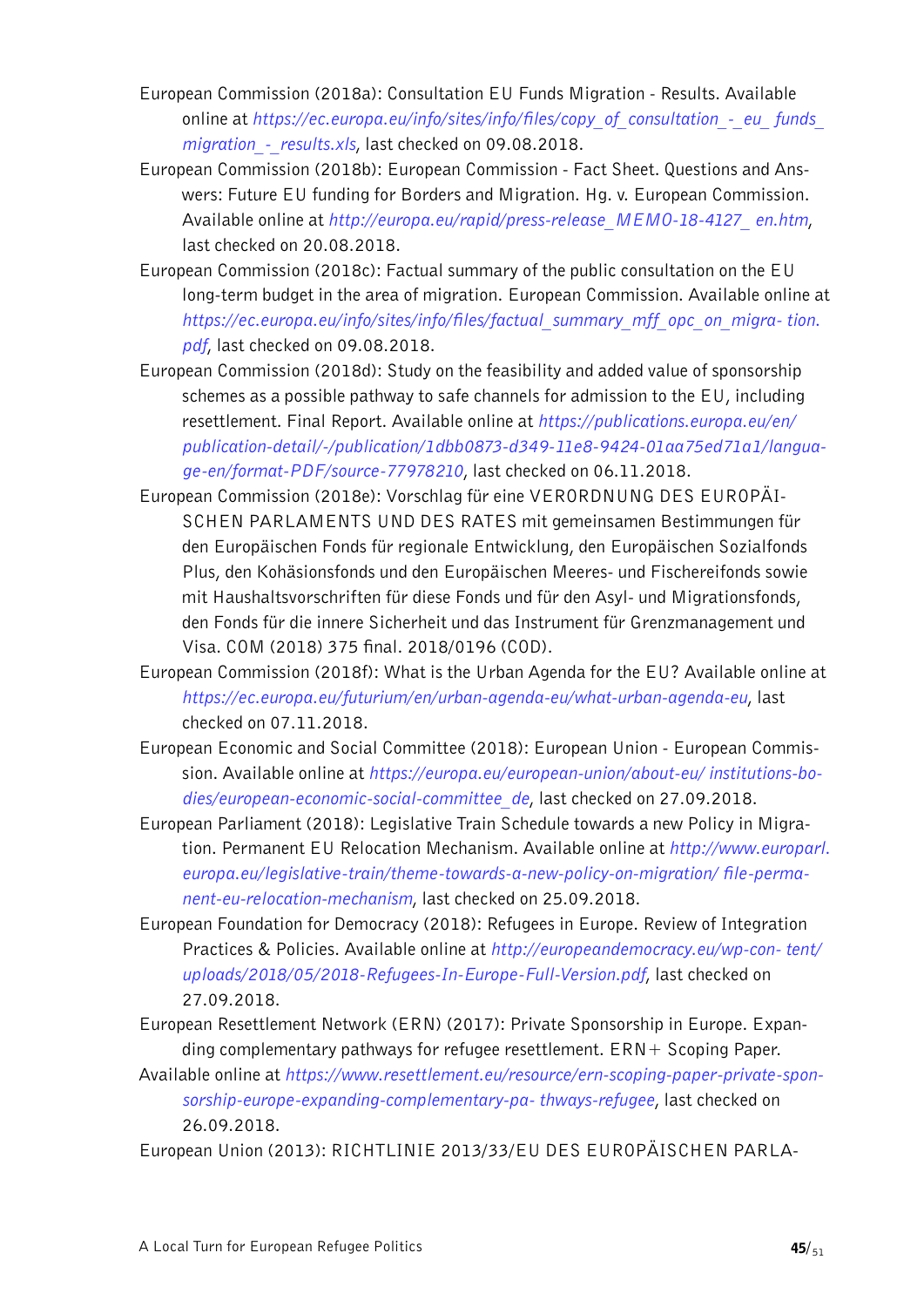- European Commission (2018a): Consultation EU Funds Migration Results. Available online at *[https://ec.europa.eu/info/sites/info/files/copy\\_of\\_consultation\\_-\\_eu\\_ funds\\_](https://ec.europa.eu/info/sites/info/files/copy_of_consultation_-_eu_funds_migration_-_results.xls) [migration\\_-\\_results.xls](https://ec.europa.eu/info/sites/info/files/copy_of_consultation_-_eu_funds_migration_-_results.xls)*, last checked on 09.08.2018.
- European Commission (2018b): European Commission Fact Sheet. Questions and Answers: Future EU funding for Borders and Migration. Hg. v. European Commission. Available online at *[http://europa.eu/rapid/press-release\\_MEMO-18-4127\\_ en.htm](http://europa.eu/rapid/press-release_MEMO-18-4127_en.htm)*, last checked on 20.08.2018.
- European Commission (2018c): Factual summary of the public consultation on the EU long-term budget in the area of migration. European Commission. Available online at *[https://ec.europa.eu/info/sites/info/files/factual\\_summary\\_mff\\_opc\\_on\\_migra- tion.](https://ec.europa.eu/info/sites/info/files/factual_summary_mff_opc_on_migration.pdf) [pdf](https://ec.europa.eu/info/sites/info/files/factual_summary_mff_opc_on_migration.pdf)*, last checked on 09.08.2018.
- European Commission (2018d): Study on the feasibility and added value of sponsorship schemes as a possible pathway to safe channels for admission to the EU, including resettlement. Final Report. Available online at *[https://publications.europa.eu/en/](https://publications.europa.eu/en/publication-detail/-/publication/1dbb0873-d349-11e8-9424-01aa75ed71a1/language-en/format-PDF/source-77978210)  [publication-detail/-/publication/1dbb0873-d349-11e8-9424-01aa75ed71a1/langua](https://publications.europa.eu/en/publication-detail/-/publication/1dbb0873-d349-11e8-9424-01aa75ed71a1/language-en/format-PDF/source-77978210)[ge-en/format-PDF/source-77978210](https://publications.europa.eu/en/publication-detail/-/publication/1dbb0873-d349-11e8-9424-01aa75ed71a1/language-en/format-PDF/source-77978210)*, last checked on 06.11.2018.
- European Commission (2018e): Vorschlag für eine VERORDNUNG DES EUROPÄI-SCHEN PARLAMENTS UND DES RATES mit gemeinsamen Bestimmungen für den Europäischen Fonds für regionale Entwicklung, den Europäischen Sozialfonds Plus, den Kohäsionsfonds und den Europäischen Meeres- und Fischereifonds sowie mit Haushaltsvorschriften für diese Fonds und für den Asyl- und Migrationsfonds, den Fonds für die innere Sicherheit und das Instrument für Grenzmanagement und Visa. COM (2018) 375 final. 2018/0196 (COD).
- European Commission (2018f): What is the Urban Agenda for the EU? Available online at *https://ec.europa.eu/futurium/en/urban-agenda-eu/what-urban-agenda-eu*, last checked on 07.11.2018.
- European Economic and Social Committee (2018): European Union European Commission. Available online at *[https://europa.eu/european-union/about-eu/ institutions-bo](https://europa.eu/european-union/about-eu/institutions-bodies/european-economic-social-committee_de)[dies/european-economic-social-committee\\_de](https://europa.eu/european-union/about-eu/institutions-bodies/european-economic-social-committee_de)*, last checked on 27.09.2018.
- European Parliament (2018): Legislative Train Schedule towards a new Policy in Migration. Permanent EU Relocation Mechanism. Available online at *[http://www.europarl.](http://www.europarl.europa.eu/legislative-train/theme-towards-a-new-policy-on-migration/file-permanent-eu-relocation-mechanism) [europa.eu/legislative-train/theme-towards-a-new-policy-on-migration/ file-perma](http://www.europarl.europa.eu/legislative-train/theme-towards-a-new-policy-on-migration/file-permanent-eu-relocation-mechanism)[nent-eu-relocation-mechanism](http://www.europarl.europa.eu/legislative-train/theme-towards-a-new-policy-on-migration/file-permanent-eu-relocation-mechanism)*, last checked on 25.09.2018.
- European Foundation for Democracy (2018): Refugees in Europe. Review of Integration Practices & Policies. Available online at *[http://europeandemocracy.eu/wp-con- tent/](http://europeandemocracy.eu/wp-content/uploads/2018/05/2018-Refugees-In-Europe-Full-Version.pdf) [uploads/2018/05/2018-Refugees-In-Europe-Full-Version.pdf](http://europeandemocracy.eu/wp-content/uploads/2018/05/2018-Refugees-In-Europe-Full-Version.pdf)*, last checked on 27.09.2018.
- European Resettlement Network (ERN) (2017): Private Sponsorship in Europe. Expanding complementary pathways for refugee resettlement.  $\text{ERN}+$  Scoping Paper.
- Available online at *[https://www.resettlement.eu/resource/ern-scoping-paper-private-spon](https://www.resettlement.eu/resource/ern-scoping-paper-private-sponsorship-europe-expanding-complementary-pathways-refugee)[sorship-europe-expanding-complementary-pa- thways-refugee](https://www.resettlement.eu/resource/ern-scoping-paper-private-sponsorship-europe-expanding-complementary-pathways-refugee)*, last checked on 26.09.2018.
- European Union (2013): RICHTLINIE 2013/33/EU DES EUROPÄISCHEN PARLA-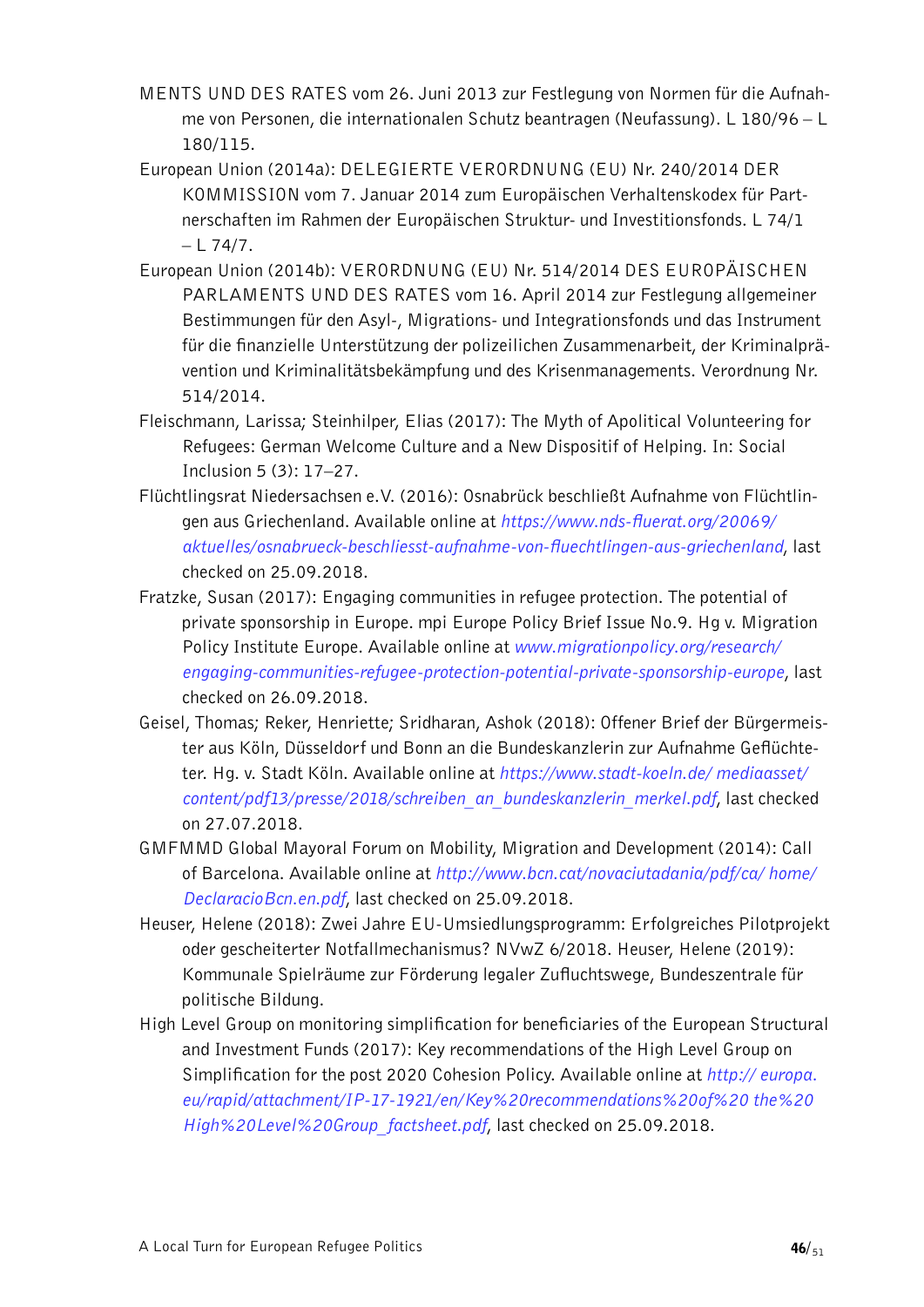- MENTS UND DES RATES vom 26. Juni 2013 zur Festlegung von Normen für die Aufnahme von Personen, die internationalen Schutz beantragen (Neufassung). L 180/96 – L 180/115.
- European Union (2014a): DELEGIERTE VERORDNUNG (EU) Nr. 240/2014 DER KOMMISSION vom 7. Januar 2014 zum Europäischen Verhaltenskodex für Partnerschaften im Rahmen der Europäischen Struktur- und Investitionsfonds. L 74/1  $-L$  74/7.
- European Union (2014b): VERORDNUNG (EU) Nr. 514/2014 DES EUROPÄISCHEN PARLAMENTS UND DES RATES vom 16. April 2014 zur Festlegung allgemeiner Bestimmungen für den Asyl-, Migrations- und Integrationsfonds und das Instrument für die finanzielle Unterstützung der polizeilichen Zusammenarbeit, der Kriminalprävention und Kriminalitätsbekämpfung und des Krisenmanagements. Verordnung Nr. 514/2014.
- Fleischmann, Larissa; Steinhilper, Elias (2017): The Myth of Apolitical Volunteering for Refugees: German Welcome Culture and a New Dispositif of Helping. In: Social Inclusion 5 (3): 17–27.
- Flüchtlingsrat Niedersachsen e.V. (2016): Osnabrück beschließt Aufnahme von Flüchtlingen aus Griechenland. Available online at *[https://www.nds-fluerat.org/20069/](https://www.nds-fluerat.org/20069/aktuelles/osnabrueck-beschliesst-aufnahme-von-fluechtlingen-aus-griechenland)  [aktuelles/osnabrueck-beschliesst-aufnahme-von-fluechtlingen-aus-griechenland](https://www.nds-fluerat.org/20069/aktuelles/osnabrueck-beschliesst-aufnahme-von-fluechtlingen-aus-griechenland)*, last checked on 25.09.2018.
- Fratzke, Susan (2017): Engaging communities in refugee protection. The potential of private sponsorship in Europe. mpi Europe Policy Brief Issue No.9. Hg v. Migration Policy Institute Europe. Available online at *[www.migrationpolicy.org/research/](http://www.migrationpolicy.org/research/engaging-communities-refugee-protection-potential-private-sponsorship-europe)  [engaging-communities-refugee-protection-potential-private-sponsorship-europe](http://www.migrationpolicy.org/research/engaging-communities-refugee-protection-potential-private-sponsorship-europe)*, last checked on 26.09.2018.
- Geisel, Thomas; Reker, Henriette; Sridharan, Ashok (2018): Offener Brief der Bürgermeister aus Köln, Düsseldorf und Bonn an die Bundeskanzlerin zur Aufnahme Geflüchteter. Hg. v. Stadt Köln. Available online at *[https://www.stadt-koeln.de/ mediaasset/](https://www.stadt-koeln.de/mediaasset/content/pdf13/presse/2018/schreiben_an_bundeskanzlerin_merkel.pdf) [content/pdf13/presse/2018/schreiben\\_an\\_bundeskanzlerin\\_merkel.pdf](https://www.stadt-koeln.de/mediaasset/content/pdf13/presse/2018/schreiben_an_bundeskanzlerin_merkel.pdf)*, last checked on 27.07.2018.
- GMFMMD Global Mayoral Forum on Mobility, Migration and Development (2014): Call of Barcelona. Available online at *[http://www.bcn.cat/novaciutadania/pdf/ca/ home/](http://www.bcn.cat/novaciutadania/pdf/ca/home/DeclaracioBcn.en.pdf) [DeclaracioBcn.en.pdf](http://www.bcn.cat/novaciutadania/pdf/ca/home/DeclaracioBcn.en.pdf)*, last checked on 25.09.2018.
- Heuser, Helene (2018): Zwei Jahre EU-Umsiedlungsprogramm: Erfolgreiches Pilotprojekt oder gescheiterter Notfallmechanismus? NVwZ 6/2018. Heuser, Helene (2019): Kommunale Spielräume zur Förderung legaler Zufluchtswege, Bundeszentrale für politische Bildung.
- High Level Group on monitoring simplification for beneficiaries of the European Structural and Investment Funds (2017): Key recommendations of the High Level Group on Simplification for the post 2020 Cohesion Policy. Available online at *[http:// europa.](http://europa.eu/rapid/attachment/IP-17-1921/en/Key%20recommendations%20of%20the%20High%20Level%20Group_factsheet.pdf) [eu/rapid/attachment/IP-17-1921/en/Key%20recommendations%20of%20 the%20](http://europa.eu/rapid/attachment/IP-17-1921/en/Key%20recommendations%20of%20the%20High%20Level%20Group_factsheet.pdf) [High%20Level%20Group\\_factsheet.pdf](http://europa.eu/rapid/attachment/IP-17-1921/en/Key%20recommendations%20of%20the%20High%20Level%20Group_factsheet.pdf)*, last checked on 25.09.2018.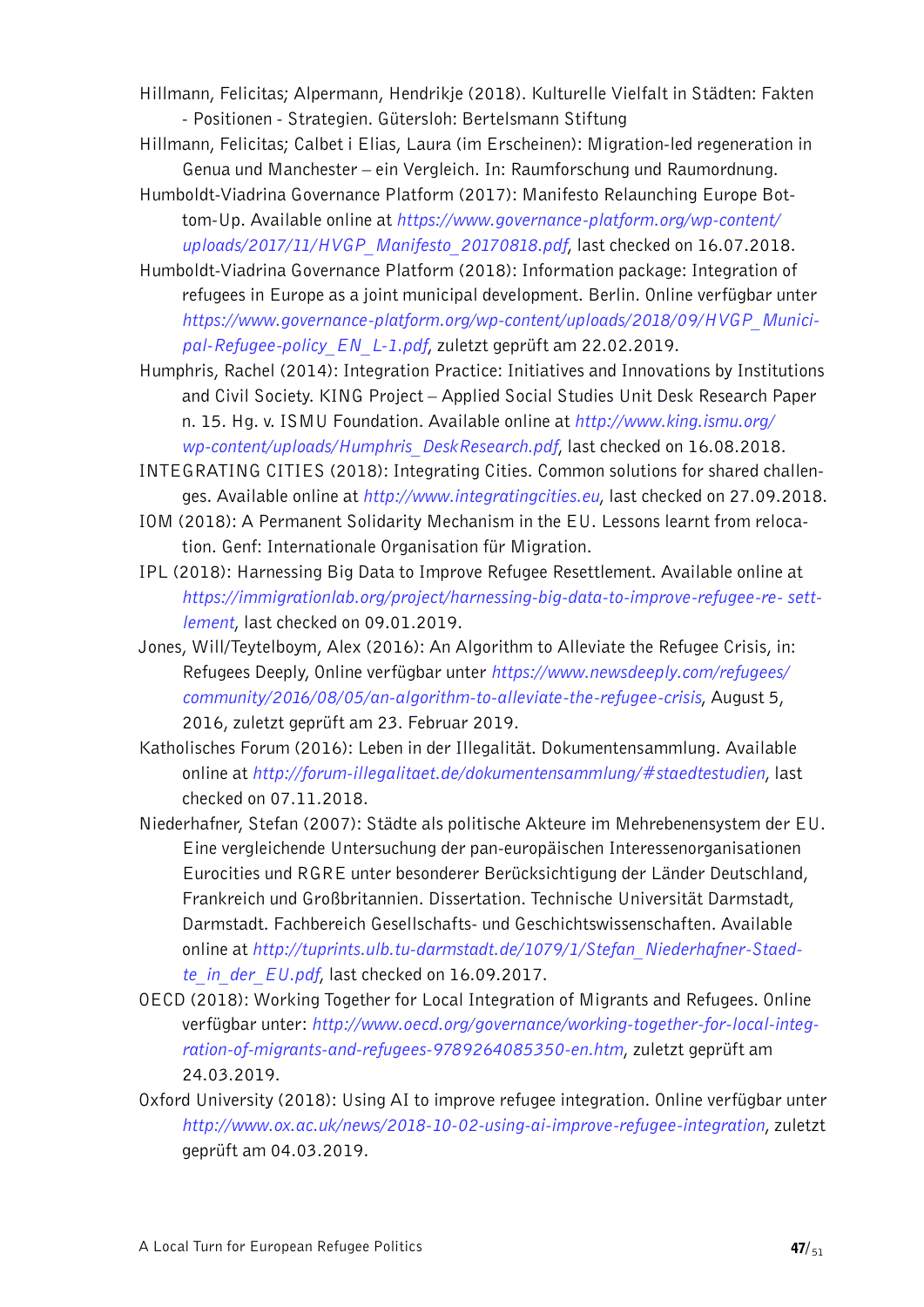Hillmann, Felicitas; Alpermann, Hendrikje (2018). Kulturelle Vielfalt in Städten: Fakten - Positionen - Strategien. Gütersloh: Bertelsmann Stiftung

- Hillmann, Felicitas; Calbet i Elias, Laura (im Erscheinen): Migration-led regeneration in Genua und Manchester – ein Vergleich. In: Raumforschung und Raumordnung.
- Humboldt-Viadrina Governance Platform (2017): Manifesto Relaunching Europe Bottom-Up. Available online at *[https://www.governance-platform.org/wp-content/](https://www.governance-platform.org/wp-content/uploads/2017/11/HVGP_Manifesto_20170818.pdf)  [uploads/2017/11/HVGP\\_Manifesto\\_20170818.pdf](https://www.governance-platform.org/wp-content/uploads/2017/11/HVGP_Manifesto_20170818.pdf)*, last checked on 16.07.2018.
- Humboldt-Viadrina Governance Platform (2018): Information package: Integration of refugees in Europe as a joint municipal development. Berlin. Online verfügbar unter *[https://www.governance-platform.org/wp-content/uploads/2018/09/HVGP\\_Munici](https://www.governance-platform.org/wp-content/uploads/2018/09/HVGP_Municipal-Refugee-policy_EN_L-1.pdf)[pal-Refugee-policy\\_EN\\_L-1.pdf](https://www.governance-platform.org/wp-content/uploads/2018/09/HVGP_Municipal-Refugee-policy_EN_L-1.pdf)*, zuletzt geprüft am 22.02.2019.
- Humphris, Rachel (2014): Integration Practice: Initiatives and Innovations by Institutions and Civil Society. KING Project – Applied Social Studies Unit Desk Research Paper n. 15. Hg. v. ISMU Foundation. Available online at *[http://www.king.ismu.org/](http://king.ismu.org/wp-content/uploads/Humphris_DeskResearch.pdf) [wp-content/uploads/Humphris\\_DeskResearch.pdf](http://king.ismu.org/wp-content/uploads/Humphris_DeskResearch.pdf)*, last checked on 16.08.2018.
- INTEGRATING CITIES (2018): Integrating Cities. Common solutions for shared challenges. Available online at *http://www.integratingcities.eu*, last checked on 27.09.2018.
- IOM (2018): A Permanent Solidarity Mechanism in the EU. Lessons learnt from relocation. Genf: Internationale Organisation für Migration.
- IPL (2018): Harnessing Big Data to Improve Refugee Resettlement. Available online at *[https://immigrationlab.org/project/harnessing-big-data-to-improve-refugee-re- sett](https://immigrationlab.org/project/harnessing-big-data-to-improve-refugee-resettlement)[lement](https://immigrationlab.org/project/harnessing-big-data-to-improve-refugee-resettlement)*, last checked on 09.01.2019.
- Jones, Will/Teytelboym, Alex (2016): An Algorithm to Alleviate the Refugee Crisis, in: Refugees Deeply, Online verfügbar unter *https://www.newsdeeply.com/refugees/ community/2016/08/05/an-algorithm-to-alleviate-the-refugee-crisis*, August 5, 2016, zuletzt geprüft am 23. Februar 2019.
- Katholisches Forum (2016): Leben in der Illegalität. Dokumentensammlung. Available online at *http://forum-illegalitaet.de/dokumentensammlung/#staedtestudien*, last checked on 07.11.2018.
- Niederhafner, Stefan (2007): Städte als politische Akteure im Mehrebenensystem der EU. Eine vergleichende Untersuchung der pan-europäischen Interessenorganisationen Eurocities und RGRE unter besonderer Berücksichtigung der Länder Deutschland, Frankreich und Großbritannien. Dissertation. Technische Universität Darmstadt, Darmstadt. Fachbereich Gesellschafts- und Geschichtswissenschaften. Available online at *[http://tuprints.ulb.tu-darmstadt.de/1079/1/Stefan\\_Niederhafner-Staed](http://tuprints.ulb.tu-darmstadt.de/1079/1/Stefan_Niederhafner-Staedte_in_der_EU.pdf)[te\\_in\\_der\\_EU.pdf](http://tuprints.ulb.tu-darmstadt.de/1079/1/Stefan_Niederhafner-Staedte_in_der_EU.pdf)*, last checked on 16.09.2017.
- OECD (2018): Working Together for Local Integration of Migrants and Refugees. Online verfügbar unter: *[http://www.oecd.org/governance/working-together-for-local-integ](http://www.oecd.org/governance/working-together-for-local-integration-of-migrants-and-refugees-9789264085350-en.htm)[ration-of-migrants-and-refugees-9789264085350-en.htm](http://www.oecd.org/governance/working-together-for-local-integration-of-migrants-and-refugees-9789264085350-en.htm)*, zuletzt geprüft am 24.03.2019.
- Oxford University (2018): Using AI to improve refugee integration. Online verfügbar unter *http://www.ox.ac.uk/news/2018-10-02-using-ai-improve-refugee-integration*, zuletzt geprüft am 04.03.2019.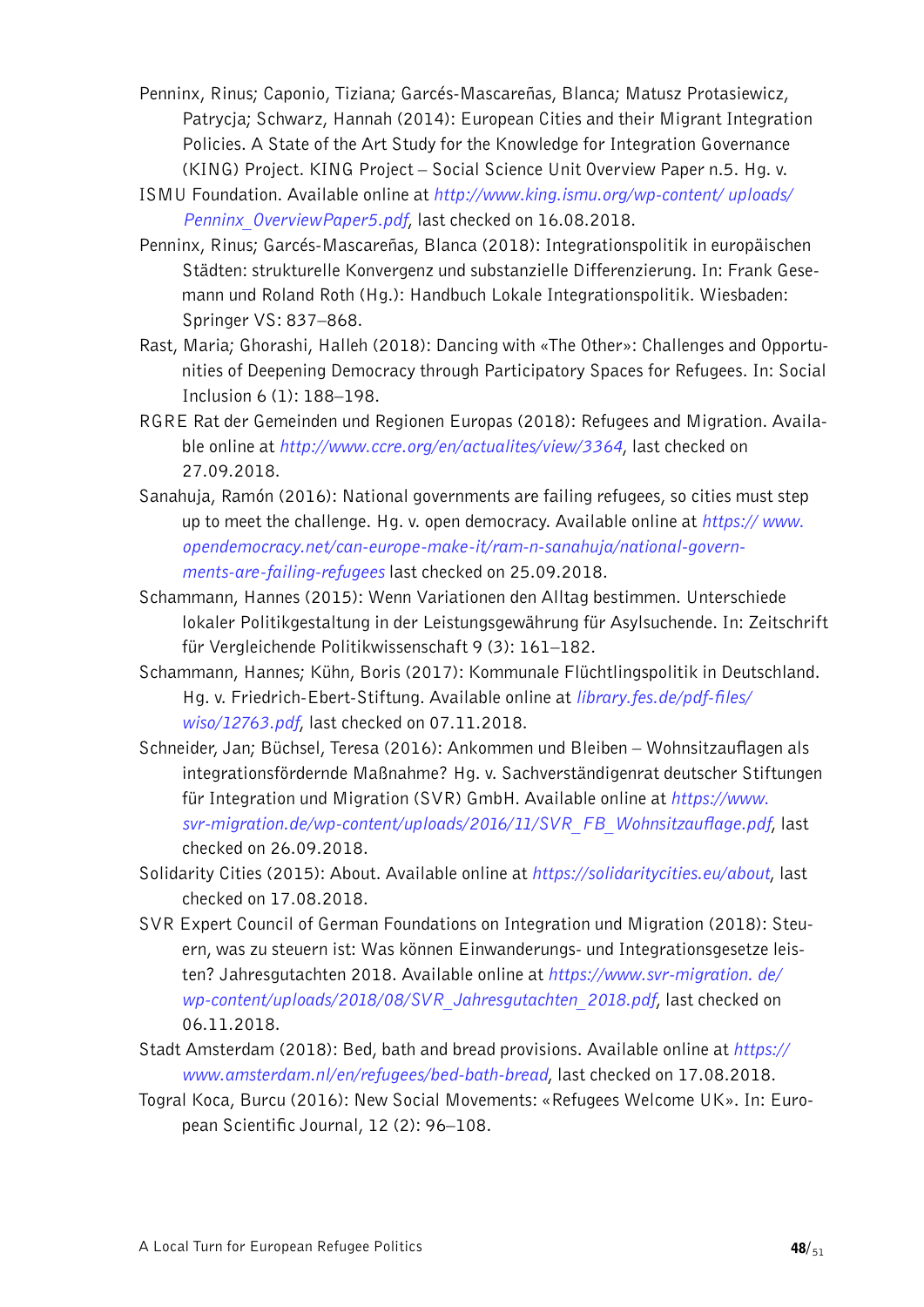- Penninx, Rinus; Caponio, Tiziana; Garcés-Mascareñas, Blanca; Matusz Protasiewicz, Patrycja; Schwarz, Hannah (2014): European Cities and their Migrant Integration Policies. A State of the Art Study for the Knowledge for Integration Governance (KING) Project. KING Project – Social Science Unit Overview Paper n.5. Hg. v.
- ISMU Foundation. Available online at *[http://www.king.ismu.org/wp-content/ uploads/](http://king.ismu.org/wp-content/uploads/Penninx_OverviewPaper5.pdf) [Penninx\\_OverviewPaper5.pdf](http://king.ismu.org/wp-content/uploads/Penninx_OverviewPaper5.pdf)*, last checked on 16.08.2018.
- Penninx, Rinus; Garcés-Mascareñas, Blanca (2018): Integrationspolitik in europäischen Städten: strukturelle Konvergenz und substanzielle Differenzierung. In: Frank Gesemann und Roland Roth (Hg.): Handbuch Lokale Integrationspolitik. Wiesbaden: Springer VS: 837–868.
- Rast, Maria; Ghorashi, Halleh (2018): Dancing with «The Other»: Challenges and Opportunities of Deepening Democracy through Participatory Spaces for Refugees. In: Social Inclusion 6 (1): 188–198.
- RGRE Rat der Gemeinden und Regionen Europas (2018): Refugees and Migration. Available online at *http://www.ccre.org/en/actualites/view/3364*, last checked on 27.09.2018.
- Sanahuja, Ramón (2016): National governments are failing refugees, so cities must step up to meet the challenge. Hg. v. open democracy. Available online at *[https:// www.](https://www.opendemocracy.net/can-europe-make-it/ram-n-sanahuja/national-governments-are-failing-refugees) [opendemocracy.net/can-europe-make-it/ram-n-sanahuja/national-govern](https://www.opendemocracy.net/can-europe-make-it/ram-n-sanahuja/national-governments-are-failing-refugees)[ments-are-failing-refugees](https://www.opendemocracy.net/can-europe-make-it/ram-n-sanahuja/national-governments-are-failing-refugees)* last checked on 25.09.2018.
- Schammann, Hannes (2015): Wenn Variationen den Alltag bestimmen. Unterschiede lokaler Politikgestaltung in der Leistungsgewährung für Asylsuchende. In: Zeitschrift für Vergleichende Politikwissenschaft 9 (3): 161–182.
- Schammann, Hannes; Kühn, Boris (2017): Kommunale Flüchtlingspolitik in Deutschland. Hg. v. Friedrich-Ebert-Stiftung. Available online at *[library.fes.de/pdf-files/](https://library.fes.de/pdf-files/wiso/12763.pdf)  [wiso/12763.pdf](https://library.fes.de/pdf-files/wiso/12763.pdf)*, last checked on 07.11.2018.
- Schneider, Jan; Büchsel, Teresa (2016): Ankommen und Bleiben Wohnsitzauflagen als integrationsfördernde Maßnahme? Hg. v. Sachverständigenrat deutscher Stiftungen für Integration und Migration (SVR) GmbH. Available online at *[https://www.](https://www.svr-migration.de/wp-content/uploads/2016/11/SVR_FB_Wohnsitzauflage.pdf)  [svr-migration.de/wp-content/uploads/2016/11/SVR\\_FB\\_Wohnsitzauflage.pdf](https://www.svr-migration.de/wp-content/uploads/2016/11/SVR_FB_Wohnsitzauflage.pdf)*, last checked on 26.09.2018.
- Solidarity Cities (2015): About. Available online at *https://solidaritycities.eu/about*, last checked on 17.08.2018.
- SVR Expert Council of German Foundations on Integration und Migration (2018): Steuern, was zu steuern ist: Was können Einwanderungs- und Integrationsgesetze leisten? Jahresgutachten 2018. Available online at *[https://www.svr-migration. de/](https://www.svr-migration.de/wp-content/uploads/2018/08/SVR_Jahresgutachten_2018.pdf) [wp-content/uploads/2018/08/SVR\\_Jahresgutachten\\_2018.pdf](https://www.svr-migration.de/wp-content/uploads/2018/08/SVR_Jahresgutachten_2018.pdf)*, last checked on 06.11.2018.
- Stadt Amsterdam (2018): Bed, bath and bread provisions. Available online at *https:// www.amsterdam.nl/en/refugees/bed-bath-bread*, last checked on 17.08.2018.
- Togral Koca, Burcu (2016): New Social Movements: «Refugees Welcome UK». In: European Scientific Journal, 12 (2): 96–108.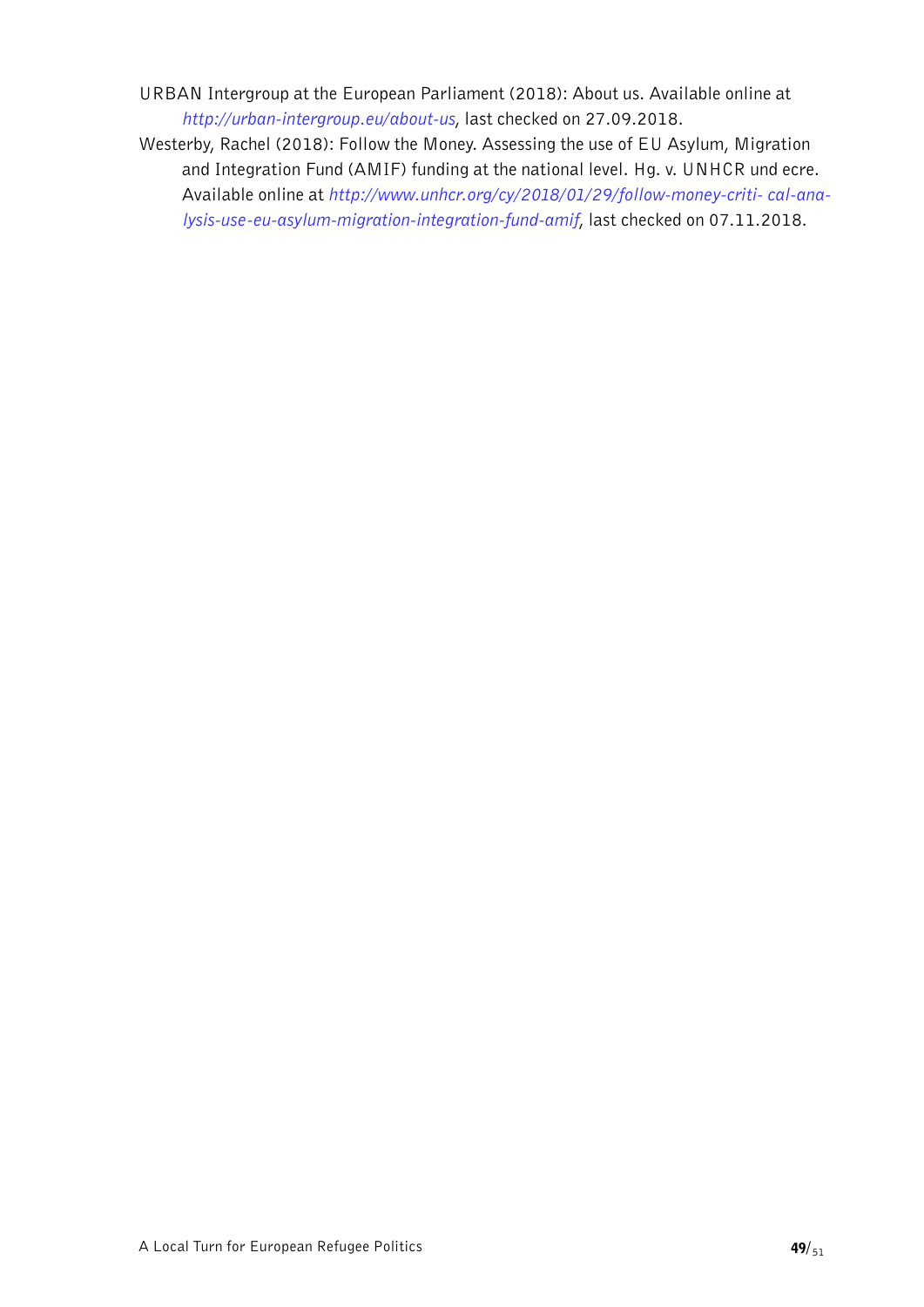- URBAN Intergroup at the European Parliament (2018): About us. Available online at *http://urban-intergroup.eu/about-us*, last checked on 27.09.2018.
- Westerby, Rachel (2018): Follow the Money. Assessing the use of EU Asylum, Migration and Integration Fund (AMIF) funding at the national level. Hg. v. UNHCR und ecre. Available online at *[http://www.unhcr.org/cy/2018/01/29/follow-money-criti- cal-ana](http://www.unhcr.org/cy/2018/01/29/follow-money-critical-analysis-use-eu-asylum-migration-integration-fund-amif)[lysis-use-eu-asylum-migration-integration-fund-amif](http://www.unhcr.org/cy/2018/01/29/follow-money-critical-analysis-use-eu-asylum-migration-integration-fund-amif)*, last checked on 07.11.2018.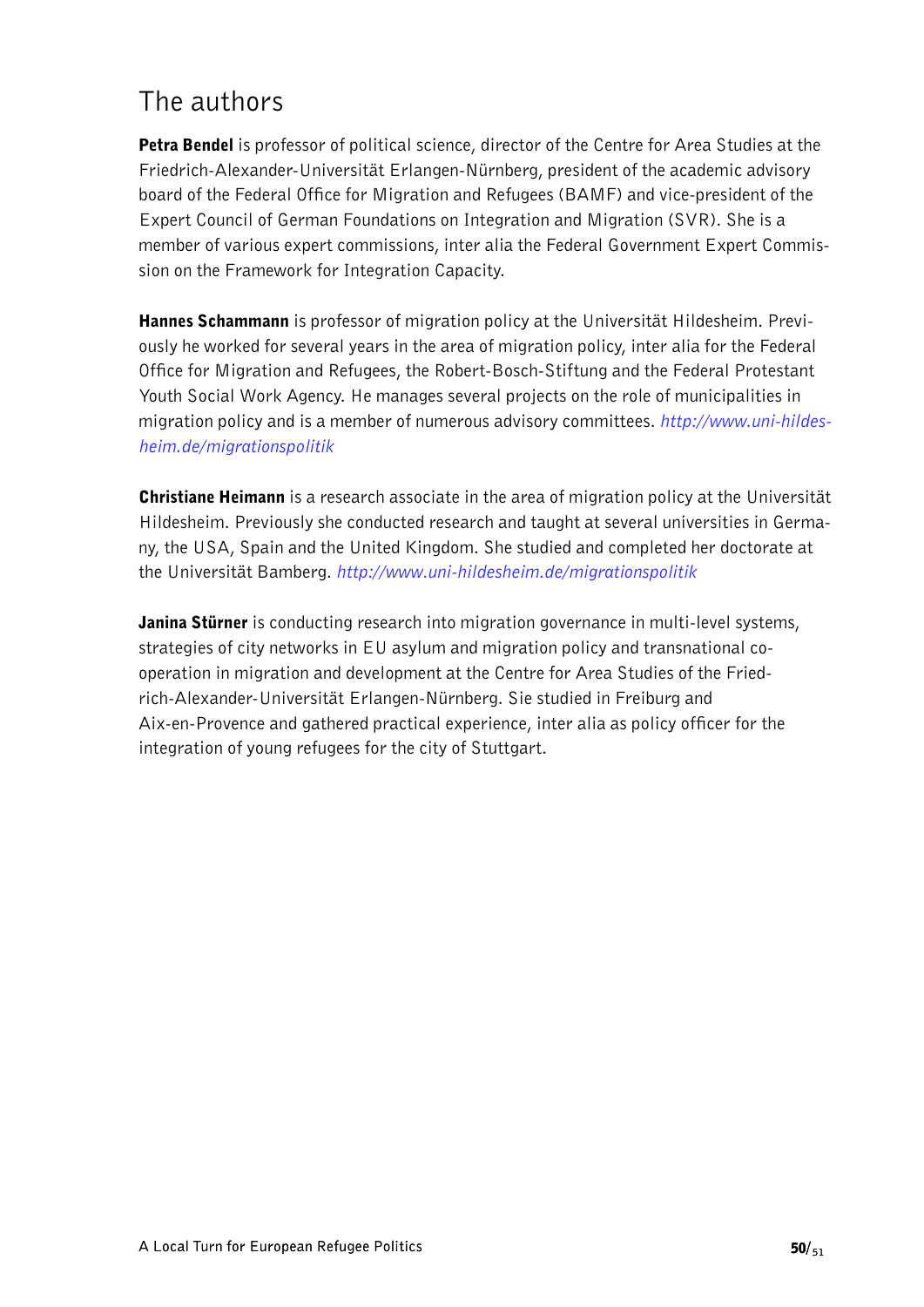### <span id="page-49-0"></span>The authors

Petra Bendel is professor of political science, director of the Centre for Area Studies at the Friedrich-Alexander-Universität Erlangen-Nürnberg, president of the academic advisory board of the Federal Office for Migration and Refugees (BAMF) and vice-president of the Expert Council of German Foundations on Integration and Migration (SVR). She is a member of various expert commissions, inter alia the Federal Government Expert Commission on the Framework for Integration Capacity.

**Hannes Schammann** is professor of migration policy at the Universität Hildesheim. Previously he worked for several years in the area of migration policy, inter alia for the Federal Office for Migration and Refugees, the Robert-Bosch-Stiftung and the Federal Protestant Youth Social Work Agency. He manages several projects on the role of municipalities in migration policy and is a member of numerous advisory committees. *[http://www.uni-hildes](http://www.uni-hildesheim.de/migrationspolitik)[heim.de/migrationspolitik](http://www.uni-hildesheim.de/migrationspolitik)*

**Christiane Heimann** is a research associate in the area of migration policy at the Universität Hildesheim. Previously she conducted research and taught at several universities in Germany, the USA, Spain and the United Kingdom. She studied and completed her doctorate at the Universität Bamberg. *http://www.uni-hildesheim.de/migrationspolitik*

**Janina Stürner** is conducting research into migration governance in multi-level systems, strategies of city networks in EU asylum and migration policy and transnational cooperation in migration and development at the Centre for Area Studies of the Friedrich-Alexander-Universität Erlangen-Nürnberg. Sie studied in Freiburg and Aix-en-Provence and gathered practical experience, inter alia as policy officer for the integration of young refugees for the city of Stuttgart.